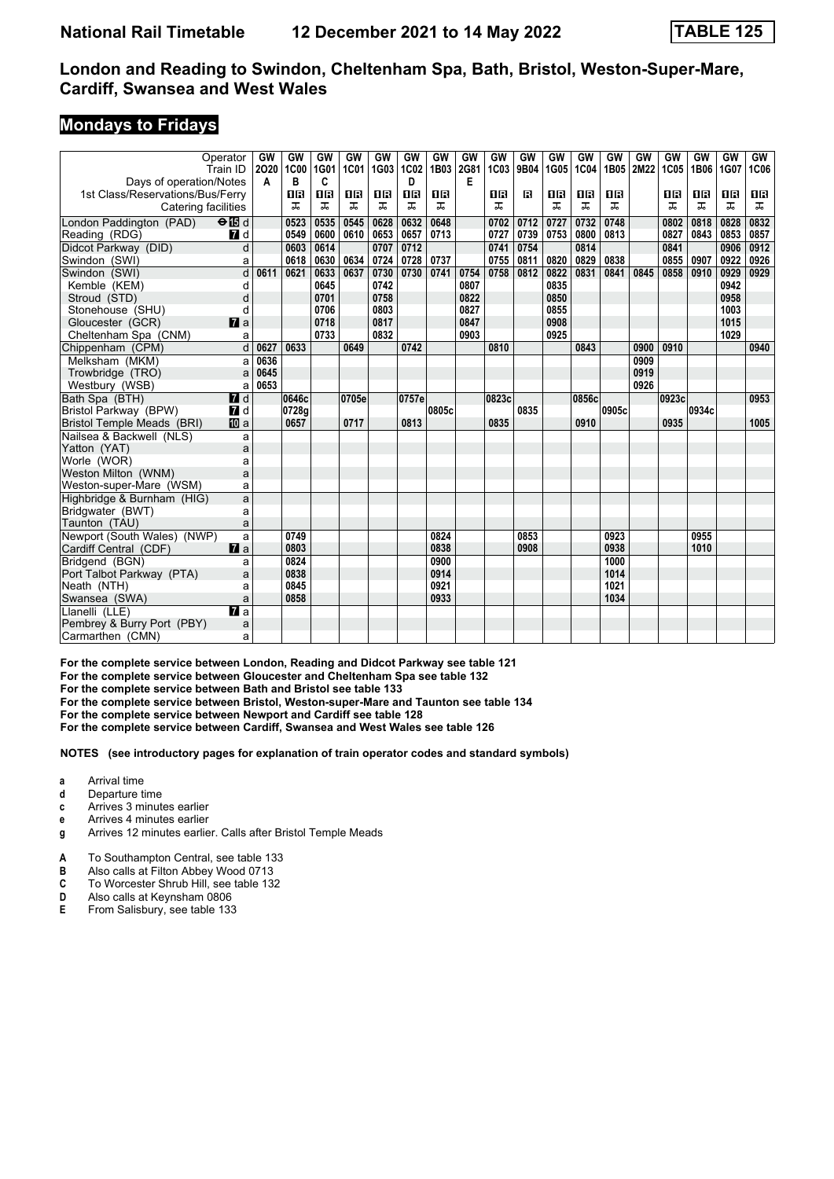#### **Mondays to Fridays**

| Operator<br>Train ID                                 |                           | GW<br>2020 | GW<br>1C00 | <b>GW</b><br>1G01 | GW<br><b>1C01</b> | GW<br>1G03 | GW<br>1C02 | GW<br>1B03 | GW<br>2G81 | GW<br>1C03 | GW<br>9B04 | GW<br>1G05 | GW<br>1C04 | <b>GW</b><br>1B05 | <b>GW</b><br>2M22 | <b>GW</b><br><b>1C05</b> | GW<br>1B06 | <b>GW</b><br>1G07 | GW<br><b>1C06</b> |
|------------------------------------------------------|---------------------------|------------|------------|-------------------|-------------------|------------|------------|------------|------------|------------|------------|------------|------------|-------------------|-------------------|--------------------------|------------|-------------------|-------------------|
| Days of operation/Notes                              |                           | A          | в          | C                 |                   |            | D          |            | Е          |            |            |            |            |                   |                   |                          |            |                   |                   |
| 1st Class/Reservations/Bus/Ferry                     |                           |            | 18         | 08                | 0 B               | 0 B        | 0 B        | 1R         |            | 16         | R          | 1 R        | 0 B        | 1 R               |                   | 0 B                      | 0 B        | 18                | 1 R               |
| Catering facilities                                  |                           |            | ᠼ          | ᠼ                 | ᠼ                 | ᠼ          | ᠼ          | ᠼ          |            | ᠼ          |            | ᅚ          | ᠼ          | ᅚ                 |                   | ᠼ                        | ᠼ          | ᠼ                 | ᠼ                 |
| London Paddington (PAD)<br>$\Theta$ $\overline{B}$ d |                           |            | 0523       | 0535              | 0545              | 0628       | 0632       | 0648       |            | 0702       | 0712       | 0727       | 0732       | 0748              |                   | 0802                     | 0818       | 0828              | 0832              |
| Reading (RDG)                                        | 7d                        |            | 0549       | 0600              | 0610              | 0653       | 0657       | 0713       |            | 0727       | 0739       | 0753       | 0800       | 0813              |                   | 0827                     | 0843       | 0853              | 0857              |
| Didcot Parkway (DID)                                 | d                         |            | 0603       | 0614              |                   | 0707       | 0712       |            |            | 0741       | 0754       |            | 0814       |                   |                   | 0841                     |            | 0906              | 0912              |
| Swindon (SWI)                                        | a                         |            | 0618       | 0630              | 0634              | 0724       | 0728       | 0737       |            | 0755       | 0811       | 0820       | 0829       | 0838              |                   | 0855                     | 0907       | 0922              | 0926              |
| Swindon (SWI)                                        | d                         | 0611       | 0621       | 0633              | 0637              | 0730       | 0730       | 0741       | 0754       | 0758       | 0812       | 0822       | 0831       | 0841              | 0845              | 0858                     | 0910       | 0929              | 0929              |
| Kemble (KEM)                                         | d                         |            |            | 0645              |                   | 0742       |            |            | 0807       |            |            | 0835       |            |                   |                   |                          |            | 0942              |                   |
| Stroud (STD)                                         | d                         |            |            | 0701              |                   | 0758       |            |            | 0822       |            |            | 0850       |            |                   |                   |                          |            | 0958              |                   |
| Stonehouse (SHU)                                     | d                         |            |            | 0706              |                   | 0803       |            |            | 0827       |            |            | 0855       |            |                   |                   |                          |            | 1003              |                   |
| Gloucester (GCR)                                     | $\mathbf{z}$ a            |            |            | 0718              |                   | 0817       |            |            | 0847       |            |            | 0908       |            |                   |                   |                          |            | 1015              |                   |
| Cheltenham Spa (CNM)                                 | a                         |            |            | 0733              |                   | 0832       |            |            | 0903       |            |            | 0925       |            |                   |                   |                          |            | 1029              |                   |
| Chippenham (CPM)                                     | $\overline{d}$            | 0627       | 0633       |                   | 0649              |            | 0742       |            |            | 0810       |            |            | 0843       |                   | 0900              | 0910                     |            |                   | 0940              |
| Melksham (MKM)                                       | a                         | 0636       |            |                   |                   |            |            |            |            |            |            |            |            |                   | 0909              |                          |            |                   |                   |
| Trowbridge (TRO)                                     | a                         | 0645       |            |                   |                   |            |            |            |            |            |            |            |            |                   | 0919              |                          |            |                   |                   |
| Westbury (WSB)                                       | a                         | 0653       |            |                   |                   |            |            |            |            |            |            |            |            |                   | 0926              |                          |            |                   |                   |
| Bath Spa (BTH)                                       | $I$ d                     |            | 0646c      |                   | 0705e             |            | 0757e      |            |            | 0823c      |            |            | 0856c      |                   |                   | 0923c                    |            |                   | 0953              |
| Bristol Parkway (BPW)                                | <b>7</b> d                |            | 0728g      |                   |                   |            |            | 0805c      |            |            | 0835       |            |            | 0905c             |                   |                          | 0934c      |                   |                   |
| Bristol Temple Meads (BRI)                           | <b>四</b> a                |            | 0657       |                   | 0717              |            | 0813       |            |            | 0835       |            |            | 0910       |                   |                   | 0935                     |            |                   | 1005              |
| Nailsea & Backwell (NLS)                             | a                         |            |            |                   |                   |            |            |            |            |            |            |            |            |                   |                   |                          |            |                   |                   |
| Yatton (YAT)                                         | a                         |            |            |                   |                   |            |            |            |            |            |            |            |            |                   |                   |                          |            |                   |                   |
| Worle (WOR)                                          | a                         |            |            |                   |                   |            |            |            |            |            |            |            |            |                   |                   |                          |            |                   |                   |
| Weston Milton (WNM)                                  | a                         |            |            |                   |                   |            |            |            |            |            |            |            |            |                   |                   |                          |            |                   |                   |
| Weston-super-Mare (WSM)                              | a                         |            |            |                   |                   |            |            |            |            |            |            |            |            |                   |                   |                          |            |                   |                   |
| Highbridge & Burnham (HIG)                           | a                         |            |            |                   |                   |            |            |            |            |            |            |            |            |                   |                   |                          |            |                   |                   |
| Bridgwater (BWT)                                     | a                         |            |            |                   |                   |            |            |            |            |            |            |            |            |                   |                   |                          |            |                   |                   |
| Taunton (TAU)                                        | a                         |            |            |                   |                   |            |            |            |            |            |            |            |            |                   |                   |                          |            |                   |                   |
| Newport (South Wales) (NWP)                          | a                         |            | 0749       |                   |                   |            |            | 0824       |            |            | 0853       |            |            | 0923              |                   |                          | 0955       |                   |                   |
| Cardiff Central (CDF)                                | $\mathbf{z}$ a            |            | 0803       |                   |                   |            |            | 0838       |            |            | 0908       |            |            | 0938              |                   |                          | 1010       |                   |                   |
| Bridgend (BGN)                                       | a                         |            | 0824       |                   |                   |            |            | 0900       |            |            |            |            |            | 1000              |                   |                          |            |                   |                   |
| Port Talbot Parkway (PTA)                            | a                         |            | 0838       |                   |                   |            |            | 0914       |            |            |            |            |            | 1014              |                   |                          |            |                   |                   |
| Neath (NTH)                                          | a                         |            | 0845       |                   |                   |            |            | 0921       |            |            |            |            |            | 1021              |                   |                          |            |                   |                   |
| Swansea (SWA)                                        | a                         |            | 0858       |                   |                   |            |            | 0933       |            |            |            |            |            | 1034              |                   |                          |            |                   |                   |
| Llanelli (LLE)                                       | $\overline{\mathbf{z}}$ a |            |            |                   |                   |            |            |            |            |            |            |            |            |                   |                   |                          |            |                   |                   |
| Pembrey & Burry Port (PBY)                           | a                         |            |            |                   |                   |            |            |            |            |            |            |            |            |                   |                   |                          |            |                   |                   |
| Carmarthen (CMN)                                     | a                         |            |            |                   |                   |            |            |            |            |            |            |            |            |                   |                   |                          |            |                   |                   |

For the complete service between London, Reading and Didcot Parkway see table 121

For the complete service between Gloucester and Cheltenham Spa see table 132

**For the complete service between Bath and Bristol see table 133**

**For the complete service between Bristol, Weston-super-Mare and Taunton see table 134**

**For the complete service between Newport and Cardiff see table 128**

**For the complete service between Cardiff, Swansea and West Wales see table 12**

**NOTES (see introductory pages for explanation of train operator codes and standard symbols)**

- **a** Arrival time<br>**d** Departure t
- **d** Departure time
- **c** Arrives 3 minutes earlier
- **e** Arrives 4 minutes earlier
- **g** Arrives 12 minutes earlier. Calls after Bristol Temple Meads
- **A** To Southampton Central, see table 133
- **B** Also calls at Filton Abbey Wood 0713
- **C** To Worcester Shrub Hill, see table 132<br>**D** Also calls at Keynsham 0806
- **D** Also calls at Keynsham 0806<br>**E** From Salisbury see table 133
- **E** From Salisbury, see table 133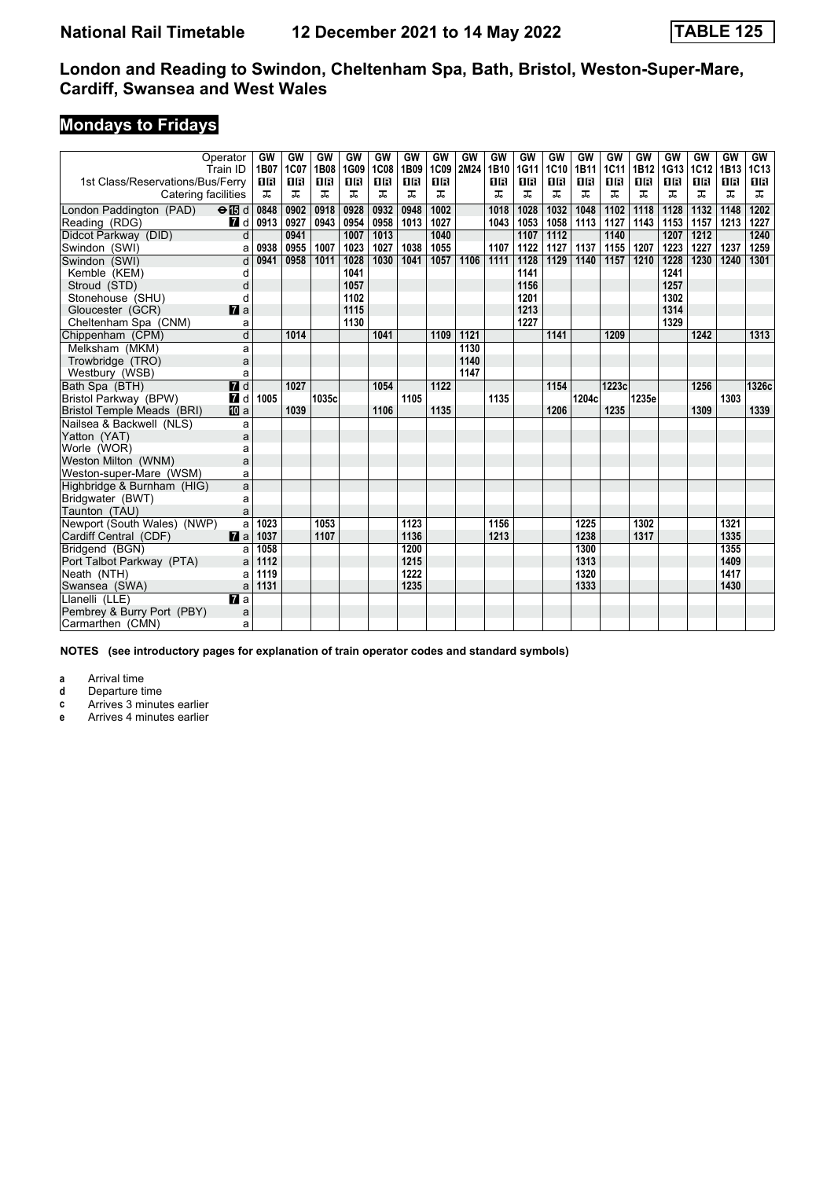## **Mondays to Fridays**

|                                   | Operator<br>Train ID      | GW<br>1B07 | GW<br>1C07 | <b>GW</b><br>1B08 | GW<br>1G09 | GW<br><b>1C08</b> | <b>GW</b><br>1B09 | GW<br>1C09 | GW<br>2M24 | GW<br>1B10 | GW<br>1G11 | GW<br>1C10 | GW<br>1B11 | GW<br><b>1C11</b> | GW<br>1B12 | GW<br>1G13 | GW<br><b>1C12</b> | GW<br>1B <sub>13</sub> | <b>GW</b><br><b>1C13</b> |
|-----------------------------------|---------------------------|------------|------------|-------------------|------------|-------------------|-------------------|------------|------------|------------|------------|------------|------------|-------------------|------------|------------|-------------------|------------------------|--------------------------|
| 1st Class/Reservations/Bus/Ferry  |                           | 16         | 1 R        | 18                | 0 B        | 18                | 18                | <b>0B</b>  |            | 18         | 16         | 1 R        | 0 B        | 0 B               | 16         | 0 B        | 0 B               | 18                     | 1 R                      |
| Catering facilities               |                           | ᠼ          | ᠼ          | ᠼ                 | ᠼ          | ᠼ                 | ᠼ                 | ᠼ          |            | ᠼ          | ᠼ          | ᠼ          | ᠼ          | ᅚ                 | ᠼ          | ᠼ          | ᠼ                 | ᠼ                      | ᠼ                        |
| London Paddington (PAD)           | $\Theta$ $\blacksquare$ d | 0848       | 0902       | 0918              | 0928       | 0932              | 0948              | 1002       |            | 1018       | 1028       | 1032       | 1048       | 1102              | 1118       | 1128       | 1132              | 1148                   | 1202                     |
| Reading (RDG)                     | 7 d                       | 0913       | 0927       | 0943              | 0954       | 0958              | 1013              | 1027       |            | 1043       | 1053       | 1058       | 1113       | 1127              | 1143       | 1153       | 1157              | 1213                   | 1227                     |
| Didcot Parkway (DID)              | $\overline{d}$            |            | 0941       |                   | 1007       | 1013              |                   | 1040       |            |            | 1107       | 1112       |            | 1140              |            | 1207       | 1212              |                        | 1240                     |
| Swindon (SWI)                     | a                         | 0938       | 0955       | 1007              | 1023       | 1027              | 1038              | 1055       |            | 1107       | 1122       | 1127       | 1137       | 1155              | 1207       | 1223       | 1227              | 1237                   | 1259                     |
| Swindon (SWI)                     | d                         | 0941       | 0958       | 1011              | 1028       | 1030              | 1041              | 1057       | 1106       | 1111       | 1128       | 1129       | 1140       | 1157              | 1210       | 1228       | 1230              | 1240                   | 1301                     |
| Kemble (KEM)                      | d                         |            |            |                   | 1041       |                   |                   |            |            |            | 1141       |            |            |                   |            | 1241       |                   |                        |                          |
| Stroud (STD)                      | d                         |            |            |                   | 1057       |                   |                   |            |            |            | 1156       |            |            |                   |            | 1257       |                   |                        |                          |
| Stonehouse (SHU)                  | d                         |            |            |                   | 1102       |                   |                   |            |            |            | 1201       |            |            |                   |            | 1302       |                   |                        |                          |
| Gloucester (GCR)                  | $\mathbf{z}$ a            |            |            |                   | 1115       |                   |                   |            |            |            | 1213       |            |            |                   |            | 1314       |                   |                        |                          |
| Cheltenham Spa (CNM)              | a                         |            |            |                   | 1130       |                   |                   |            |            |            | 1227       |            |            |                   |            | 1329       |                   |                        |                          |
| Chippenham (CPM)                  | d                         |            | 1014       |                   |            | 1041              |                   | 1109       | 1121       |            |            | 1141       |            | 1209              |            |            | 1242              |                        | 1313                     |
| Melksham (MKM)                    | a                         |            |            |                   |            |                   |                   |            | 1130       |            |            |            |            |                   |            |            |                   |                        |                          |
| Trowbridge (TRO)                  | a                         |            |            |                   |            |                   |                   |            | 1140       |            |            |            |            |                   |            |            |                   |                        |                          |
| Westbury (WSB)                    | a                         |            |            |                   |            |                   |                   |            | 1147       |            |            |            |            |                   |            |            |                   |                        |                          |
| Bath Spa (BTH)                    | <b>7</b> d                |            | 1027       |                   |            | 1054              |                   | 1122       |            |            |            | 1154       |            | 1223c             |            |            | 1256              |                        | 1326c                    |
| Bristol Parkway (BPW)             | <b>7</b> d                | 1005       |            | 1035c             |            |                   | 1105              |            |            | 1135       |            |            | 1204c      |                   | 1235e      |            |                   | 1303                   |                          |
| <b>Bristol Temple Meads (BRI)</b> | <b>ID</b> a               |            | 1039       |                   |            | 1106              |                   | 1135       |            |            |            | 1206       |            | 1235              |            |            | 1309              |                        | 1339                     |
| Nailsea & Backwell (NLS)          | a                         |            |            |                   |            |                   |                   |            |            |            |            |            |            |                   |            |            |                   |                        |                          |
| Yatton (YAT)                      | a                         |            |            |                   |            |                   |                   |            |            |            |            |            |            |                   |            |            |                   |                        |                          |
| Worle (WOR)                       | a                         |            |            |                   |            |                   |                   |            |            |            |            |            |            |                   |            |            |                   |                        |                          |
| Weston Milton (WNM)               | a                         |            |            |                   |            |                   |                   |            |            |            |            |            |            |                   |            |            |                   |                        |                          |
| Weston-super-Mare (WSM)           | a                         |            |            |                   |            |                   |                   |            |            |            |            |            |            |                   |            |            |                   |                        |                          |
| Highbridge & Burnham (HIG)        | a                         |            |            |                   |            |                   |                   |            |            |            |            |            |            |                   |            |            |                   |                        |                          |
| Bridgwater (BWT)                  | a                         |            |            |                   |            |                   |                   |            |            |            |            |            |            |                   |            |            |                   |                        |                          |
| Taunton (TAU)                     | a                         |            |            |                   |            |                   |                   |            |            |            |            |            |            |                   |            |            |                   |                        |                          |
| Newport (South Wales) (NWP)       | a                         | 1023       |            | 1053              |            |                   | 1123              |            |            | 1156       |            |            | 1225       |                   | 1302       |            |                   | 1321                   |                          |
| Cardiff Central (CDF)             | $\mathbf{z}$              | 1037       |            | 1107              |            |                   | 1136              |            |            | 1213       |            |            | 1238       |                   | 1317       |            |                   | 1335                   |                          |
| Bridgend (BGN)                    | a                         | 1058       |            |                   |            |                   | 1200              |            |            |            |            |            | 1300       |                   |            |            |                   | 1355                   |                          |
| Port Talbot Parkway (PTA)         | a                         | 1112       |            |                   |            |                   | 1215              |            |            |            |            |            | 1313       |                   |            |            |                   | 1409                   |                          |
| Neath (NTH)                       | a                         | 1119       |            |                   |            |                   | 1222              |            |            |            |            |            | 1320       |                   |            |            |                   | 1417                   |                          |
| Swansea (SWA)                     | a                         | 1131       |            |                   |            |                   | 1235              |            |            |            |            |            | 1333       |                   |            |            |                   | 1430                   |                          |
| Llanelli (LLE)                    | $\overline{a}$            |            |            |                   |            |                   |                   |            |            |            |            |            |            |                   |            |            |                   |                        |                          |
| Pembrey & Burry Port (PBY)        | a                         |            |            |                   |            |                   |                   |            |            |            |            |            |            |                   |            |            |                   |                        |                          |
| Carmarthen (CMN)                  | a                         |            |            |                   |            |                   |                   |            |            |            |            |            |            |                   |            |            |                   |                        |                          |

**NOTES (see introductory pages for explanation of train operator codes and standard symbols)**

**a** Arrival time<br>**d** Departure ti

**d** Departure time

**c** Arrives 3 minutes earlier

**e** Arrives 4 minutes earlier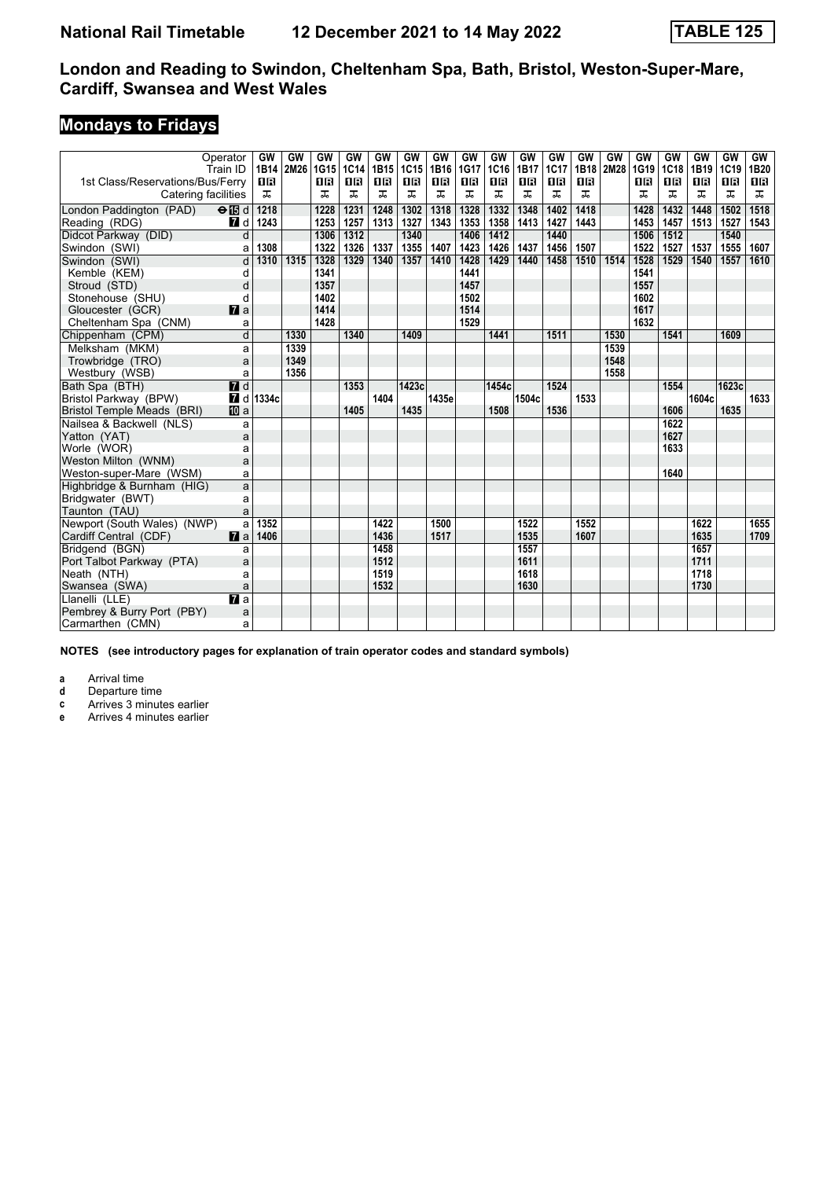## **Mondays to Fridays**

|                                  | Operator<br>Train ID      | GW<br>1B14             | GW<br>2M26 | GW<br>1G15 | GW<br>1C14 | GW<br>1B15 | GW<br>1C15 | GW<br>1B16 | GW<br>1G17 | GW<br>1C16 | GW<br>1B17 | GW<br>1C17 | GW<br>1B18 | GW<br>2M28 | GW<br>1G19 | GW<br>1C18 | GW<br>1B19 | GW<br>1C19 | <b>GW</b><br>1B20 |
|----------------------------------|---------------------------|------------------------|------------|------------|------------|------------|------------|------------|------------|------------|------------|------------|------------|------------|------------|------------|------------|------------|-------------------|
| 1st Class/Reservations/Bus/Ferry |                           | <b>0B</b>              |            | 0R         | 0 B        | 0 B        | 0 B        | 16         | 08         | 16         | 0 B        | <b>OB</b>  | <b>0B</b>  |            | 18         | 0 B        | 0 B        | 1 R        | 1B                |
| Catering facilities              |                           | ᠼ                      |            | ᠼ          | ᠼ          | ᠼ          | ᠼ          | ᠼ          | ᠼ          | ᠼ          | ᠼ          | ᠼ          | ᠼ          |            | ᠼ          | ᠼ          | ᠼ          | ᠼ          | ᠼ                 |
| London Paddington (PAD)          | $\Theta$ $\blacksquare$ d | 1218                   |            | 1228       | 1231       | 1248       | 1302       | 1318       | 1328       | 1332       | 1348       | 1402       | 1418       |            | 1428       | 1432       | 1448       | 1502       | 1518              |
| Reading (RDG)                    | 7 d                       | 1243                   |            | 1253       | 1257       | 1313       | 1327       | 1343       | 1353       | 1358       | 1413       | 1427       | 1443       |            | 1453       | 1457       | 1513       | 1527       | 1543              |
| Didcot Parkway (DID)             | $\overline{\mathsf{d}}$   |                        |            | 1306       | 1312       |            | 1340       |            | 1406       | 1412       |            | 1440       |            |            | 1506       | 1512       |            | 1540       |                   |
| Swindon (SWI)                    | a                         | 1308                   |            | 1322       | 1326       | 1337       | 1355       | 1407       | 1423       | 1426       | 1437       | 1456       | 1507       |            | 1522       | 1527       | 1537       | 1555       | 1607              |
| Swindon (SWI)                    | d                         | 1310                   | 1315       | 1328       | 1329       | 1340       | 1357       | 1410       | 1428       | 1429       | 1440       | 1458       | 1510       | 1514       | 1528       | 1529       | 1540       | 1557       | 1610              |
| Kemble (KEM)                     | d                         |                        |            | 1341       |            |            |            |            | 1441       |            |            |            |            |            | 1541       |            |            |            |                   |
| Stroud (STD)                     | d                         |                        |            | 1357       |            |            |            |            | 1457       |            |            |            |            |            | 1557       |            |            |            |                   |
| Stonehouse (SHU)                 | d                         |                        |            | 1402       |            |            |            |            | 1502       |            |            |            |            |            | 1602       |            |            |            |                   |
| Gloucester (GCR)                 | $\mathbf{z}$ a            |                        |            | 1414       |            |            |            |            | 1514       |            |            |            |            |            | 1617       |            |            |            |                   |
| Cheltenham Spa (CNM)             | a                         |                        |            | 1428       |            |            |            |            | 1529       |            |            |            |            |            | 1632       |            |            |            |                   |
| Chippenham (CPM)                 | d                         |                        | 1330       |            | 1340       |            | 1409       |            |            | 1441       |            | 1511       |            | 1530       |            | 1541       |            | 1609       |                   |
| Melksham (MKM)                   | a                         |                        | 1339       |            |            |            |            |            |            |            |            |            |            | 1539       |            |            |            |            |                   |
| Trowbridge (TRO)                 | a                         |                        | 1349       |            |            |            |            |            |            |            |            |            |            | 1548       |            |            |            |            |                   |
| Westbury (WSB)                   | a                         |                        | 1356       |            |            |            |            |            |            |            |            |            |            | 1558       |            |            |            |            |                   |
| Bath Spa (BTH)                   | $\overline{H}$ d          |                        |            |            | 1353       |            | 1423c      |            |            | 1454c      |            | 1524       |            |            |            | 1554       |            | 1623c      |                   |
| Bristol Parkway (BPW)            |                           | $\blacksquare$ d 1334c |            |            |            | 1404       |            | 1435e      |            |            | 1504c      |            | 1533       |            |            |            | 1604c      |            | 1633              |
| Bristol Temple Meads (BRI)       | <b>ID</b> a               |                        |            |            | 1405       |            | 1435       |            |            | 1508       |            | 1536       |            |            |            | 1606       |            | 1635       |                   |
| Nailsea & Backwell (NLS)         | a                         |                        |            |            |            |            |            |            |            |            |            |            |            |            |            | 1622       |            |            |                   |
| Yatton (YAT)                     | a                         |                        |            |            |            |            |            |            |            |            |            |            |            |            |            | 1627       |            |            |                   |
| Worle (WOR)                      | a                         |                        |            |            |            |            |            |            |            |            |            |            |            |            |            | 1633       |            |            |                   |
| Weston Milton (WNM)              | a                         |                        |            |            |            |            |            |            |            |            |            |            |            |            |            |            |            |            |                   |
| Weston-super-Mare (WSM)          | a                         |                        |            |            |            |            |            |            |            |            |            |            |            |            |            | 1640       |            |            |                   |
| Highbridge & Burnham (HIG)       | a                         |                        |            |            |            |            |            |            |            |            |            |            |            |            |            |            |            |            |                   |
| Bridgwater (BWT)                 | a                         |                        |            |            |            |            |            |            |            |            |            |            |            |            |            |            |            |            |                   |
| Taunton (TAU)                    | a                         |                        |            |            |            |            |            |            |            |            |            |            |            |            |            |            |            |            |                   |
| Newport (South Wales) (NWP)      | a                         | 1352                   |            |            |            | 1422       |            | 1500       |            |            | 1522       |            | 1552       |            |            |            | 1622       |            | 1655              |
| Cardiff Central (CDF)            | $\mathbf{z}$ a            | 1406                   |            |            |            | 1436       |            | 1517       |            |            | 1535       |            | 1607       |            |            |            | 1635       |            | 1709              |
| Bridgend (BGN)                   | a                         |                        |            |            |            | 1458       |            |            |            |            | 1557       |            |            |            |            |            | 1657       |            |                   |
| Port Talbot Parkway (PTA)        | a                         |                        |            |            |            | 1512       |            |            |            |            | 1611       |            |            |            |            |            | 1711       |            |                   |
| Neath (NTH)                      | a                         |                        |            |            |            | 1519       |            |            |            |            | 1618       |            |            |            |            |            | 1718       |            |                   |
| Swansea (SWA)                    | a                         |                        |            |            |            | 1532       |            |            |            |            | 1630       |            |            |            |            |            | 1730       |            |                   |
| Llanelli (LLE)                   | $\mathbf{z}$ a            |                        |            |            |            |            |            |            |            |            |            |            |            |            |            |            |            |            |                   |
| Pembrey & Burry Port (PBY)       | a                         |                        |            |            |            |            |            |            |            |            |            |            |            |            |            |            |            |            |                   |
| Carmarthen (CMN)                 | a                         |                        |            |            |            |            |            |            |            |            |            |            |            |            |            |            |            |            |                   |

**NOTES (see introductory pages for explanation of train operator codes and standard symbols)**

**a** Arrival time<br>**d** Departure ti

**d** Departure time

**c** Arrives 3 minutes earlier

**e** Arrives 4 minutes earlier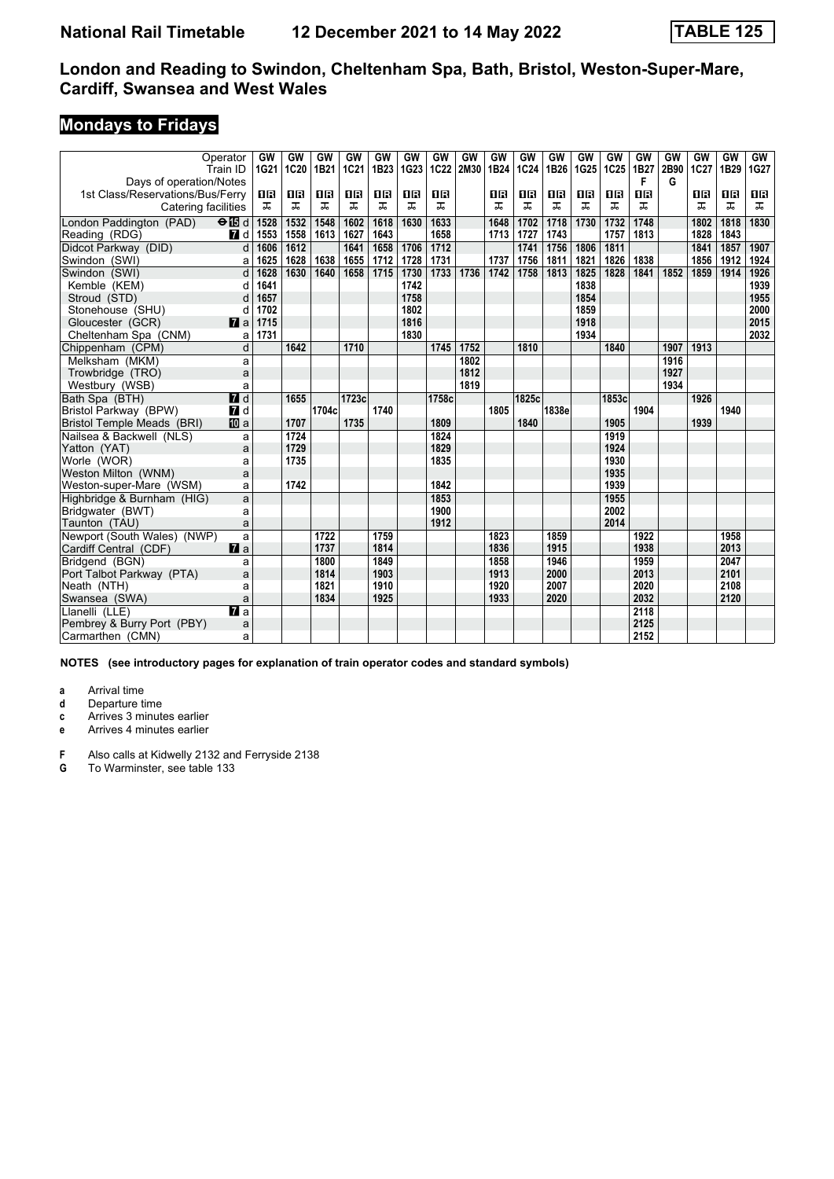# **Mondays to Fridays**

| Operator<br>Train ID               | GW<br>1G21               | GW<br>1C20 | GW<br>1B21 | GW<br>1C21 | GW<br>1B23 | GW<br>1G23 | GW<br>1C22 | GW<br>2M30 | GW<br>1B24 | GW<br>1C24 | GW<br>1B26 | GW<br>1G25 | GW<br>1C <sub>25</sub> | GW<br>1B27 | GW<br>2B90 | GW<br>1C27 | <b>GW</b><br>1B29 | GW<br>1G27 |
|------------------------------------|--------------------------|------------|------------|------------|------------|------------|------------|------------|------------|------------|------------|------------|------------------------|------------|------------|------------|-------------------|------------|
| Days of operation/Notes            |                          |            |            |            |            |            |            |            |            |            |            |            |                        | F          | G          |            |                   |            |
| 1st Class/Reservations/Bus/Ferry   | 1R                       | 0 B        | 0 B        | 0 B        | 1 R        | 0 B        | 0 B        |            | 1R         | OR         | 16         | 1 R        | 0 B                    | 1R         |            | 1R         | 08                | 0 B        |
| Catering facilities                | ᠼ                        | ᠼ          | ᠼ          | ᠼ          | ᠼ          | ᠼ          | ᠼ          |            | ᠼ          | ᠼ          | ᠼ          | ᅚ          | ᅚ                      | ᠼ          |            | ᅚ          | ᠼ                 | ᠼ          |
| London Paddington (PAD)<br>$e$ $d$ | 1528                     | 1532       | 1548       | 1602       | 1618       | 1630       | 1633       |            | 1648       | 1702       | 1718       | 1730       | 1732                   | 1748       |            | 1802       | 1818              | 1830       |
| Reading (RDG)                      | 7 d<br>1553              | 1558       | 1613       | 1627       | 1643       |            | 1658       |            | 1713       | 1727       | 1743       |            | 1757                   | 1813       |            | 1828       | 1843              |            |
| Didcot Parkway (DID)               | 1606<br>d                | 1612       |            | 1641       | 1658       | 1706       | 1712       |            |            | 1741       | 1756       | 1806       | 1811                   |            |            | 1841       | 1857              | 1907       |
| Swindon (SWI)                      | 1625<br>a                | 1628       | 1638       | 1655       | 1712       | 1728       | 1731       |            | 1737       | 1756       | 1811       | 1821       | 1826                   | 1838       |            | 1856       | 1912              | 1924       |
| Swindon (SWI)                      | d<br>1628                | 1630       | 1640       | 1658       | 1715       | 1730       | 1733       | 1736       | 1742       | 1758       | 1813       | 1825       | 1828                   | 1841       | 1852       | 1859       | 1914              | 1926       |
| Kemble (KEM)                       | 1641<br>d                |            |            |            |            | 1742       |            |            |            |            |            | 1838       |                        |            |            |            |                   | 1939       |
| Stroud (STD)                       | 1657<br>d                |            |            |            |            | 1758       |            |            |            |            |            | 1854       |                        |            |            |            |                   | 1955       |
| Stonehouse (SHU)                   | 1702<br>d                |            |            |            |            | 1802       |            |            |            |            |            | 1859       |                        |            |            |            |                   | 2000       |
| Gloucester (GCR)                   | 1715<br>$\blacksquare$ a |            |            |            |            | 1816       |            |            |            |            |            | 1918       |                        |            |            |            |                   | 2015       |
| Cheltenham Spa (CNM)               | 1731<br>a                |            |            |            |            | 1830       |            |            |            |            |            | 1934       |                        |            |            |            |                   | 2032       |
| Chippenham (CPM)                   | d                        | 1642       |            | 1710       |            |            | 1745       | 1752       |            | 1810       |            |            | 1840                   |            | 1907       | 1913       |                   |            |
| Melksham (MKM)                     | a                        |            |            |            |            |            |            | 1802       |            |            |            |            |                        |            | 1916       |            |                   |            |
| Trowbridge (TRO)                   | a                        |            |            |            |            |            |            | 1812       |            |            |            |            |                        |            | 1927       |            |                   |            |
| Westbury (WSB)                     | a                        |            |            |            |            |            |            | 1819       |            |            |            |            |                        |            | 1934       |            |                   |            |
| Bath Spa (BTH)                     | $\blacksquare$ d         | 1655       |            | 1723c      |            |            | 1758c      |            |            | 1825c      |            |            | 1853c                  |            |            | 1926       |                   |            |
| Bristol Parkway (BPW)              | $\blacksquare$ d         |            | 1704c      |            | 1740       |            |            |            | 1805       |            | 1838e      |            |                        | 1904       |            |            | 1940              |            |
| <b>Bristol Temple Meads (BRI)</b>  | 囮 a                      | 1707       |            | 1735       |            |            | 1809       |            |            | 1840       |            |            | 1905                   |            |            | 1939       |                   |            |
| Nailsea & Backwell (NLS)           | a                        | 1724       |            |            |            |            | 1824       |            |            |            |            |            | 1919                   |            |            |            |                   |            |
| Yatton (YAT)                       | a                        | 1729       |            |            |            |            | 1829       |            |            |            |            |            | 1924                   |            |            |            |                   |            |
| Worle (WOR)                        | a                        | 1735       |            |            |            |            | 1835       |            |            |            |            |            | 1930                   |            |            |            |                   |            |
| Weston Milton (WNM)                | a                        |            |            |            |            |            |            |            |            |            |            |            | 1935                   |            |            |            |                   |            |
| Weston-super-Mare (WSM)            | a                        | 1742       |            |            |            |            | 1842       |            |            |            |            |            | 1939                   |            |            |            |                   |            |
| Highbridge & Burnham (HIG)         | a                        |            |            |            |            |            | 1853       |            |            |            |            |            | 1955                   |            |            |            |                   |            |
| Bridgwater (BWT)                   | a                        |            |            |            |            |            | 1900       |            |            |            |            |            | 2002                   |            |            |            |                   |            |
| Taunton (TAU)                      | a                        |            |            |            |            |            | 1912       |            |            |            |            |            | 2014                   |            |            |            |                   |            |
| Newport (South Wales) (NWP)        | a                        |            | 1722       |            | 1759       |            |            |            | 1823       |            | 1859       |            |                        | 1922       |            |            | 1958              |            |
| Cardiff Central (CDF)              | $\mathbf{z}$ a           |            | 1737       |            | 1814       |            |            |            | 1836       |            | 1915       |            |                        | 1938       |            |            | 2013              |            |
| Bridgend (BGN)                     | a                        |            | 1800       |            | 1849       |            |            |            | 1858       |            | 1946       |            |                        | 1959       |            |            | 2047              |            |
| Port Talbot Parkway (PTA)          | a                        |            | 1814       |            | 1903       |            |            |            | 1913       |            | 2000       |            |                        | 2013       |            |            | 2101              |            |
| Neath (NTH)                        | a                        |            | 1821       |            | 1910       |            |            |            | 1920       |            | 2007       |            |                        | 2020       |            |            | 2108              |            |
| Swansea (SWA)                      | a                        |            | 1834       |            | 1925       |            |            |            | 1933       |            | 2020       |            |                        | 2032       |            |            | 2120              |            |
| $\overline{a}$ a<br>Llanelli (LLE) |                          |            |            |            |            |            |            |            |            |            |            |            |                        | 2118       |            |            |                   |            |
| Pembrey & Burry Port (PBY)         | a                        |            |            |            |            |            |            |            |            |            |            |            |                        | 2125       |            |            |                   |            |
| Carmarthen (CMN)                   | a                        |            |            |            |            |            |            |            |            |            |            |            |                        | 2152       |            |            |                   |            |

**NOTES (see introductory pages for explanation of train operator codes and standard symbols)**

**a** Arrival time<br>**d** Departure t

**d** Departure time

**c** Arrives 3 minutes earlier

**e** Arrives 4 minutes earlier

**F** Also calls at Kidwelly 2132 and Ferryside 2138<br>**G** To Warminster, see table 133

**G** To Warminster, see table 133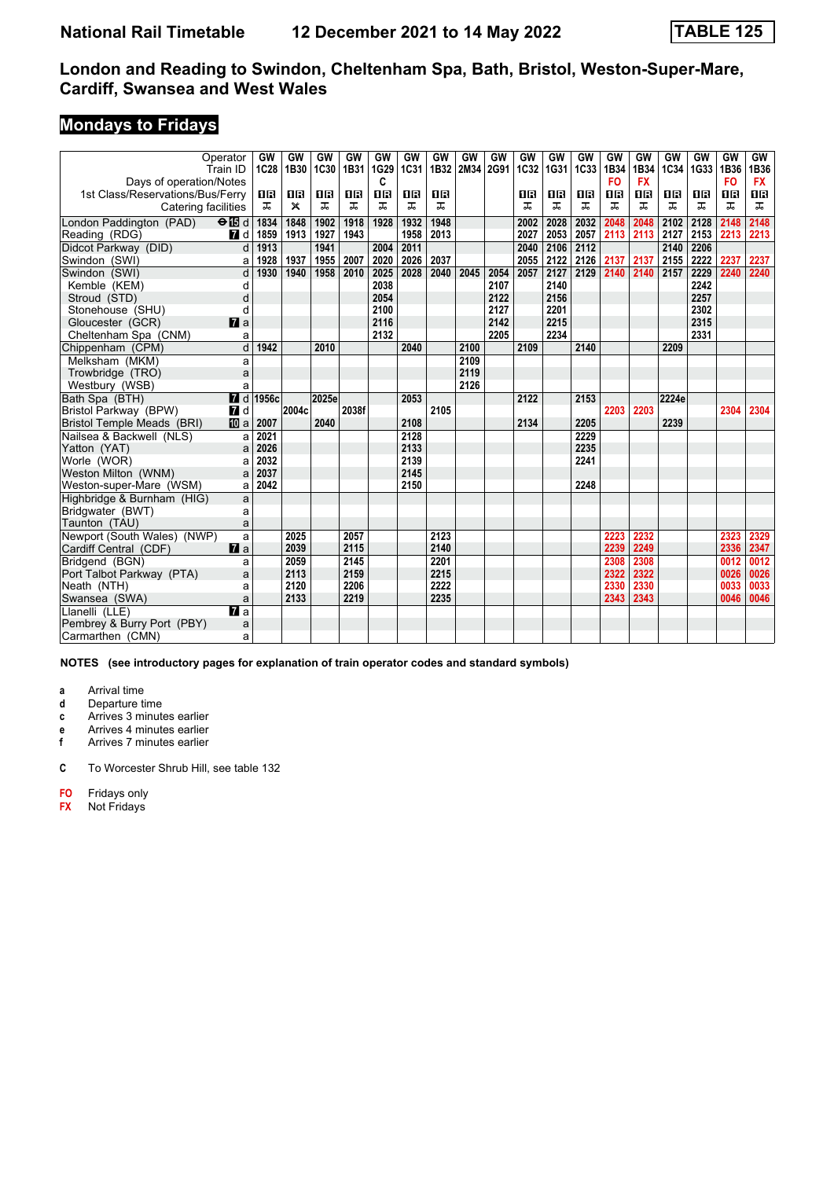# **Mondays to Fridays**

|                                  | Operator<br>Train ID | GW<br>1C28               | GW<br>1B30   | GW<br>1C30 | GW<br>1B31 | GW<br>1G29 | <b>GW</b><br>1C31 | GW<br>1B32 | GW<br>2M34 | GW<br>2G91 | GW<br>1C32 | GW<br>1G31 | GW<br><b>1C33</b> | GW<br>1B34 | GW<br>1B34 | GW<br>1C34 | GW<br>1G33 | <b>GW</b><br>1B36 | GW<br>1B36 |
|----------------------------------|----------------------|--------------------------|--------------|------------|------------|------------|-------------------|------------|------------|------------|------------|------------|-------------------|------------|------------|------------|------------|-------------------|------------|
| Days of operation/Notes          |                      |                          |              |            |            | C          |                   |            |            |            |            |            |                   | <b>FO</b>  | <b>FX</b>  |            |            | <b>FO</b>         | <b>FX</b>  |
| 1st Class/Reservations/Bus/Ferry |                      | 1 R                      | 1 R          | 0 B        | 0 B        | 1R         | 0 B               | 1 R        |            |            | 1 R        | 1 R        | 1 R               | 0 B        | 16         | 1 R        | 0 B        | 1 R               | 0 B        |
| Catering facilities              |                      | ᠼ                        | $\mathsf{x}$ | ᠼ          | ᠼ          | ᠼ          | ㅈ                 | ㅈ          |            |            | ᠼ          | ᅚ          | ᅚ                 | ᅚ          | ᅚ          | ㅈ          | ㅈ          | ㅈ                 | ᠼ          |
| London Paddington (PAD)          | $\Theta$ is d        | 1834                     | 1848         | 1902       | 1918       | 1928       | 1932              | 1948       |            |            | 2002       | 2028       | 2032              | 2048       | 2048       | 2102       | 2128       | 2148              | 2148       |
| Reading (RDG)                    | 7 d                  | 1859                     | 1913         | 1927       | 1943       |            | 1958              | 2013       |            |            | 2027       | 2053       | 2057              | 2113       | 2113       | 2127       | 2153       | 2213              | 2213       |
| Didcot Parkway (DID)             | d                    | 1913                     |              | 1941       |            | 2004       | 2011              |            |            |            | 2040       | 2106       | 2112              |            |            | 2140       | 2206       |                   |            |
| Swindon (SWI)                    | a                    | 1928                     | 1937         | 1955       | 2007       | 2020       | 2026              | 2037       |            |            | 2055       | 2122       | 2126              | 2137       | 2137       | 2155       | 2222       | 2237              | 2237       |
| Swindon (SWI)                    | d                    | 1930                     | 1940         | 1958       | 2010       | 2025       | 2028              | 2040       | 2045       | 2054       | 2057       | 2127       | 2129              | 2140       | 2140       | 2157       | 2229       | 2240              | 2240       |
| Kemble (KEM)                     | d                    |                          |              |            |            | 2038       |                   |            |            | 2107       |            | 2140       |                   |            |            |            | 2242       |                   |            |
| Stroud (STD)                     | d                    |                          |              |            |            | 2054       |                   |            |            | 2122       |            | 2156       |                   |            |            |            | 2257       |                   |            |
| Stonehouse (SHU)                 | d                    |                          |              |            |            | 2100       |                   |            |            | 2127       |            | 2201       |                   |            |            |            | 2302       |                   |            |
| Gloucester (GCR)                 | $\blacksquare$ a     |                          |              |            |            | 2116       |                   |            |            | 2142       |            | 2215       |                   |            |            |            | 2315       |                   |            |
| Cheltenham Spa (CNM)             | a                    |                          |              |            |            | 2132       |                   |            |            | 2205       |            | 2234       |                   |            |            |            | 2331       |                   |            |
| Chippenham (CPM)                 | $\overline{d}$       | 1942                     |              | 2010       |            |            | 2040              |            | 2100       |            | 2109       |            | 2140              |            |            | 2209       |            |                   |            |
| Melksham (MKM)                   | a                    |                          |              |            |            |            |                   |            | 2109       |            |            |            |                   |            |            |            |            |                   |            |
| Trowbridge (TRO)                 | a                    |                          |              |            |            |            |                   |            | 2119       |            |            |            |                   |            |            |            |            |                   |            |
| Westbury (WSB)                   | a                    |                          |              |            |            |            |                   |            | 2126       |            |            |            |                   |            |            |            |            |                   |            |
| Bath Spa (BTH)                   |                      | $\blacksquare$ d   1956c |              | 2025e      |            |            | 2053              |            |            |            | 2122       |            | 2153              |            |            | 2224e      |            |                   |            |
| Bristol Parkway (BPW)            | 7d                   |                          | 2004c        |            | 2038f      |            |                   | 2105       |            |            |            |            |                   | 2203       | 2203       |            |            | 2304              | 2304       |
| Bristol Temple Meads (BRI)       | <b>ID</b> a          | 2007                     |              | 2040       |            |            | 2108              |            |            |            | 2134       |            | 2205              |            |            | 2239       |            |                   |            |
| Nailsea & Backwell (NLS)         | a                    | 2021                     |              |            |            |            | 2128              |            |            |            |            |            | 2229              |            |            |            |            |                   |            |
| Yatton (YAT)                     | a                    | 2026                     |              |            |            |            | 2133              |            |            |            |            |            | 2235              |            |            |            |            |                   |            |
| Worle (WOR)                      | a                    | 2032                     |              |            |            |            | 2139              |            |            |            |            |            | 2241              |            |            |            |            |                   |            |
| Weston Milton (WNM)              | a                    | 2037                     |              |            |            |            | 2145              |            |            |            |            |            |                   |            |            |            |            |                   |            |
| Weston-super-Mare (WSM)          | a                    | 2042                     |              |            |            |            | 2150              |            |            |            |            |            | 2248              |            |            |            |            |                   |            |
| Highbridge & Burnham (HIG)       | a                    |                          |              |            |            |            |                   |            |            |            |            |            |                   |            |            |            |            |                   |            |
| Bridgwater (BWT)                 | a                    |                          |              |            |            |            |                   |            |            |            |            |            |                   |            |            |            |            |                   |            |
| Taunton (TAU)                    | a                    |                          |              |            |            |            |                   |            |            |            |            |            |                   |            |            |            |            |                   |            |
| Newport (South Wales) (NWP)      | a                    |                          | 2025         |            | 2057       |            |                   | 2123       |            |            |            |            |                   | 2223       | 2232       |            |            | 2323              | 2329       |
| Cardiff Central (CDF)            | $\mathbf{z}$ a       |                          | 2039         |            | 2115       |            |                   | 2140       |            |            |            |            |                   | 2239       | 2249       |            |            | 2336              | 2347       |
| Bridgend (BGN)                   | a                    |                          | 2059         |            | 2145       |            |                   | 2201       |            |            |            |            |                   | 2308       | 2308       |            |            | 0012              | 0012       |
| Port Talbot Parkway (PTA)        | a                    |                          | 2113         |            | 2159       |            |                   | 2215       |            |            |            |            |                   | 2322       | 2322       |            |            | 0026              | 0026       |
| Neath (NTH)                      | a                    |                          | 2120         |            | 2206       |            |                   | 2222       |            |            |            |            |                   | 2330       | 2330       |            |            | 0033              | 0033       |
| Swansea (SWA)                    | a                    |                          | 2133         |            | 2219       |            |                   | 2235       |            |            |            |            |                   | 2343       | 2343       |            |            | 0046              | 0046       |
| Llanelli (LLE)                   | $\mathbf{z}$ a       |                          |              |            |            |            |                   |            |            |            |            |            |                   |            |            |            |            |                   |            |
| Pembrey & Burry Port (PBY)       | a                    |                          |              |            |            |            |                   |            |            |            |            |            |                   |            |            |            |            |                   |            |
| Carmarthen (CMN)                 | a                    |                          |              |            |            |            |                   |            |            |            |            |            |                   |            |            |            |            |                   |            |

**NOTES (see introductory pages for explanation of train operator codes and standard symbols)**

**a** Arrival time<br>**d** Departure t

**d** Departure time

**c** Arrives 3 minutes earlier

**e** Arrives 4 minutes earlier<br>**f** Arrives 7 minutes earlier **f** Arrives 7 minutes earlier

**C** To Worcester Shrub Hill, see table 132

**F0** Fridays only<br>**FX** Not Fridays **F;** Not Fridays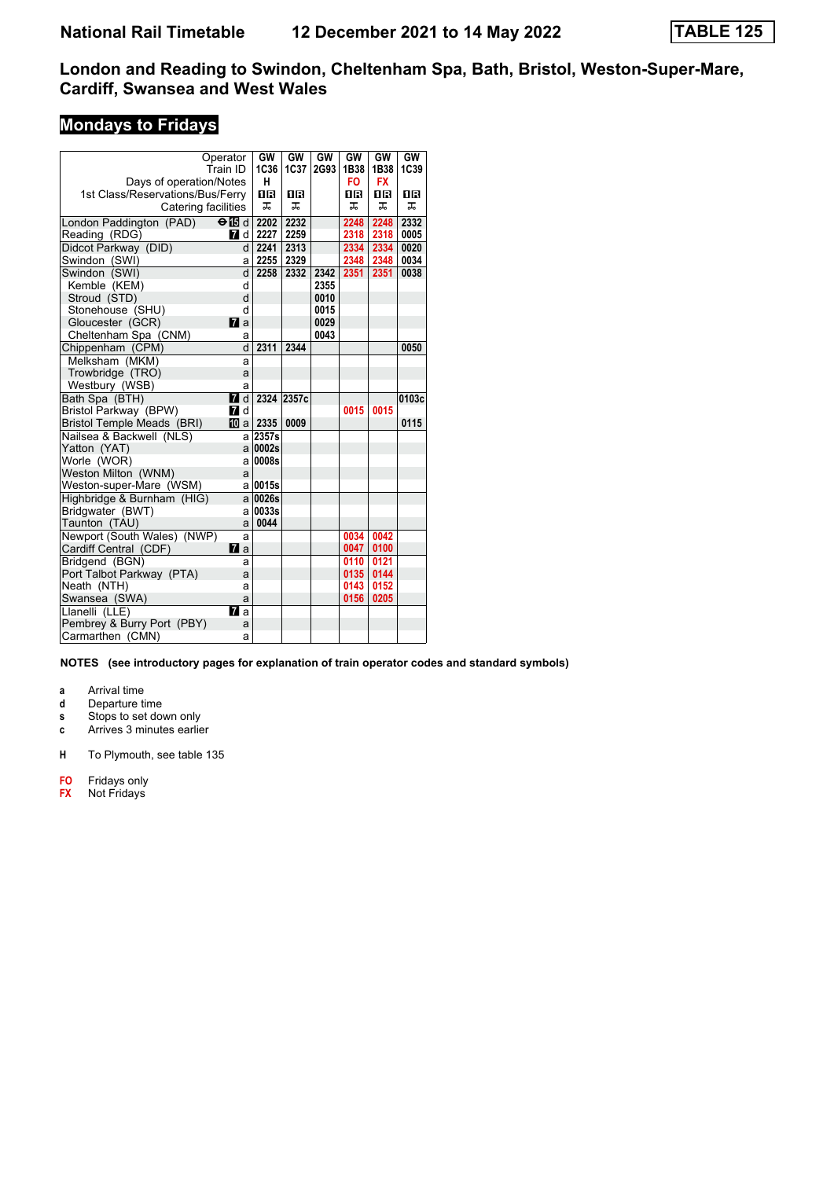# **Mondays to Fridays**

|                                  | Operator       | GW             | GW         | GW   | GW   | GW        | GW    |
|----------------------------------|----------------|----------------|------------|------|------|-----------|-------|
|                                  | Train ID       | <b>1C36</b>    | 1C37       | 2G93 | 1B38 | 1B38      | 1C39  |
| Days of operation/Notes          |                | н              |            |      | FO.  | <b>FX</b> |       |
| 1st Class/Reservations/Bus/Ferry |                | 0 B            | 1 R        |      | 1R   | 1R        | ΠR    |
| Catering facilities              |                | 工。             | ᠼ          |      | ᅚ    | ᠼ         | ᅚ     |
| London Paddington (PAD)          | $\Theta$ ididi | 2202           | 2232       |      | 2248 | 2248      | 2332  |
| Reading (RDG)                    | <b>7</b> d     | 2227           | 2259       |      | 2318 | 2318      | 0005  |
| Didcot Parkway (DID)             | d              | 2241           | 2313       |      | 2334 | 2334      | 0020  |
| Swindon (SWI)                    | a              | 2255           | 2329       |      | 2348 | 2348      | 0034  |
| Swindon (SWI)                    | d              | 2258           | 2332       | 2342 | 2351 | 2351      | 0038  |
| Kemble (KEM)                     | d              |                |            | 2355 |      |           |       |
| Stroud (STD)                     | d              |                |            | 0010 |      |           |       |
| Stonehouse (SHU)                 | d              |                |            | 0015 |      |           |       |
| Gloucester (GCR)                 | $\mathbf{z}$ a |                |            | 0029 |      |           |       |
| Cheltenham Spa (CNM)             | a              |                |            | 0043 |      |           |       |
| Chippenham (CPM)                 | d              | 2311           | 2344       |      |      |           | 0050  |
| Melksham (MKM)                   | a              |                |            |      |      |           |       |
| Trowbridge (TRO)                 | a              |                |            |      |      |           |       |
| Westbury (WSB)                   | a              |                |            |      |      |           |       |
| Bath Spa (BTH)                   | <b>7</b> d     |                | 2324 2357c |      |      |           | 0103c |
| Bristol Parkway (BPW)            | <b>7</b> d     |                |            |      | 0015 | 0015      |       |
| Bristol Temple Meads (BRI)       | <b>i</b> ① a   | 2335           | 0009       |      |      |           | 0115  |
| Nailsea & Backwell (NLS)         | al             | 2357s          |            |      |      |           |       |
| Yatton (YAT)                     |                | $a$ 0002s      |            |      |      |           |       |
| Worle (WOR)                      | a              | 0008s          |            |      |      |           |       |
| Weston Milton (WNM)              | a              |                |            |      |      |           |       |
| Weston-super-Mare (WSM)          |                | a 0015s        |            |      |      |           |       |
| Highbridge & Burnham (HIG)       |                | $a \mid 0026s$ |            |      |      |           |       |
| Bridgwater (BWT)                 | a              | 0033s          |            |      |      |           |       |
| Taunton (TAU)                    | a              | 0044           |            |      |      |           |       |
| Newport (South Wales) (NWP)      | a              |                |            |      | 0034 | 0042      |       |
| Cardiff Central (CDF)            | $\mathbf{z}$ a |                |            |      | 0047 | 0100      |       |
| Bridgend (BGN)                   | a              |                |            |      | 0110 | 0121      |       |
| Port Talbot Parkway (PTA)        | a              |                |            |      | 0135 | 0144      |       |
| Neath (NTH)                      | a              |                |            |      | 0143 | 0152      |       |
| Swansea (SWA)                    | a              |                |            |      | 0156 | 0205      |       |
| Llanelli (LLE)                   | $\mathbf{z}$   |                |            |      |      |           |       |
| Pembrey & Burry Port (PBY)       | a              |                |            |      |      |           |       |
| Carmarthen (CMN)                 | a              |                |            |      |      |           |       |

**NOTES (see introductory pages for explanation of train operator codes and standard symbols)**

**a** Arrival time<br>**d** Departure t

**d** Departure time

**s** Stops to set down only

**c** Arrives 3 minutes earlier

**H** To Plymouth, see table 135

**F0** Fridays only<br>**FX** Not Fridays

**F;** Not Fridays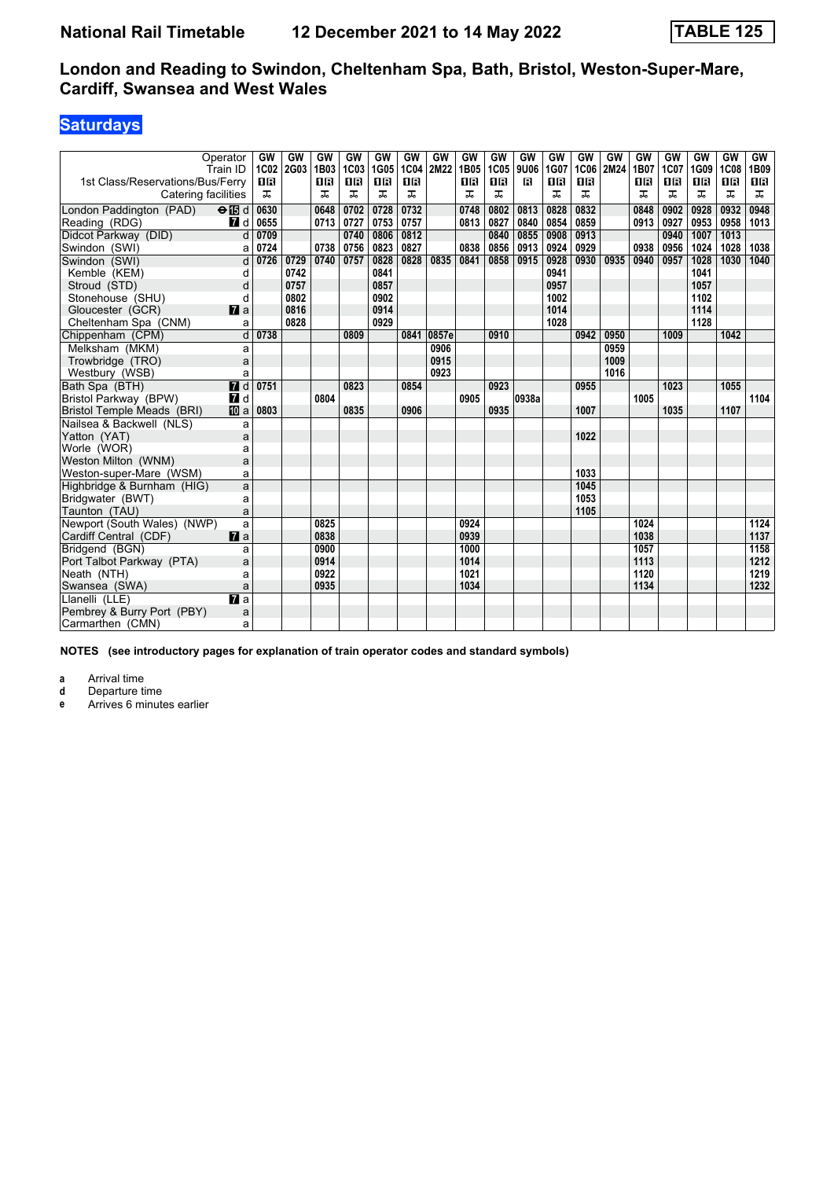## **Saturdays**

|                                   | Operator<br>Train ID      | GW<br>1C02 | GW<br>2G03 | GW<br>1B03 | GW<br>1C03 | GW<br>1G05 | GW<br>1C04 | GW<br>2M22 | GW<br>1B05 | GW<br>1C05 | GW<br>9U06 | GW<br>1G07 | GW<br><b>1C06</b> | GW<br>2M24 | GW<br>1B07 | GW<br>1C07 | GW<br>1G09 | GW<br><b>1C08</b> | <b>GW</b><br>1B09 |
|-----------------------------------|---------------------------|------------|------------|------------|------------|------------|------------|------------|------------|------------|------------|------------|-------------------|------------|------------|------------|------------|-------------------|-------------------|
| 1st Class/Reservations/Bus/Ferry  |                           | <b>0B</b>  |            | 08         | <b>08</b>  | 1R         | <b>08</b>  |            | ПR         | 16         | В          | 0 B        | <b>0B</b>         |            | 18         | 0 B        | 0 B        | 1 R               | 1B                |
| Catering facilities               |                           | ᠼ          |            | ᠼ          | ᅚ          | ᠼ          | ᠼ          |            | ᠼ          | ᠼ          |            | ᠼ          | ᠼ                 |            | ᠼ          | ᠼ          | ᠼ          | ᠼ                 | ᠼ                 |
| London Paddington (PAD)           | $\Theta$ $\blacksquare$ d | 0630       |            | 0648       | 0702       | 0728       | 0732       |            | 0748       | 0802       | 0813       | 0828       | 0832              |            | 0848       | 0902       | 0928       | 0932              | 0948              |
| Reading (RDG)                     | <b>7</b> d                | 0655       |            | 0713       | 0727       | 0753       | 0757       |            | 0813       | 0827       | 0840       | 0854       | 0859              |            | 0913       | 0927       | 0953       | 0958              | 1013              |
| Didcot Parkway (DID)              | d                         | 0709       |            |            | 0740       | 0806       | 0812       |            |            | 0840       | 0855       | 0908       | 0913              |            |            | 0940       | 1007       | 1013              |                   |
| Swindon (SWI)                     | a                         | 0724       |            | 0738       | 0756       | 0823       | 0827       |            | 0838       | 0856       | 0913       | 0924       | 0929              |            | 0938       | 0956       | 1024       | 1028              | 1038              |
| Swindon (SWI)                     | d                         | 0726       | 0729       | 0740       | 0757       | 0828       | 0828       | 0835       | 0841       | 0858       | 0915       | 0928       | 0930              | 0935       | 0940       | 0957       | 1028       | 1030              | 1040              |
| Kemble (KEM)                      | d                         |            | 0742       |            |            | 0841       |            |            |            |            |            | 0941       |                   |            |            |            | 1041       |                   |                   |
| Stroud (STD)                      | d                         |            | 0757       |            |            | 0857       |            |            |            |            |            | 0957       |                   |            |            |            | 1057       |                   |                   |
| Stonehouse (SHU)                  | d                         |            | 0802       |            |            | 0902       |            |            |            |            |            | 1002       |                   |            |            |            | 1102       |                   |                   |
| Gloucester (GCR)                  | $\mathbf{z}$ a            |            | 0816       |            |            | 0914       |            |            |            |            |            | 1014       |                   |            |            |            | 1114       |                   |                   |
| Cheltenham Spa (CNM)              | a                         |            | 0828       |            |            | 0929       |            |            |            |            |            | 1028       |                   |            |            |            | 1128       |                   |                   |
| Chippenham (CPM)                  | d                         | 0738       |            |            | 0809       |            | 0841       | 0857e      |            | 0910       |            |            | 0942              | 0950       |            | 1009       |            | 1042              |                   |
| Melksham (MKM)                    | a                         |            |            |            |            |            |            | 0906       |            |            |            |            |                   | 0959       |            |            |            |                   |                   |
| Trowbridge (TRO)                  | a                         |            |            |            |            |            |            | 0915       |            |            |            |            |                   | 1009       |            |            |            |                   |                   |
| Westbury (WSB)                    | a                         |            |            |            |            |            |            | 0923       |            |            |            |            |                   | 1016       |            |            |            |                   |                   |
| Bath Spa (BTH)                    | $\overline{H}$ d          | 0751       |            |            | 0823       |            | 0854       |            |            | 0923       |            |            | 0955              |            |            | 1023       |            | 1055              |                   |
| Bristol Parkway (BPW)             | <b>7</b> d                |            |            | 0804       |            |            |            |            | 0905       |            | 0938a      |            |                   |            | 1005       |            |            |                   | 1104              |
| <b>Bristol Temple Meads (BRI)</b> | <b>ID</b> a               | 0803       |            |            | 0835       |            | 0906       |            |            | 0935       |            |            | 1007              |            |            | 1035       |            | 1107              |                   |
| Nailsea & Backwell (NLS)          | a                         |            |            |            |            |            |            |            |            |            |            |            |                   |            |            |            |            |                   |                   |
| Yatton (YAT)                      | a                         |            |            |            |            |            |            |            |            |            |            |            | 1022              |            |            |            |            |                   |                   |
| Worle (WOR)                       | a                         |            |            |            |            |            |            |            |            |            |            |            |                   |            |            |            |            |                   |                   |
| Weston Milton (WNM)               | a                         |            |            |            |            |            |            |            |            |            |            |            |                   |            |            |            |            |                   |                   |
| Weston-super-Mare (WSM)           | a                         |            |            |            |            |            |            |            |            |            |            |            | 1033              |            |            |            |            |                   |                   |
| Highbridge & Burnham (HIG)        | a                         |            |            |            |            |            |            |            |            |            |            |            | 1045              |            |            |            |            |                   |                   |
| Bridgwater (BWT)                  | a                         |            |            |            |            |            |            |            |            |            |            |            | 1053              |            |            |            |            |                   |                   |
| Taunton (TAU)                     | a                         |            |            |            |            |            |            |            |            |            |            |            | 1105              |            |            |            |            |                   |                   |
| Newport (South Wales) (NWP)       | a                         |            |            | 0825       |            |            |            |            | 0924       |            |            |            |                   |            | 1024       |            |            |                   | 1124              |
| Cardiff Central (CDF)             | $\mathbf{z}$ a            |            |            | 0838       |            |            |            |            | 0939       |            |            |            |                   |            | 1038       |            |            |                   | 1137              |
| Bridgend (BGN)                    | a                         |            |            | 0900       |            |            |            |            | 1000       |            |            |            |                   |            | 1057       |            |            |                   | 1158              |
| Port Talbot Parkway (PTA)         | a                         |            |            | 0914       |            |            |            |            | 1014       |            |            |            |                   |            | 1113       |            |            |                   | 1212              |
| Neath (NTH)                       | a                         |            |            | 0922       |            |            |            |            | 1021       |            |            |            |                   |            | 1120       |            |            |                   | 1219              |
| Swansea (SWA)                     | a                         |            |            | 0935       |            |            |            |            | 1034       |            |            |            |                   |            | 1134       |            |            |                   | 1232              |
| Llanelli (LLE)                    | $\overline{a}$            |            |            |            |            |            |            |            |            |            |            |            |                   |            |            |            |            |                   |                   |
| Pembrey & Burry Port (PBY)        | a                         |            |            |            |            |            |            |            |            |            |            |            |                   |            |            |            |            |                   |                   |
| Carmarthen (CMN)                  | a                         |            |            |            |            |            |            |            |            |            |            |            |                   |            |            |            |            |                   |                   |

**NOTES (see introductory pages for explanation of train operator codes and standard symbols)**

**a** Arrival time<br>**d** Departure ti

**d** Departure time

**e** Arrives 6 minutes earlier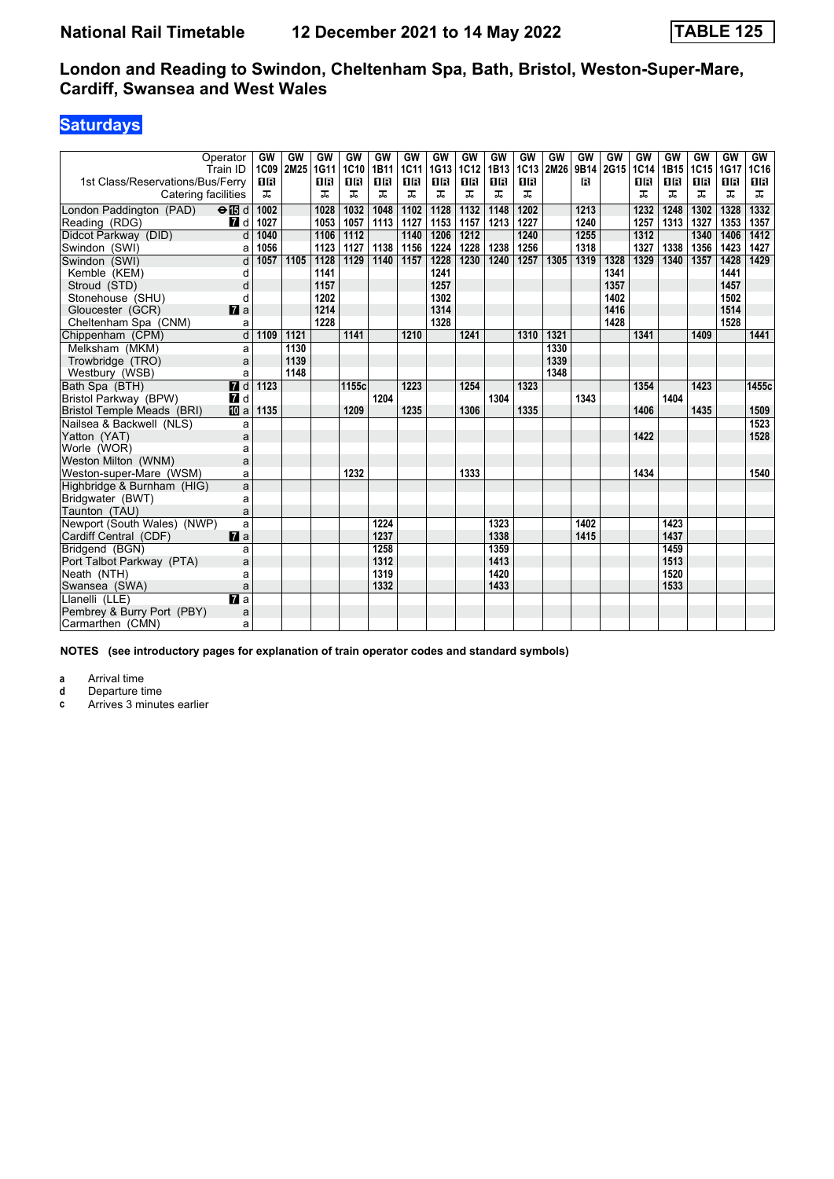## **Saturdays**

|                                  | Operator<br>Train ID      | GW<br>1C09       | GW<br>2M25 | GW<br>1G11 | GW<br>1C10 | GW<br>1B11 | GW<br>1C11 | GW<br>1G13 | GW<br>1C12 | GW<br>1B13 | GW<br>1C13 | GW<br>2M26 | GW<br>9B14 | GW<br>2G15 | GW<br>1C14 | GW<br>1B15 | GW<br><b>1C15</b> | GW<br>1G17 | <b>GW</b><br>1C16 |
|----------------------------------|---------------------------|------------------|------------|------------|------------|------------|------------|------------|------------|------------|------------|------------|------------|------------|------------|------------|-------------------|------------|-------------------|
| 1st Class/Reservations/Bus/Ferry |                           | <b>0B</b>        |            | 0R         | 0B         | 18         | 0 B        | 0 B        | 1 R        | 16         | 16         |            | R          |            | 16         | 0 B        | 0 B               | 18         | 1B                |
| Catering facilities              |                           | ᠼ                |            | ᠼ          | ᠼ          | ᠼ          | ᠼ          | ᠼ          | ᠼ          | ᠼ          | ᅚ          |            |            |            | ᠼ          | ᠼ          | ᠼ                 | ᠼ          | ᠼ                 |
| London Paddington (PAD)          | $\Theta$ $\blacksquare$ d | 1002             |            | 1028       | 1032       | 1048       | 1102       | 1128       | 1132       | 1148       | 1202       |            | 1213       |            | 1232       | 1248       | 1302              | 1328       | 1332              |
| Reading (RDG)                    | <b>7</b> d                | 1027             |            | 1053       | 1057       | 1113       | 1127       | 1153       | 1157       | 1213       | 1227       |            | 1240       |            | 1257       | 1313       | 1327              | 1353       | 1357              |
| Didcot Parkway (DID)             | d                         | 1040             |            | 1106       | 1112       |            | 1140       | 1206       | 1212       |            | 1240       |            | 1255       |            | 1312       |            | 1340              | 1406       | 1412              |
| Swindon (SWI)                    | a                         | 1056             |            | 1123       | 1127       | 1138       | 1156       | 1224       | 1228       | 1238       | 1256       |            | 1318       |            | 1327       | 1338       | 1356              | 1423       | 1427              |
| Swindon (SWI)                    | d                         | $\frac{1057}{ }$ | 1105       | 1128       | 1129       | 1140       | 1157       | 1228       | 1230       | 1240       | 1257       | 1305       | 1319       | 1328       | 1329       | 1340       | 1357              | 1428       | 1429              |
| Kemble (KEM)                     | d                         |                  |            | 1141       |            |            |            | 1241       |            |            |            |            |            | 1341       |            |            |                   | 1441       |                   |
| Stroud (STD)                     | d                         |                  |            | 1157       |            |            |            | 1257       |            |            |            |            |            | 1357       |            |            |                   | 1457       |                   |
| Stonehouse (SHU)                 | d                         |                  |            | 1202       |            |            |            | 1302       |            |            |            |            |            | 1402       |            |            |                   | 1502       |                   |
| Gloucester (GCR)                 | $\mathbf{z}$ a            |                  |            | 1214       |            |            |            | 1314       |            |            |            |            |            | 1416       |            |            |                   | 1514       |                   |
| Cheltenham Spa (CNM)             | a                         |                  |            | 1228       |            |            |            | 1328       |            |            |            |            |            | 1428       |            |            |                   | 1528       |                   |
| Chippenham (CPM)                 | d                         | 1109             | 1121       |            | 1141       |            | 1210       |            | 1241       |            | 1310       | 1321       |            |            | 1341       |            | 1409              |            | 1441              |
| Melksham (MKM)                   | a                         |                  | 1130       |            |            |            |            |            |            |            |            | 1330       |            |            |            |            |                   |            |                   |
| Trowbridge (TRO)                 | a                         |                  | 1139       |            |            |            |            |            |            |            |            | 1339       |            |            |            |            |                   |            |                   |
| Westbury (WSB)                   | a                         |                  | 1148       |            |            |            |            |            |            |            |            | 1348       |            |            |            |            |                   |            |                   |
| Bath Spa (BTH)                   | $\overline{H}$ d          | 1123             |            |            | 1155c      |            | 1223       |            | 1254       |            | 1323       |            |            |            | 1354       |            | 1423              |            | 1455c             |
| Bristol Parkway (BPW)            | <b>7</b> d                |                  |            |            |            | 1204       |            |            |            | 1304       |            |            | 1343       |            |            | 1404       |                   |            |                   |
| Bristol Temple Meads (BRI)       | <b>而</b> a                | 1135             |            |            | 1209       |            | 1235       |            | 1306       |            | 1335       |            |            |            | 1406       |            | 1435              |            | 1509              |
| Nailsea & Backwell (NLS)         | a                         |                  |            |            |            |            |            |            |            |            |            |            |            |            |            |            |                   |            | 1523              |
| Yatton (YAT)                     | a                         |                  |            |            |            |            |            |            |            |            |            |            |            |            | 1422       |            |                   |            | 1528              |
| Worle (WOR)                      | a                         |                  |            |            |            |            |            |            |            |            |            |            |            |            |            |            |                   |            |                   |
| Weston Milton (WNM)              | a                         |                  |            |            |            |            |            |            |            |            |            |            |            |            |            |            |                   |            |                   |
| Weston-super-Mare (WSM)          | a                         |                  |            |            | 1232       |            |            |            | 1333       |            |            |            |            |            | 1434       |            |                   |            | 1540              |
| Highbridge & Burnham (HIG)       | a                         |                  |            |            |            |            |            |            |            |            |            |            |            |            |            |            |                   |            |                   |
| Bridgwater (BWT)                 | a                         |                  |            |            |            |            |            |            |            |            |            |            |            |            |            |            |                   |            |                   |
| Taunton (TAU)                    | a                         |                  |            |            |            |            |            |            |            |            |            |            |            |            |            |            |                   |            |                   |
| Newport (South Wales) (NWP)      | a                         |                  |            |            |            | 1224       |            |            |            | 1323       |            |            | 1402       |            |            | 1423       |                   |            |                   |
| Cardiff Central (CDF)            | $\mathbf{z}$ a            |                  |            |            |            | 1237       |            |            |            | 1338       |            |            | 1415       |            |            | 1437       |                   |            |                   |
| Bridgend (BGN)                   | a                         |                  |            |            |            | 1258       |            |            |            | 1359       |            |            |            |            |            | 1459       |                   |            |                   |
| Port Talbot Parkway (PTA)        | a                         |                  |            |            |            | 1312       |            |            |            | 1413       |            |            |            |            |            | 1513       |                   |            |                   |
| Neath (NTH)                      | a                         |                  |            |            |            | 1319       |            |            |            | 1420       |            |            |            |            |            | 1520       |                   |            |                   |
| Swansea (SWA)                    | a                         |                  |            |            |            | 1332       |            |            |            | 1433       |            |            |            |            |            | 1533       |                   |            |                   |
| Llanelli (LLE)                   | $\overline{a}$            |                  |            |            |            |            |            |            |            |            |            |            |            |            |            |            |                   |            |                   |
| Pembrey & Burry Port (PBY)       | a                         |                  |            |            |            |            |            |            |            |            |            |            |            |            |            |            |                   |            |                   |
| Carmarthen (CMN)                 | a                         |                  |            |            |            |            |            |            |            |            |            |            |            |            |            |            |                   |            |                   |

**NOTES (see introductory pages for explanation of train operator codes and standard symbols)**

**a** Arrival time<br>**d** Departure ti

**d** Departure time

**c** Arrives 3 minutes earlier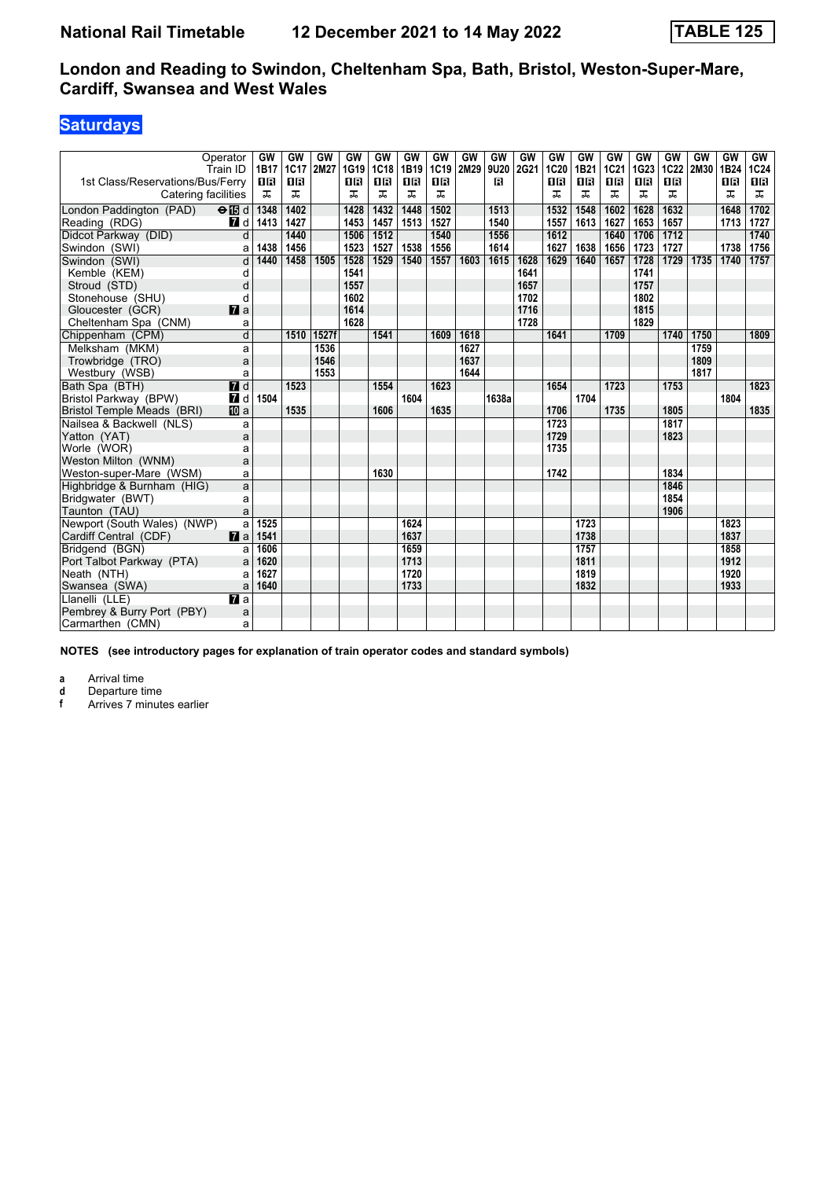## **Saturdays**

|                                  | Operator<br>Train ID      | GW<br>1B17 | GW<br>1C17 | GW<br>2M27 | GW<br>1G19 | GW<br>1C18 | GW<br>1B19 | GW<br>1C19 | GW<br>2M29 | GW<br>9U20 | GW<br>2G21 | GW<br>1C20 | GW<br>1B21 | GW<br><b>1C21</b> | GW<br>1G23 | GW<br>1C22 | GW<br>2M30 | GW<br>1B24 | GW<br><b>1C24</b> |
|----------------------------------|---------------------------|------------|------------|------------|------------|------------|------------|------------|------------|------------|------------|------------|------------|-------------------|------------|------------|------------|------------|-------------------|
| 1st Class/Reservations/Bus/Ferry |                           | 1 R        | <b>08</b>  |            | 0 B        | 1R         | 0 B        | <b>08</b>  |            | в          |            | 0R         | 0 B        | 0 B               | 16         | 0 B        |            | <b>08</b>  | 1 R               |
| Catering facilities              |                           | ᠼ          | ᠼ          |            | ᠼ          | ᠼ          | ᠼ          | ᠼ          |            |            |            | ᠼ          | ᠼ          | ᠼ                 | ᠼ          | ᠼ          |            | ᠼ          | ᠼ                 |
| London Paddington (PAD)          | $\Theta$ $\blacksquare$ d | 1348       | 1402       |            | 1428       | 1432       | 1448       | 1502       |            | 1513       |            | 1532       | 1548       | 1602              | 1628       | 1632       |            | 1648       | 1702              |
| Reading (RDG)                    | 7 d                       | 1413       | 1427       |            | 1453       | 1457       | 1513       | 1527       |            | 1540       |            | 1557       | 1613       | 1627              | 1653       | 1657       |            | 1713       | 1727              |
| Didcot Parkway (DID)             | $\overline{d}$            |            | 1440       |            | 1506       | 1512       |            | 1540       |            | 1556       |            | 1612       |            | 1640              | 1706       | 1712       |            |            | 1740              |
| Swindon (SWI)                    | a                         | 1438       | 1456       |            | 1523       | 1527       | 1538       | 1556       |            | 1614       |            | 1627       | 1638       | 1656              | 1723       | 1727       |            | 1738       | 1756              |
| Swindon (SWI)                    | d                         | 1440       | 1458       | 1505       | 1528       | 1529       | 1540       | 1557       | 1603       | 1615       | 1628       | 1629       | 1640       | 1657              | 1728       | 1729       | 1735       | 1740       | 1757              |
| Kemble (KEM)                     | d                         |            |            |            | 1541       |            |            |            |            |            | 1641       |            |            |                   | 1741       |            |            |            |                   |
| Stroud (STD)                     | d                         |            |            |            | 1557       |            |            |            |            |            | 1657       |            |            |                   | 1757       |            |            |            |                   |
| Stonehouse (SHU)                 | d                         |            |            |            | 1602       |            |            |            |            |            | 1702       |            |            |                   | 1802       |            |            |            |                   |
| Gloucester (GCR)                 | $\mathbf{z}$ a            |            |            |            | 1614       |            |            |            |            |            | 1716       |            |            |                   | 1815       |            |            |            |                   |
| Cheltenham Spa (CNM)             | a                         |            |            |            | 1628       |            |            |            |            |            | 1728       |            |            |                   | 1829       |            |            |            |                   |
| Chippenham (CPM)                 | d                         |            | 1510       | 1527f      |            | 1541       |            | 1609       | 1618       |            |            | 1641       |            | 1709              |            | 1740       | 1750       |            | 1809              |
| Melksham (MKM)                   | a                         |            |            | 1536       |            |            |            |            | 1627       |            |            |            |            |                   |            |            | 1759       |            |                   |
| Trowbridge (TRO)                 | a                         |            |            | 1546       |            |            |            |            | 1637       |            |            |            |            |                   |            |            | 1809       |            |                   |
| Westbury (WSB)                   | a                         |            |            | 1553       |            |            |            |            | 1644       |            |            |            |            |                   |            |            | 1817       |            |                   |
| Bath Spa (BTH)                   | $\overline{H}$ d          |            | 1523       |            |            | 1554       |            | 1623       |            |            |            | 1654       |            | 1723              |            | 1753       |            |            | 1823              |
| Bristol Parkway (BPW)            | $\blacksquare$            | 1504       |            |            |            |            | 1604       |            |            | 1638a      |            |            | 1704       |                   |            |            |            | 1804       |                   |
| Bristol Temple Meads (BRI)       | <b>ID</b> a               |            | 1535       |            |            | 1606       |            | 1635       |            |            |            | 1706       |            | 1735              |            | 1805       |            |            | 1835              |
| Nailsea & Backwell (NLS)         | a                         |            |            |            |            |            |            |            |            |            |            | 1723       |            |                   |            | 1817       |            |            |                   |
| Yatton (YAT)                     | a                         |            |            |            |            |            |            |            |            |            |            | 1729       |            |                   |            | 1823       |            |            |                   |
| Worle (WOR)                      | a                         |            |            |            |            |            |            |            |            |            |            | 1735       |            |                   |            |            |            |            |                   |
| Weston Milton (WNM)              | a                         |            |            |            |            |            |            |            |            |            |            |            |            |                   |            |            |            |            |                   |
| Weston-super-Mare (WSM)          | a                         |            |            |            |            | 1630       |            |            |            |            |            | 1742       |            |                   |            | 1834       |            |            |                   |
| Highbridge & Burnham (HIG)       | a                         |            |            |            |            |            |            |            |            |            |            |            |            |                   |            | 1846       |            |            |                   |
| Bridgwater (BWT)                 | a                         |            |            |            |            |            |            |            |            |            |            |            |            |                   |            | 1854       |            |            |                   |
| Taunton (TAU)                    | a                         |            |            |            |            |            |            |            |            |            |            |            |            |                   |            | 1906       |            |            |                   |
| Newport (South Wales) (NWP)      | a                         | 1525       |            |            |            |            | 1624       |            |            |            |            |            | 1723       |                   |            |            |            | 1823       |                   |
| Cardiff Central (CDF)            | $\mathbf{z}$ a            | 1541       |            |            |            |            | 1637       |            |            |            |            |            | 1738       |                   |            |            |            | 1837       |                   |
| Bridgend (BGN)                   | a                         | 1606       |            |            |            |            | 1659       |            |            |            |            |            | 1757       |                   |            |            |            | 1858       |                   |
| Port Talbot Parkway (PTA)        | a                         | 1620       |            |            |            |            | 1713       |            |            |            |            |            | 1811       |                   |            |            |            | 1912       |                   |
| Neath (NTH)                      | a                         | 1627       |            |            |            |            | 1720       |            |            |            |            |            | 1819       |                   |            |            |            | 1920       |                   |
| Swansea (SWA)                    | a                         | 1640       |            |            |            |            | 1733       |            |            |            |            |            | 1832       |                   |            |            |            | 1933       |                   |
| Llanelli (LLE)                   | $\overline{a}$            |            |            |            |            |            |            |            |            |            |            |            |            |                   |            |            |            |            |                   |
| Pembrey & Burry Port (PBY)       | a                         |            |            |            |            |            |            |            |            |            |            |            |            |                   |            |            |            |            |                   |
| Carmarthen (CMN)                 | a                         |            |            |            |            |            |            |            |            |            |            |            |            |                   |            |            |            |            |                   |

**NOTES (see introductory pages for explanation of train operator codes and standard symbols)**

**a** Arrival time<br>**d** Departure ti

**d** Departure time<br>**f** Arrives 7 minut

**f** Arrives 7 minutes earlier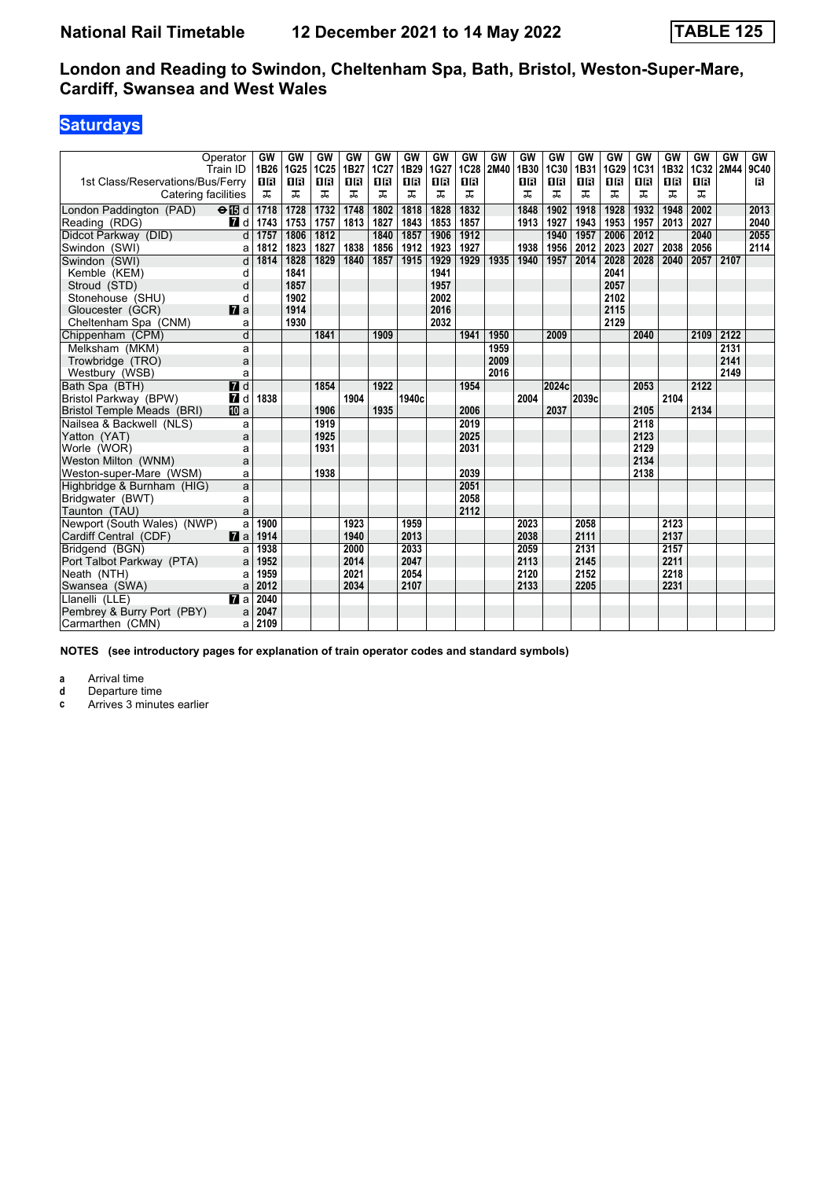## **Saturdays**

|                                   | Operator<br>Train ID | GW<br>1B26 | GW<br>1G25 | GW<br>1C25     | GW<br>1B27 | GW<br>1C27 | GW<br>1B29 | <b>GW</b><br>1G27 | GW<br><b>1C28</b> | GW<br>2M40 | GW<br>1B30 | GW<br>1C30 | GW<br>1B31 | GW<br>1G29 | GW<br>1C31 | GW<br>1B32 | GW<br>1C32 | <b>GW</b><br>2M44 | GW<br>9C40 |
|-----------------------------------|----------------------|------------|------------|----------------|------------|------------|------------|-------------------|-------------------|------------|------------|------------|------------|------------|------------|------------|------------|-------------------|------------|
| 1st Class/Reservations/Bus/Ferry  |                      | 0 B        | 1R         | 1 <sub>B</sub> | 0 B        | <b>08</b>  | <b>OB</b>  | 1R                | <b>OB</b>         |            | 0 B        | 18         | 1 R        | 1 R        | 16         | 0 B        | <b>0B</b>  |                   | в          |
| Catering facilities               |                      | ᠼ          | ᠼ          | ᅚ              | ᠼ          | ᠼ          | ᠼ          | ᠼ                 | ᠼ                 |            | ᠼ          | ᠼ          | ᠼ          | ᠼ          | ᠼ          | ᠼ          | ᠼ          |                   |            |
| London Paddington (PAD)           | $\Theta$ is d        | 1718       | 1728       | 1732           | 1748       | 1802       | 1818       | 1828              | 1832              |            | 1848       | 1902       | 1918       | 1928       | 1932       | 1948       | 2002       |                   | 2013       |
| Reading (RDG)                     | 7 d                  | 1743       | 1753       | 1757           | 1813       | 1827       | 1843       | 1853              | 1857              |            | 1913       | 1927       | 1943       | 1953       | 1957       | 2013       | 2027       |                   | 2040       |
| Didcot Parkway (DID)              | d                    | 1757       | 1806       | 1812           |            | 1840       | 1857       | 1906              | 1912              |            |            | 1940       | 1957       | 2006       | 2012       |            | 2040       |                   | 2055       |
| Swindon (SWI)                     | a                    | 1812       | 1823       | 1827           | 1838       | 1856       | 1912       | 1923              | 1927              |            | 1938       | 1956       | 2012       | 2023       | 2027       | 2038       | 2056       |                   | 2114       |
| Swindon (SWI)                     | d                    | 1814       | 1828       | 1829           | 1840       | 1857       | 1915       | 1929              | 1929              | 1935       | 1940       | 1957       | 2014       | 2028       | 2028       | 2040       | 2057       | 2107              |            |
| Kemble (KEM)                      | d                    |            | 1841       |                |            |            |            | 1941              |                   |            |            |            |            | 2041       |            |            |            |                   |            |
| Stroud (STD)                      | d                    |            | 1857       |                |            |            |            | 1957              |                   |            |            |            |            | 2057       |            |            |            |                   |            |
| Stonehouse (SHU)                  | d                    |            | 1902       |                |            |            |            | 2002              |                   |            |            |            |            | 2102       |            |            |            |                   |            |
| Gloucester (GCR)                  | $\mathbf{z}$ a       |            | 1914       |                |            |            |            | 2016              |                   |            |            |            |            | 2115       |            |            |            |                   |            |
| Cheltenham Spa (CNM)              | a                    |            | 1930       |                |            |            |            | 2032              |                   |            |            |            |            | 2129       |            |            |            |                   |            |
| Chippenham (CPM)                  | d                    |            |            | 1841           |            | 1909       |            |                   | 1941              | 1950       |            | 2009       |            |            | 2040       |            | 2109       | 2122              |            |
| Melksham (MKM)                    | a                    |            |            |                |            |            |            |                   |                   | 1959       |            |            |            |            |            |            |            | 2131              |            |
| Trowbridge (TRO)                  | a                    |            |            |                |            |            |            |                   |                   | 2009       |            |            |            |            |            |            |            | 2141              |            |
| Westbury (WSB)                    | a                    |            |            |                |            |            |            |                   |                   | 2016       |            |            |            |            |            |            |            | 2149              |            |
| Bath Spa (BTH)                    | $\overline{H}$ d     |            |            | 1854           |            | 1922       |            |                   | 1954              |            |            | 2024c      |            |            | 2053       |            | 2122       |                   |            |
| Bristol Parkway (BPW)             | <b>7</b> d           | 1838       |            |                | 1904       |            | 1940c      |                   |                   |            | 2004       |            | 2039c      |            |            | 2104       |            |                   |            |
| <b>Bristol Temple Meads (BRI)</b> | <b>ID</b> a          |            |            | 1906           |            | 1935       |            |                   | 2006              |            |            | 2037       |            |            | 2105       |            | 2134       |                   |            |
| Nailsea & Backwell (NLS)          | a                    |            |            | 1919           |            |            |            |                   | 2019              |            |            |            |            |            | 2118       |            |            |                   |            |
| Yatton (YAT)                      | a                    |            |            | 1925           |            |            |            |                   | 2025              |            |            |            |            |            | 2123       |            |            |                   |            |
| Worle (WOR)                       | a                    |            |            | 1931           |            |            |            |                   | 2031              |            |            |            |            |            | 2129       |            |            |                   |            |
| Weston Milton (WNM)               | a                    |            |            |                |            |            |            |                   |                   |            |            |            |            |            | 2134       |            |            |                   |            |
| Weston-super-Mare (WSM)           | a                    |            |            | 1938           |            |            |            |                   | 2039              |            |            |            |            |            | 2138       |            |            |                   |            |
| Highbridge & Burnham (HIG)        | a                    |            |            |                |            |            |            |                   | 2051              |            |            |            |            |            |            |            |            |                   |            |
| Bridgwater (BWT)                  | a                    |            |            |                |            |            |            |                   | 2058              |            |            |            |            |            |            |            |            |                   |            |
| Taunton (TAU)                     | a                    |            |            |                |            |            |            |                   | 2112              |            |            |            |            |            |            |            |            |                   |            |
| Newport (South Wales) (NWP)       | a                    | 1900       |            |                | 1923       |            | 1959       |                   |                   |            | 2023       |            | 2058       |            |            | 2123       |            |                   |            |
| Cardiff Central (CDF)             | $\mathbf{z}$ a       | 1914       |            |                | 1940       |            | 2013       |                   |                   |            | 2038       |            | 2111       |            |            | 2137       |            |                   |            |
| Bridgend (BGN)                    | a                    | 1938       |            |                | 2000       |            | 2033       |                   |                   |            | 2059       |            | 2131       |            |            | 2157       |            |                   |            |
| Port Talbot Parkway (PTA)         | a                    | 1952       |            |                | 2014       |            | 2047       |                   |                   |            | 2113       |            | 2145       |            |            | 2211       |            |                   |            |
| Neath (NTH)                       | a                    | 1959       |            |                | 2021       |            | 2054       |                   |                   |            | 2120       |            | 2152       |            |            | 2218       |            |                   |            |
| Swansea (SWA)                     | a                    | 2012       |            |                | 2034       |            | 2107       |                   |                   |            | 2133       |            | 2205       |            |            | 2231       |            |                   |            |
| Llanelli (LLE)                    | $\overline{a}$ a     | 2040       |            |                |            |            |            |                   |                   |            |            |            |            |            |            |            |            |                   |            |
| Pembrey & Burry Port (PBY)        | a                    | 2047       |            |                |            |            |            |                   |                   |            |            |            |            |            |            |            |            |                   |            |
| Carmarthen (CMN)                  | a                    | 2109       |            |                |            |            |            |                   |                   |            |            |            |            |            |            |            |            |                   |            |

**NOTES (see introductory pages for explanation of train operator codes and standard symbols)**

**a** Arrival time<br>**d** Departure ti

**d** Departure time

**c** Arrives 3 minutes earlier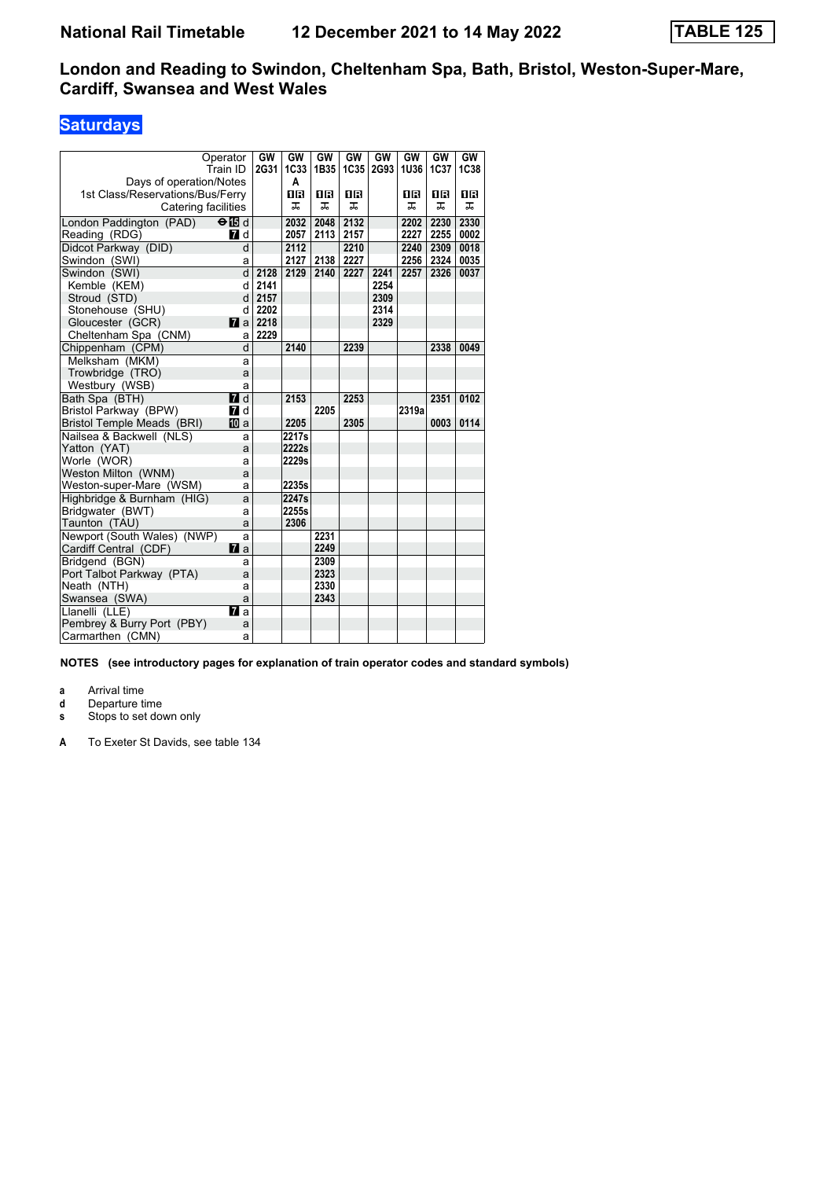### **Saturdays**

| Operator                         |                | GW   | GW               | GW        | GW   | GW   | GW          | GW   | GW          |
|----------------------------------|----------------|------|------------------|-----------|------|------|-------------|------|-------------|
| Train ID                         |                | 2G31 | 1C <sub>33</sub> | 1B35      | 1C35 | 2G93 | <b>1U36</b> | 1C37 | <b>1C38</b> |
| Days of operation/Notes          |                |      | A                |           |      |      |             |      |             |
| 1st Class/Reservations/Bus/Ferry |                |      | 0B               | <b>08</b> | 0B   |      | 0B          | 0 R  | 1R          |
| Catering facilities              |                |      | ᅚ                | ᠼ         | ᅚ    |      | ᠼ           | ᅚ    | ᠼ           |
| London Paddington (PAD)          | $\Theta$ is d  |      | 2032             | 2048      | 2132 |      | 2202        | 2230 | 2330        |
| Reading (RDG)                    | <b>7</b> d     |      | 2057             | 2113      | 2157 |      | 2227        | 2255 | 0002        |
| Didcot Parkway (DID)             | d              |      | 2112             |           | 2210 |      | 2240        | 2309 | 0018        |
| Swindon (SWI)                    | a              |      | 2127             | 2138      | 2227 |      | 2256        | 2324 | 0035        |
| Swindon (SWI)                    | d              | 2128 | 2129             | 2140      | 2227 | 2241 | 2257        | 2326 | 0037        |
| Kemble (KEM)                     | d              | 2141 |                  |           |      | 2254 |             |      |             |
| Stroud (STD)                     | d              | 2157 |                  |           |      | 2309 |             |      |             |
| Stonehouse (SHU)                 | d              | 2202 |                  |           |      | 2314 |             |      |             |
| Gloucester (GCR)                 | $\mathbf{z}$ a | 2218 |                  |           |      | 2329 |             |      |             |
| Cheltenham Spa (CNM)             | a              | 2229 |                  |           |      |      |             |      |             |
| Chippenham (CPM)                 | d              |      | 2140             |           | 2239 |      |             | 2338 | 0049        |
| Melksham (MKM)                   | a              |      |                  |           |      |      |             |      |             |
| Trowbridge (TRO)                 | a              |      |                  |           |      |      |             |      |             |
| Westbury (WSB)                   | a              |      |                  |           |      |      |             |      |             |
| Bath Spa (BTH)                   | $\blacksquare$ |      | 2153             |           | 2253 |      |             | 2351 | 0102        |
| Bristol Parkway (BPW)            | <b>7</b> d     |      |                  | 2205      |      |      | 2319a       |      |             |
| Bristol Temple Meads (BRI)       | 吅 a            |      | 2205             |           | 2305 |      |             | 0003 | 0114        |
| Nailsea & Backwell (NLS)         | a              |      | 2217s            |           |      |      |             |      |             |
| Yatton (YAT)                     | a              |      | 2222s            |           |      |      |             |      |             |
| Worle (WOR)                      | a              |      | 2229s            |           |      |      |             |      |             |
| Weston Milton (WNM)              | a              |      |                  |           |      |      |             |      |             |
| Weston-super-Mare (WSM)          | a              |      | 2235s            |           |      |      |             |      |             |
| Highbridge & Burnham (HIG)       | a              |      | 2247s            |           |      |      |             |      |             |
| Bridgwater (BWT)                 | a              |      | 2255s            |           |      |      |             |      |             |
| Taunton (TAU)                    | a              |      | 2306             |           |      |      |             |      |             |
| Newport (South Wales) (NWP)      | a              |      |                  | 2231      |      |      |             |      |             |
| Cardiff Central (CDF)            | $\mathbf{z}$ a |      |                  | 2249      |      |      |             |      |             |
| Bridgend (BGN)                   | a              |      |                  | 2309      |      |      |             |      |             |
| Port Talbot Parkway (PTA)        | a              |      |                  | 2323      |      |      |             |      |             |
| Neath (NTH)                      | a              |      |                  | 2330      |      |      |             |      |             |
| Swansea (SWA)                    | a              |      |                  | 2343      |      |      |             |      |             |
| Llanelli (LLE)                   | $\mathbf{z}$ a |      |                  |           |      |      |             |      |             |
| Pembrey & Burry Port (PBY)       | a              |      |                  |           |      |      |             |      |             |
| Carmarthen (CMN)                 | a              |      |                  |           |      |      |             |      |             |

**NOTES (see introductory pages for explanation of train operator codes and standard symbols)**

**a** Arrival time<br>**d** Departure t

**d** Departure time

**s** Stops to set down only

**A** To Exeter St Davids, see table 134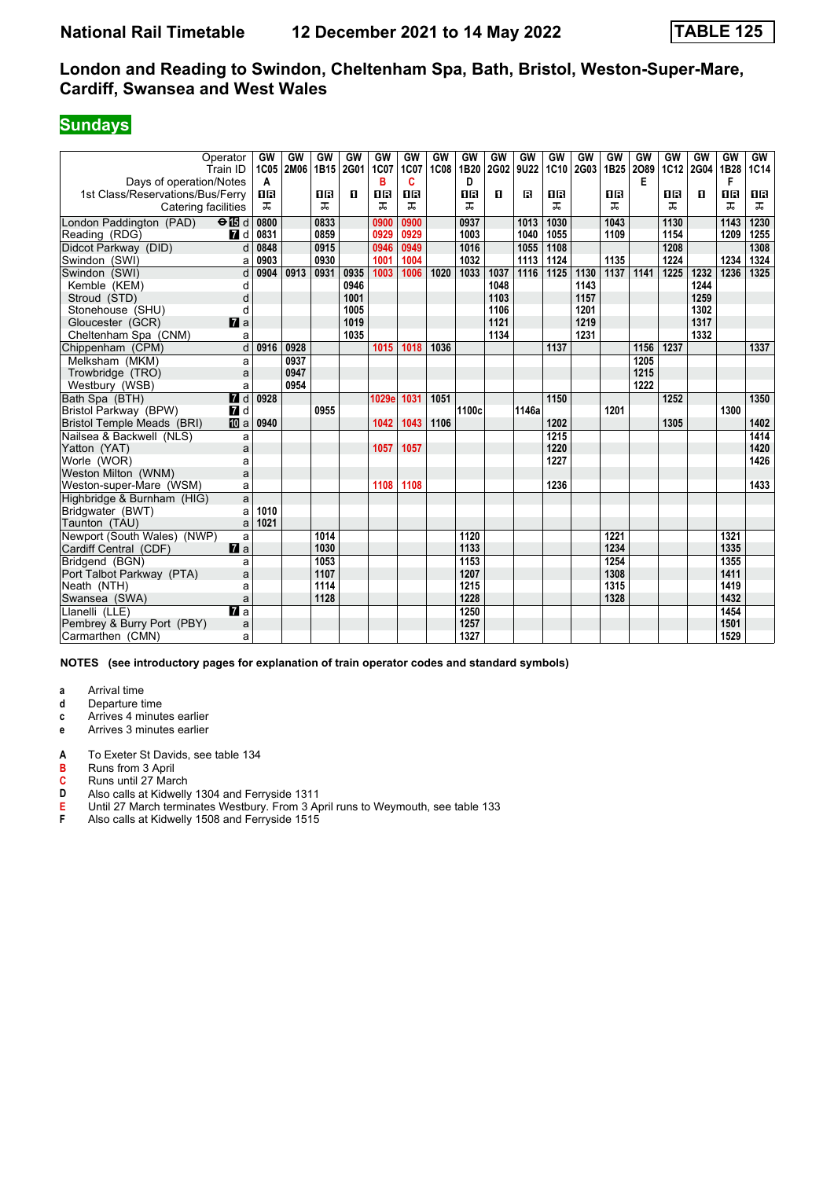# **Sundays**

|                                                             | Operator<br>Train ID | GW<br>1C05     | GW<br>2M06 | GW<br>1B15 | GW<br>2G01 | GW<br>1C07 | <b>GW</b><br>1C07 | GW<br><b>1C08</b> | GW<br>1B20 | GW<br>2G02 | <b>GW</b><br>9U22 | GW   | GW<br>1C10 2G03 | GW<br>1B <sub>25</sub> | GW<br>2089 | GW<br><b>1C12</b> | GW<br>2G04 | GW<br>1B28 | <b>GW</b><br>1C14 |
|-------------------------------------------------------------|----------------------|----------------|------------|------------|------------|------------|-------------------|-------------------|------------|------------|-------------------|------|-----------------|------------------------|------------|-------------------|------------|------------|-------------------|
| Days of operation/Notes<br>1st Class/Reservations/Bus/Ferry |                      | A<br><b>08</b> |            | ПR         | п          | в<br>18    | C<br>0 B          |                   | D<br>1R    | п          | R                 | 16   |                 | 1R                     | E          | OR                | п          | F<br>0B    | 0 B               |
| Catering facilities                                         |                      | ᠼ              |            | ㅈ          |            | ㅈ          | ㅈ                 |                   | ᠼ          |            |                   | ᅚ    |                 | ᅚ                      |            | ㅈ                 |            | ㅈ          | ᠼ                 |
| London Paddington (PAD)                                     | $\Theta$ is d        | 0800           |            | 0833       |            | 0900       | 0900              |                   | 0937       |            | 1013              | 1030 |                 | 1043                   |            | 1130              |            | 1143       | 1230              |
| Reading (RDG)                                               | 7d                   | 0831           |            | 0859       |            | 0929       | 0929              |                   | 1003       |            | 1040              | 1055 |                 | 1109                   |            | 1154              |            | 1209       | 1255              |
| Didcot Parkway (DID)                                        | d                    | 0848           |            | 0915       |            | 0946       | 0949              |                   | 1016       |            | 1055              | 1108 |                 |                        |            | 1208              |            |            | 1308              |
| Swindon (SWI)                                               | a                    | 0903           |            | 0930       |            | 1001       | 1004              |                   | 1032       |            | 1113              | 1124 |                 | 1135                   |            | 1224              |            | 1234       | 1324              |
| Swindon (SWI)                                               | d                    | 0904           | 0913       | 0931       | 0935       | 1003       | 1006              | 1020              | 1033       | 1037       | 1116              | 1125 | 1130            | 1137                   | 1141       | 1225              | 1232       | 1236       | 1325              |
| Kemble (KEM)                                                | d                    |                |            |            | 0946       |            |                   |                   |            | 1048       |                   |      | 1143            |                        |            |                   | 1244       |            |                   |
| Stroud (STD)                                                | d                    |                |            |            | 1001       |            |                   |                   |            | 1103       |                   |      | 1157            |                        |            |                   | 1259       |            |                   |
| Stonehouse (SHU)                                            | d                    |                |            |            | 1005       |            |                   |                   |            | 1106       |                   |      | 1201            |                        |            |                   | 1302       |            |                   |
| Gloucester (GCR)                                            | $\mathbf{z}$         |                |            |            | 1019       |            |                   |                   |            | 1121       |                   |      | 1219            |                        |            |                   | 1317       |            |                   |
| Cheltenham Spa (CNM)                                        | a                    |                |            |            | 1035       |            |                   |                   |            | 1134       |                   |      | 1231            |                        |            |                   | 1332       |            |                   |
| Chippenham (CPM)                                            | $\overline{d}$       | 0916           | 0928       |            |            | 1015       | 1018              | 1036              |            |            |                   | 1137 |                 |                        | 1156       | 1237              |            |            | 1337              |
| Melksham (MKM)                                              | a                    |                | 0937       |            |            |            |                   |                   |            |            |                   |      |                 |                        | 1205       |                   |            |            |                   |
| Trowbridge (TRO)                                            | a                    |                | 0947       |            |            |            |                   |                   |            |            |                   |      |                 |                        | 1215       |                   |            |            |                   |
| Westbury (WSB)                                              | a                    |                | 0954       |            |            |            |                   |                   |            |            |                   |      |                 |                        | 1222       |                   |            |            |                   |
| Bath Spa (BTH)                                              | <b>7</b> d           | 0928           |            |            |            | 1029e      | 1031              | 1051              |            |            |                   | 1150 |                 |                        |            | 1252              |            |            | 1350              |
| Bristol Parkway (BPW)                                       | <b>7</b> d           |                |            | 0955       |            |            |                   |                   | 1100c      |            | 1146a             |      |                 | 1201                   |            |                   |            | 1300       |                   |
| Bristol Temple Meads (BRI)                                  | <b>ID</b> a          | 0940           |            |            |            | 1042       | 1043              | 1106              |            |            |                   | 1202 |                 |                        |            | 1305              |            |            | 1402              |
| Nailsea & Backwell (NLS)                                    | a                    |                |            |            |            |            |                   |                   |            |            |                   | 1215 |                 |                        |            |                   |            |            | 1414              |
| Yatton (YAT)                                                | a                    |                |            |            |            | 1057       | 1057              |                   |            |            |                   | 1220 |                 |                        |            |                   |            |            | 1420              |
| Worle (WOR)                                                 | a                    |                |            |            |            |            |                   |                   |            |            |                   | 1227 |                 |                        |            |                   |            |            | 1426              |
| Weston Milton (WNM)                                         | a                    |                |            |            |            |            |                   |                   |            |            |                   |      |                 |                        |            |                   |            |            |                   |
| Weston-super-Mare (WSM)                                     | a                    |                |            |            |            | 1108       | 1108              |                   |            |            |                   | 1236 |                 |                        |            |                   |            |            | 1433              |
| Highbridge & Burnham (HIG)                                  | a                    |                |            |            |            |            |                   |                   |            |            |                   |      |                 |                        |            |                   |            |            |                   |
| Bridgwater (BWT)                                            | a                    | 1010           |            |            |            |            |                   |                   |            |            |                   |      |                 |                        |            |                   |            |            |                   |
| Taunton (TAU)                                               | a                    | 1021           |            |            |            |            |                   |                   |            |            |                   |      |                 |                        |            |                   |            |            |                   |
| Newport (South Wales) (NWP)                                 | a                    |                |            | 1014       |            |            |                   |                   | 1120       |            |                   |      |                 | 1221                   |            |                   |            | 1321       |                   |
| Cardiff Central (CDF)                                       | $\mathbf{z}$ a       |                |            | 1030       |            |            |                   |                   | 1133       |            |                   |      |                 | 1234                   |            |                   |            | 1335       |                   |
| Bridgend (BGN)                                              | a                    |                |            | 1053       |            |            |                   |                   | 1153       |            |                   |      |                 | 1254                   |            |                   |            | 1355       |                   |
| Port Talbot Parkway (PTA)                                   | a                    |                |            | 1107       |            |            |                   |                   | 1207       |            |                   |      |                 | 1308                   |            |                   |            | 1411       |                   |
| Neath (NTH)                                                 | a                    |                |            | 1114       |            |            |                   |                   | 1215       |            |                   |      |                 | 1315                   |            |                   |            | 1419       |                   |
| Swansea (SWA)                                               | a                    |                |            | 1128       |            |            |                   |                   | 1228       |            |                   |      |                 | 1328                   |            |                   |            | 1432       |                   |
| Llanelli (LLE)                                              | $\overline{a}$ a     |                |            |            |            |            |                   |                   | 1250       |            |                   |      |                 |                        |            |                   |            | 1454       |                   |
| Pembrey & Burry Port (PBY)                                  | a                    |                |            |            |            |            |                   |                   | 1257       |            |                   |      |                 |                        |            |                   |            | 1501       |                   |
| Carmarthen (CMN)                                            | a                    |                |            |            |            |            |                   |                   | 1327       |            |                   |      |                 |                        |            |                   |            | 1529       |                   |

**NOTES (see introductory pages for explanation of train operator codes and standard symbols)**

**a** Arrival time<br>**d** Departure t

- **d** Departure time
- **c** Arrives 4 minutes earlier
- **e** Arrives 3 minutes earlier
- **A** To Exeter St Davids, see table 134<br>**B** Runs from 3 April
- **B** Runs from 3 April
- **C** Runs until 27 March<br>**D** Also calls at Kidwelly
- **D** Also calls at Kidwelly 1304 and Ferryside 1311<br>**E** Until 27 March terminates Westbury. From 3 Ap
- **E** Until 27 March terminates Westbury. From 3 April runs to Weymouth, see table 133<br> **F** Also calls at Kidwelly 1508 and Ferryside 1515
- Also calls at Kidwelly 1508 and Ferryside 1515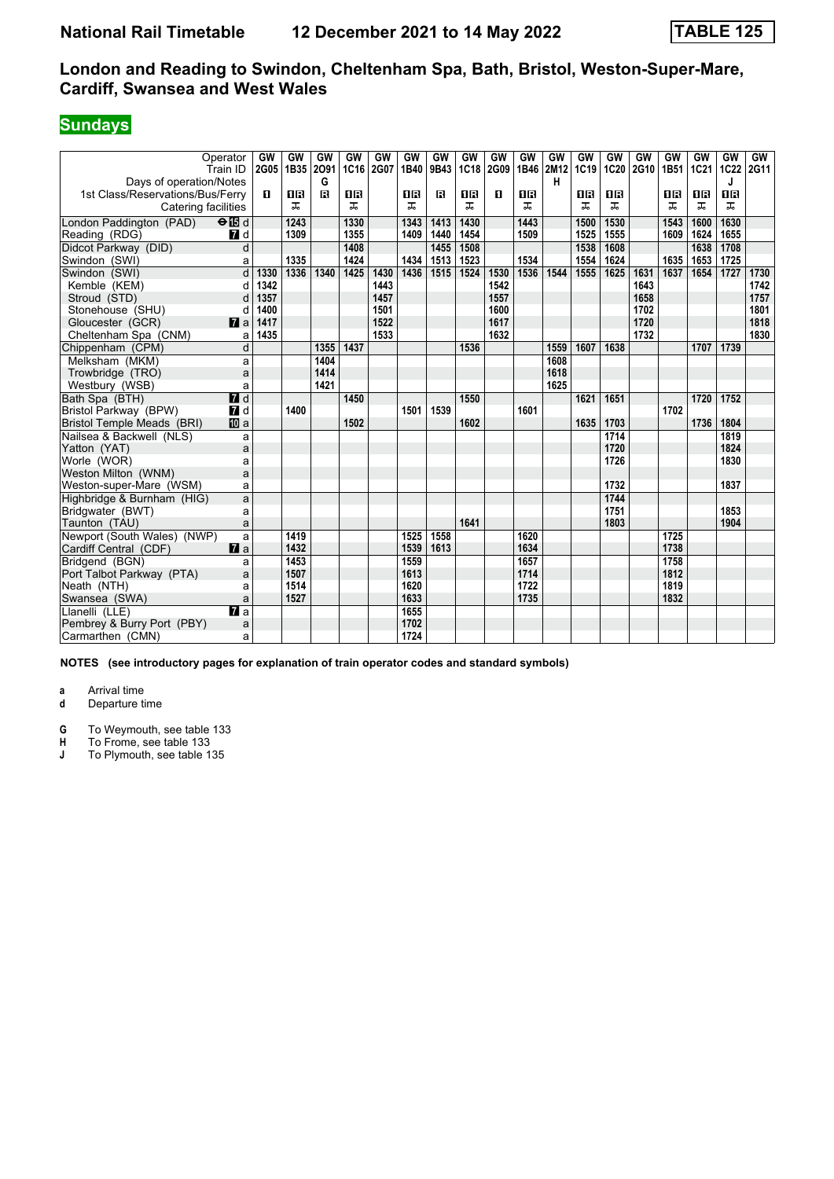# **Sundays**

| Operator<br>Train ID                                 | GW<br>2G05     | GW<br>1B35 | GW<br>2091   | GW<br>1C16 | GW<br>2G07 | GW<br>1B40 | GW<br>9B43 | GW<br><b>1C18</b> | GW<br>2G09 | GW<br>1B46 | GW<br>2M12 | GW<br>1C19 | GW<br><b>1C20</b> | GW<br>2G10 | GW<br>1B51 | GW<br>1C21 | GW<br><b>1C22</b> | GW<br>2G11 |
|------------------------------------------------------|----------------|------------|--------------|------------|------------|------------|------------|-------------------|------------|------------|------------|------------|-------------------|------------|------------|------------|-------------------|------------|
| Days of operation/Notes                              |                |            | G            |            |            |            |            |                   |            |            | н          |            |                   |            |            |            | J                 |            |
| 1st Class/Reservations/Bus/Ferry                     | п              | 0B         | $\mathbf{B}$ | 08         |            | 0 B        | в          | 1 R               | п          | <b>0B</b>  |            | 0 B        | <b>OB</b>         |            | 0 B        | 1 R        | <b>08</b>         |            |
| Catering facilities                                  |                | ᅚ          |              | ᠼ          |            | ᠼ          |            | ᅚ                 |            | ᠼ          |            | ᅚ          | ᅚ                 |            | ᅚ          | ᅚ          | ᅚ                 |            |
| London Paddington (PAD)<br>$\Theta$ $\blacksquare$ d |                | 1243       |              | 1330       |            | 1343       | 1413       | 1430              |            | 1443       |            | 1500       | 1530              |            | 1543       | 1600       | 1630              |            |
| 7d<br>Reading (RDG)                                  |                | 1309       |              | 1355       |            | 1409       | 1440       | 1454              |            | 1509       |            | 1525       | 1555              |            | 1609       | 1624       | 1655              |            |
| Didcot Parkway (DID)                                 | d              |            |              | 1408       |            |            | 1455       | 1508              |            |            |            | 1538       | 1608              |            |            | 1638       | 1708              |            |
| Swindon (SWI)                                        | a              | 1335       |              | 1424       |            | 1434       | 1513       | 1523              |            | 1534       |            | 1554       | 1624              |            | 1635       | 1653       | 1725              |            |
| Swindon (SWI)                                        | d<br>1330      | 1336       | 1340         | 1425       | 1430       | 1436       | 1515       | 1524              | 1530       | 1536       | 1544       | 1555       | 1625              | 1631       | 1637       | 1654       | 1727              | 1730       |
| Kemble (KEM)                                         | 1342<br>d      |            |              |            | 1443       |            |            |                   | 1542       |            |            |            |                   | 1643       |            |            |                   | 1742       |
| Stroud (STD)                                         | d<br>1357      |            |              |            | 1457       |            |            |                   | 1557       |            |            |            |                   | 1658       |            |            |                   | 1757       |
| Stonehouse (SHU)                                     | 1400<br>d      |            |              |            | 1501       |            |            |                   | 1600       |            |            |            |                   | 1702       |            |            |                   | 1801       |
| $\mathbf{z}$ a<br>Gloucester (GCR)                   | 1417           |            |              |            | 1522       |            |            |                   | 1617       |            |            |            |                   | 1720       |            |            |                   | 1818       |
| Cheltenham Spa (CNM)                                 | 1435<br>a      |            |              |            | 1533       |            |            |                   | 1632       |            |            |            |                   | 1732       |            |            |                   | 1830       |
| Chippenham (CPM)                                     | $\overline{d}$ |            | 1355         | 1437       |            |            |            | 1536              |            |            | 1559       | 1607       | 1638              |            |            | 1707       | 1739              |            |
| Melksham (MKM)                                       | a              |            | 1404         |            |            |            |            |                   |            |            | 1608       |            |                   |            |            |            |                   |            |
| Trowbridge (TRO)                                     | a              |            | 1414         |            |            |            |            |                   |            |            | 1618       |            |                   |            |            |            |                   |            |
| Westbury (WSB)                                       | a              |            | 1421         |            |            |            |            |                   |            |            | 1625       |            |                   |            |            |            |                   |            |
| $\blacksquare$<br>Bath Spa (BTH)                     |                |            |              | 1450       |            |            |            | 1550              |            |            |            | 1621       | 1651              |            |            | 1720       | 1752              |            |
| Bristol Parkway (BPW)<br>$\blacksquare$              |                | 1400       |              |            |            | 1501       | 1539       |                   |            | 1601       |            |            |                   |            | 1702       |            |                   |            |
| <b>ID</b> a<br>Bristol Temple Meads (BRI)            |                |            |              | 1502       |            |            |            | 1602              |            |            |            | 1635       | 1703              |            |            | 1736       | 1804              |            |
| Nailsea & Backwell (NLS)                             | a              |            |              |            |            |            |            |                   |            |            |            |            | 1714              |            |            |            | 1819              |            |
| Yatton (YAT)                                         | a              |            |              |            |            |            |            |                   |            |            |            |            | 1720              |            |            |            | 1824              |            |
| Worle (WOR)                                          | a              |            |              |            |            |            |            |                   |            |            |            |            | 1726              |            |            |            | 1830              |            |
| Weston Milton (WNM)                                  | a              |            |              |            |            |            |            |                   |            |            |            |            |                   |            |            |            |                   |            |
| Weston-super-Mare (WSM)                              | a              |            |              |            |            |            |            |                   |            |            |            |            | 1732              |            |            |            | 1837              |            |
| Highbridge & Burnham (HIG)                           | a              |            |              |            |            |            |            |                   |            |            |            |            | 1744              |            |            |            |                   |            |
| Bridgwater (BWT)                                     | a              |            |              |            |            |            |            |                   |            |            |            |            | 1751              |            |            |            | 1853              |            |
| Taunton (TAU)                                        | a              |            |              |            |            |            |            | 1641              |            |            |            |            | 1803              |            |            |            | 1904              |            |
| Newport (South Wales) (NWP)                          | a              | 1419       |              |            |            | 1525       | 1558       |                   |            | 1620       |            |            |                   |            | 1725       |            |                   |            |
| $\mathbf{z}$ a<br>Cardiff Central (CDF)              |                | 1432       |              |            |            | 1539       | 1613       |                   |            | 1634       |            |            |                   |            | 1738       |            |                   |            |
| Bridgend (BGN)                                       | a              | 1453       |              |            |            | 1559       |            |                   |            | 1657       |            |            |                   |            | 1758       |            |                   |            |
| Port Talbot Parkway (PTA)                            | a              | 1507       |              |            |            | 1613       |            |                   |            | 1714       |            |            |                   |            | 1812       |            |                   |            |
| Neath (NTH)                                          | a              | 1514       |              |            |            | 1620       |            |                   |            | 1722       |            |            |                   |            | 1819       |            |                   |            |
| Swansea (SWA)                                        | a              | 1527       |              |            |            | 1633       |            |                   |            | 1735       |            |            |                   |            | 1832       |            |                   |            |
| $\mathbf{z}$ a<br>Llanelli (LLE)                     |                |            |              |            |            | 1655       |            |                   |            |            |            |            |                   |            |            |            |                   |            |
| Pembrey & Burry Port (PBY)                           | a              |            |              |            |            | 1702       |            |                   |            |            |            |            |                   |            |            |            |                   |            |
| Carmarthen (CMN)                                     | a              |            |              |            |            | 1724       |            |                   |            |            |            |            |                   |            |            |            |                   |            |

**NOTES (see introductory pages for explanation of train operator codes and standard symbols)**

**a** Arrival time<br>**d** Departure t **d** Departure time

**G** To Weymouth, see table 133<br>**H** To Frome, see table 133

**H** To Frome, see table 133<br>**J** To Plymouth, see table 1

**J** To Plymouth, see table 135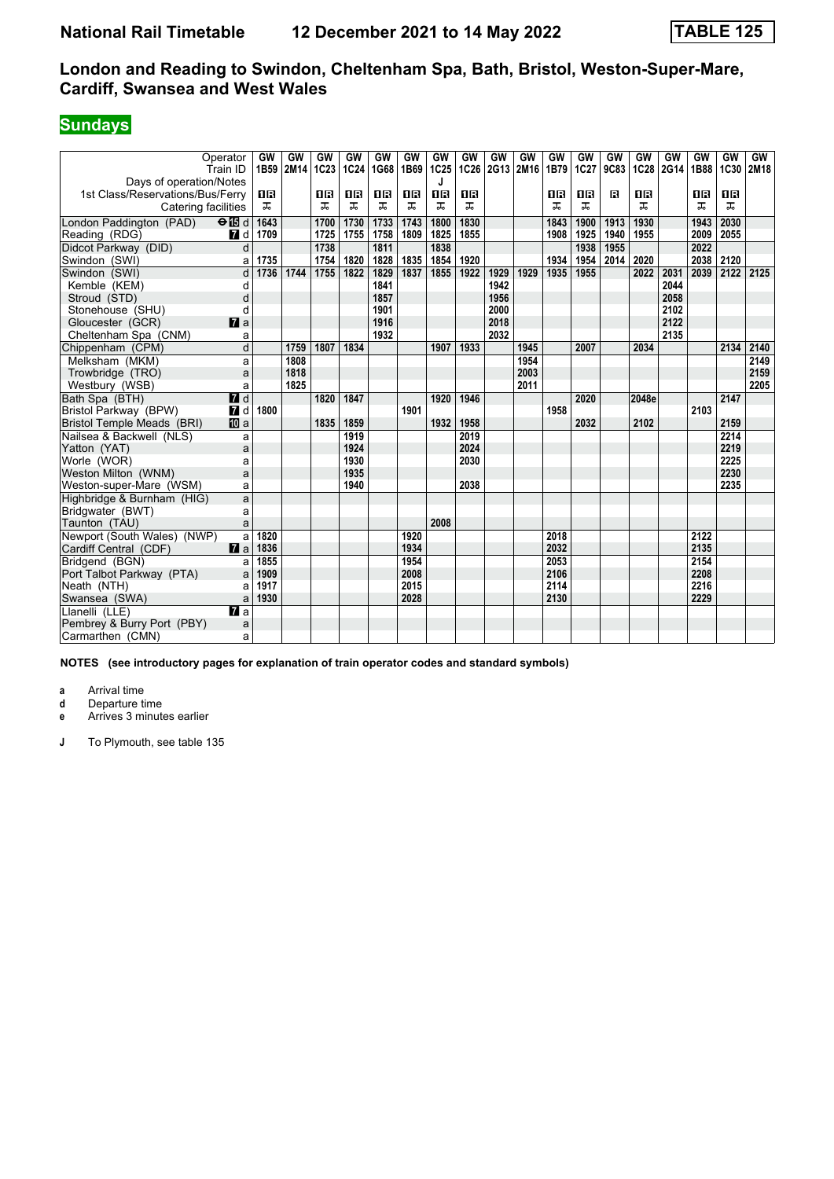## **Sundays**

| Operator<br>Train ID                      | GW<br>1B59     | GW<br>2M14 | GW<br>1C23 | GW<br>1C24 | GW<br>1G68 | <b>GW</b><br>1B69 | <b>GW</b><br>1C25 | GW<br>1C26 | <b>GW</b><br>2G13 | GW<br>2M16 | GW<br>1B79 | GW<br>1C27 | GW<br>9C83 | GW<br>1C28 | GW<br>2G14 | GW<br>1B88 | GW<br><b>1C30</b> | GW<br>2M18 |
|-------------------------------------------|----------------|------------|------------|------------|------------|-------------------|-------------------|------------|-------------------|------------|------------|------------|------------|------------|------------|------------|-------------------|------------|
| Days of operation/Notes                   |                |            |            |            |            |                   |                   |            |                   |            |            |            |            |            |            |            |                   |            |
| 1st Class/Reservations/Bus/Ferry          | 1R             |            | 1R         | 1R         | 1R         | ΠR                | 1B                | <b>OB</b>  |                   |            | 0 B        | 0 B        | в          | <b>OB</b>  |            | 1 R        | ΠR                |            |
| Catering facilities                       | ᠼ              |            | ᠼ          | ᠼ          | ᠼ          | ᠼ                 | ᠼ                 | ᅚ          |                   |            | ᠼ          | ᠼ          |            | ᅚ          |            | ᠼ          | ᠼ                 |            |
| London Paddington (PAD)<br>$\Theta$ is d  | 1643           |            | 1700       | 1730       | 1733       | 1743              | 1800              | 1830       |                   |            | 1843       | 1900       | 1913       | 1930       |            | 1943       | 2030              |            |
| Reading (RDG)<br>7d                       | 1709           |            | 1725       | 1755       | 1758       | 1809              | 1825              | 1855       |                   |            | 1908       | 1925       | 1940       | 1955       |            | 2009       | 2055              |            |
| Didcot Parkway (DID)                      | d              |            | 1738       |            | 1811       |                   | 1838              |            |                   |            |            | 1938       | 1955       |            |            | 2022       |                   |            |
| Swindon (SWI)                             | 1735<br>a      |            | 1754       | 1820       | 1828       | 1835              | 1854              | 1920       |                   |            | 1934       | 1954       | 2014       | 2020       |            | 2038       | 2120              |            |
| Swindon (SWI)                             | d<br>1736      | 1744       | 1755       | 1822       | 1829       | 1837              | 1855              | 1922       | 1929              | 1929       | 1935       | 1955       |            | 2022       | 2031       | 2039       | 2122              | 2125       |
| Kemble (KEM)                              | d              |            |            |            | 1841       |                   |                   |            | 1942              |            |            |            |            |            | 2044       |            |                   |            |
| Stroud (STD)                              | d              |            |            |            | 1857       |                   |                   |            | 1956              |            |            |            |            |            | 2058       |            |                   |            |
| Stonehouse (SHU)                          | d              |            |            |            | 1901       |                   |                   |            | 2000              |            |            |            |            |            | 2102       |            |                   |            |
| $\mathbf{z}$ a<br>Gloucester (GCR)        |                |            |            |            | 1916       |                   |                   |            | 2018              |            |            |            |            |            | 2122       |            |                   |            |
| Cheltenham Spa (CNM)                      | a              |            |            |            | 1932       |                   |                   |            | 2032              |            |            |            |            |            | 2135       |            |                   |            |
| Chippenham (CPM)                          | $\overline{d}$ | 1759       | 1807       | 1834       |            |                   | 1907              | 1933       |                   | 1945       |            | 2007       |            | 2034       |            |            | 2134              | 2140       |
| Melksham (MKM)                            | a              | 1808       |            |            |            |                   |                   |            |                   | 1954       |            |            |            |            |            |            |                   | 2149       |
| Trowbridge (TRO)                          | a              | 1818       |            |            |            |                   |                   |            |                   | 2003       |            |            |            |            |            |            |                   | 2159       |
| Westbury (WSB)                            | a              | 1825       |            |            |            |                   |                   |            |                   | 2011       |            |            |            |            |            |            |                   | 2205       |
| $\overline{d}$ d<br>Bath Spa (BTH)        |                |            | 1820       | 1847       |            |                   | 1920              | 1946       |                   |            |            | 2020       |            | 2048e      |            |            | 2147              |            |
| Bristol Parkway (BPW)<br>$\blacksquare$   | 1800           |            |            |            |            | 1901              |                   |            |                   |            | 1958       |            |            |            |            | 2103       |                   |            |
| <b>ID</b> a<br>Bristol Temple Meads (BRI) |                |            | 1835       | 1859       |            |                   | 1932              | 1958       |                   |            |            | 2032       |            | 2102       |            |            | 2159              |            |
| Nailsea & Backwell (NLS)                  | a              |            |            | 1919       |            |                   |                   | 2019       |                   |            |            |            |            |            |            |            | 2214              |            |
| Yatton (YAT)                              | a              |            |            | 1924       |            |                   |                   | 2024       |                   |            |            |            |            |            |            |            | 2219              |            |
| Worle (WOR)                               | a              |            |            | 1930       |            |                   |                   | 2030       |                   |            |            |            |            |            |            |            | 2225              |            |
| Weston Milton (WNM)                       | a              |            |            | 1935       |            |                   |                   |            |                   |            |            |            |            |            |            |            | 2230              |            |
| Weston-super-Mare (WSM)                   | a              |            |            | 1940       |            |                   |                   | 2038       |                   |            |            |            |            |            |            |            | 2235              |            |
| Highbridge & Burnham (HIG)                | a              |            |            |            |            |                   |                   |            |                   |            |            |            |            |            |            |            |                   |            |
| Bridgwater (BWT)                          | a              |            |            |            |            |                   |                   |            |                   |            |            |            |            |            |            |            |                   |            |
| Taunton (TAU)                             | a              |            |            |            |            |                   | 2008              |            |                   |            |            |            |            |            |            |            |                   |            |
| Newport (South Wales) (NWP)               | a<br>1820      |            |            |            |            | 1920              |                   |            |                   |            | 2018       |            |            |            |            | 2122       |                   |            |
| $\mathbf{z}$ a<br>Cardiff Central (CDF)   | 1836           |            |            |            |            | 1934              |                   |            |                   |            | 2032       |            |            |            |            | 2135       |                   |            |
| Bridgend (BGN)                            | 1855<br>a      |            |            |            |            | 1954              |                   |            |                   |            | 2053       |            |            |            |            | 2154       |                   |            |
| Port Talbot Parkway (PTA)                 | 1909<br>a      |            |            |            |            | 2008              |                   |            |                   |            | 2106       |            |            |            |            | 2208       |                   |            |
| Neath (NTH)                               | 1917<br>a      |            |            |            |            | 2015              |                   |            |                   |            | 2114       |            |            |            |            | 2216       |                   |            |
| Swansea (SWA)                             | 1930<br>a      |            |            |            |            | 2028              |                   |            |                   |            | 2130       |            |            |            |            | 2229       |                   |            |
| Llanelli (LLE)<br>$\mathbf{z}$ a          |                |            |            |            |            |                   |                   |            |                   |            |            |            |            |            |            |            |                   |            |
| Pembrey & Burry Port (PBY)                | a              |            |            |            |            |                   |                   |            |                   |            |            |            |            |            |            |            |                   |            |
| Carmarthen (CMN)                          | a              |            |            |            |            |                   |                   |            |                   |            |            |            |            |            |            |            |                   |            |

**NOTES (see introductory pages for explanation of train operator codes and standard symbols)**

**a** Arrival time<br>**d** Departure t

**d** Departure time

**e** Arrives 3 minutes earlier

**J** To Plymouth, see table 135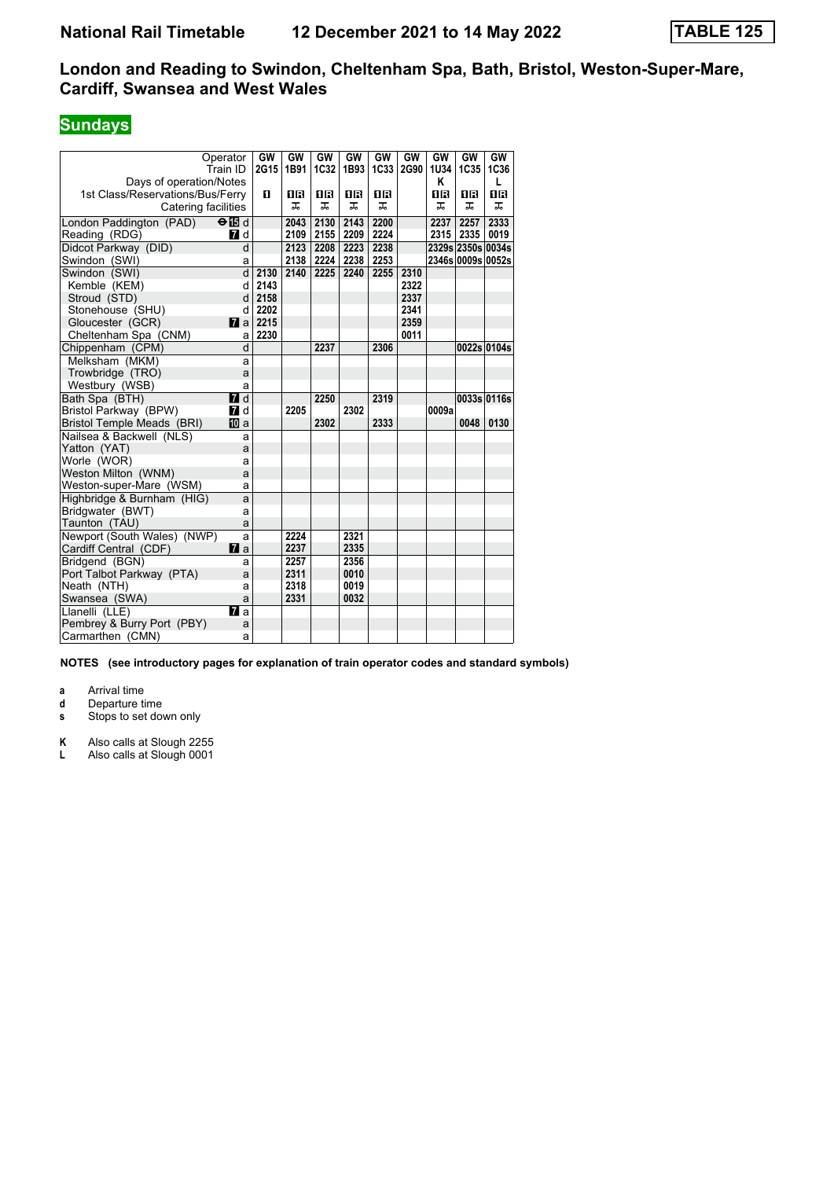# **Sundays**

| Operator                         |                  | GW   | GW   | GW          | GW        | GW   | GW   | GW    | GW                | GW          |
|----------------------------------|------------------|------|------|-------------|-----------|------|------|-------|-------------------|-------------|
|                                  | Train ID         | 2G15 | 1B91 | <b>1C32</b> | 1B93      | 1C33 | 2G90 | 1U34  | 1C35              | 1C36        |
| Days of operation/Notes          |                  |      |      |             |           |      |      | Κ     |                   | L           |
| 1st Class/Reservations/Bus/Ferry |                  | 0    | 08   | <b>08</b>   | <b>08</b> | 18   |      | 0B    | 1R                | 0B          |
| Catering facilities              |                  |      | ᅚ    | ᅚ           | ᠼ         | ᠼ    |      | ᅚ     | ᅚ                 | ᠼ           |
| London Paddington (PAD)          | $\Theta$ is d    |      | 2043 | 2130        | 2143      | 2200 |      | 2237  | 2257              | 2333        |
| Reading (RDG)                    | <b>7</b> d       |      | 2109 | 2155        | 2209      | 2224 |      | 2315  | 2335              | 0019        |
| Didcot Parkway (DID)             | d                |      | 2123 | 2208        | 2223      | 2238 |      |       | 2329s 2350s 0034s |             |
| Swindon (SWI)                    | a                |      | 2138 | 2224        | 2238      | 2253 |      |       | 2346s 0009s 0052s |             |
| Swindon (SWI)                    | d                | 2130 | 2140 | 2225        | 2240      | 2255 | 2310 |       |                   |             |
| Kemble (KEM)                     | d                | 2143 |      |             |           |      | 2322 |       |                   |             |
| Stroud (STD)                     | d                | 2158 |      |             |           |      | 2337 |       |                   |             |
| Stonehouse (SHU)                 | d                | 2202 |      |             |           |      | 2341 |       |                   |             |
| Gloucester (GCR)                 | $\mathbf{z}$ a   | 2215 |      |             |           |      | 2359 |       |                   |             |
| Cheltenham Spa (CNM)             | a                | 2230 |      |             |           |      | 0011 |       |                   |             |
| Chippenham (CPM)                 | d                |      |      | 2237        |           | 2306 |      |       |                   | 0022s 0104s |
| Melksham (MKM)                   | a                |      |      |             |           |      |      |       |                   |             |
| Trowbridge (TRO)                 | a                |      |      |             |           |      |      |       |                   |             |
| Westbury (WSB)                   | a                |      |      |             |           |      |      |       |                   |             |
| Bath Spa (BTH)                   | $\blacksquare$ d |      |      | 2250        |           | 2319 |      |       |                   | 0033s 0116s |
| Bristol Parkway (BPW)            | <b>7</b> d       |      | 2205 |             | 2302      |      |      | 0009a |                   |             |
| Bristol Temple Meads (BRI)       | 囮 a              |      |      | 2302        |           | 2333 |      |       | 0048              | 0130        |
| Nailsea & Backwell (NLS)         | a                |      |      |             |           |      |      |       |                   |             |
| Yatton (YAT)                     | a                |      |      |             |           |      |      |       |                   |             |
| Worle (WOR)                      | a                |      |      |             |           |      |      |       |                   |             |
| Weston Milton (WNM)              | a                |      |      |             |           |      |      |       |                   |             |
| Weston-super-Mare (WSM)          | a                |      |      |             |           |      |      |       |                   |             |
| Highbridge & Burnham (HIG)       | a                |      |      |             |           |      |      |       |                   |             |
| Bridgwater (BWT)                 | a                |      |      |             |           |      |      |       |                   |             |
| Taunton (TAU)                    | a                |      |      |             |           |      |      |       |                   |             |
| Newport (South Wales) (NWP)      | a                |      | 2224 |             | 2321      |      |      |       |                   |             |
| Cardiff Central (CDF)            | <b>7</b> a       |      | 2237 |             | 2335      |      |      |       |                   |             |
| Bridgend (BGN)                   | a                |      | 2257 |             | 2356      |      |      |       |                   |             |
| Port Talbot Parkway (PTA)        | a                |      | 2311 |             | 0010      |      |      |       |                   |             |
| Neath (NTH)                      | a                |      | 2318 |             | 0019      |      |      |       |                   |             |
| Swansea (SWA)                    | a                |      | 2331 |             | 0032      |      |      |       |                   |             |
| Llanelli (LLE)                   | <b>7</b> a       |      |      |             |           |      |      |       |                   |             |
| Pembrey & Burry Port (PBY)       | a                |      |      |             |           |      |      |       |                   |             |
| Carmarthen (CMN)                 | a                |      |      |             |           |      |      |       |                   |             |

**NOTES (see introductory pages for explanation of train operator codes and standard symbols)**

**a** Arrival time<br>**d** Departure t

**d** Departure time

**s** Stops to set down only

**K** Also calls at Slough 2255

**L** Also calls at Slough 0001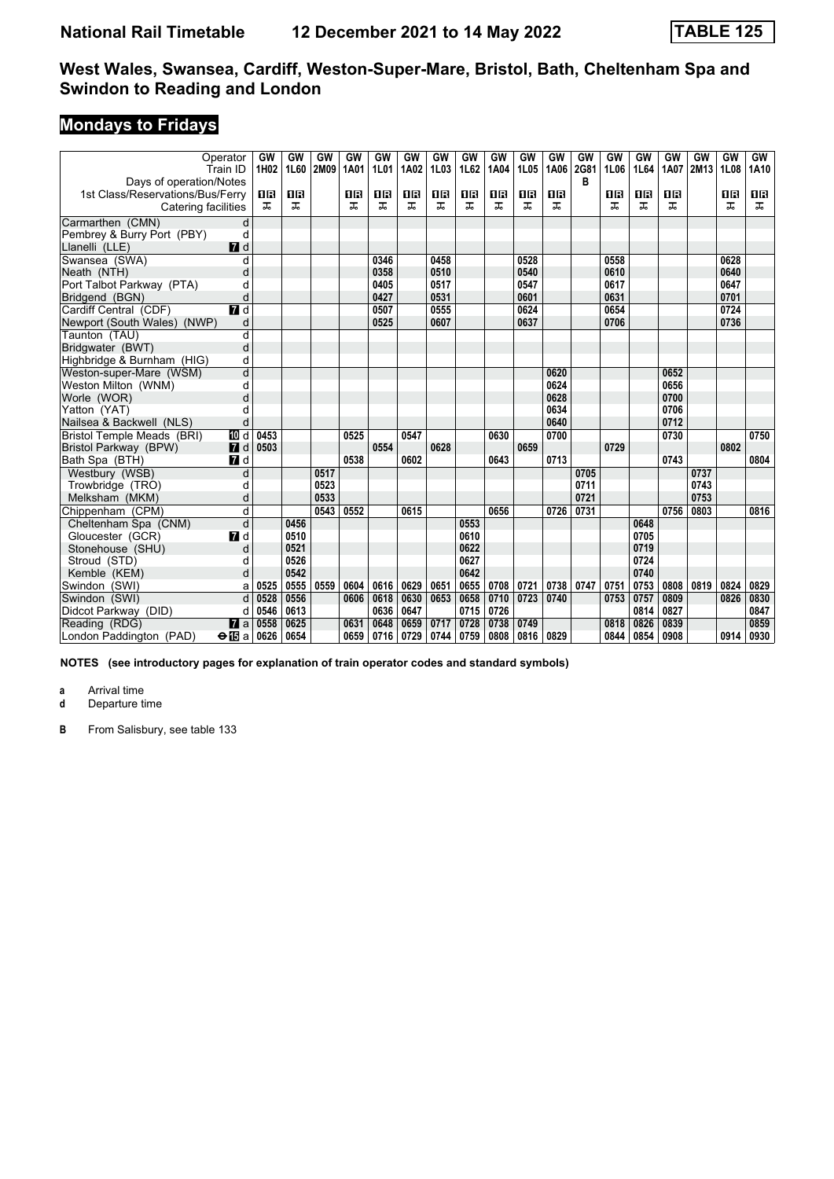# **Mondays to Fridays**

|                                  | Operator<br>Train ID | GW<br>1H02 | GW<br>1L60 | GW<br>2M09 | GW<br>1A01 | GW<br><b>1L01</b> | GW<br>1A02 | GW<br>1L03 | GW<br>1L62 | GW<br>1A04 | GW<br>1L05 | GW<br>1A06 | GW<br>2G81 | GW<br>1L06 | GW<br>1L64 | GW<br>1A07 | GW<br>2M13 | GW<br>1L08 | GW<br>1A10 |
|----------------------------------|----------------------|------------|------------|------------|------------|-------------------|------------|------------|------------|------------|------------|------------|------------|------------|------------|------------|------------|------------|------------|
| Days of operation/Notes          |                      |            |            |            |            |                   |            |            |            |            |            |            | в          |            |            |            |            |            |            |
| 1st Class/Reservations/Bus/Ferry |                      | ΠR         | 08         |            | 0 B        | 1R                | 0 B        | 0 B        | 1 R        | 16         | 1 R        | <b>08</b>  |            | 0 R        | 1 R        | 1 R        |            | 08         | 0 B        |
| Catering facilities              |                      | ᅚ          | ᠼ          |            | ᠼ          | ᠼ                 | ᠼ          | ᠼ          | ᠼ          | ᠼ          | ᠼ          | ᅚ          |            | ᠼ          | ᠼ          | ᅚ          |            | ᠼ          | ᇁ          |
| Carmarthen (CMN)                 | d                    |            |            |            |            |                   |            |            |            |            |            |            |            |            |            |            |            |            |            |
| Pembrey & Burry Port (PBY)       | d                    |            |            |            |            |                   |            |            |            |            |            |            |            |            |            |            |            |            |            |
| Llanelli (LLE)                   | $\blacksquare$       |            |            |            |            |                   |            |            |            |            |            |            |            |            |            |            |            |            |            |
| Swansea (SWA)                    | d                    |            |            |            |            | 0346              |            | 0458       |            |            | 0528       |            |            | 0558       |            |            |            | 0628       |            |
| Neath (NTH)                      | d                    |            |            |            |            | 0358              |            | 0510       |            |            | 0540       |            |            | 0610       |            |            |            | 0640       |            |
| Port Talbot Parkway (PTA)        | d                    |            |            |            |            | 0405              |            | 0517       |            |            | 0547       |            |            | 0617       |            |            |            | 0647       |            |
| Bridgend (BGN)                   | d                    |            |            |            |            | 0427              |            | 0531       |            |            | 0601       |            |            | 0631       |            |            |            | 0701       |            |
| Cardiff Central (CDF)            | $\overline{d}$ d     |            |            |            |            | 0507              |            | 0555       |            |            | 0624       |            |            | 0654       |            |            |            | 0724       |            |
| Newport (South Wales) (NWP)      | d                    |            |            |            |            | 0525              |            | 0607       |            |            | 0637       |            |            | 0706       |            |            |            | 0736       |            |
| Taunton (TAU)                    | d                    |            |            |            |            |                   |            |            |            |            |            |            |            |            |            |            |            |            |            |
| Bridgwater (BWT)                 | d                    |            |            |            |            |                   |            |            |            |            |            |            |            |            |            |            |            |            |            |
| Highbridge & Burnham (HIG)       | d                    |            |            |            |            |                   |            |            |            |            |            |            |            |            |            |            |            |            |            |
| Weston-super-Mare (WSM)          | d                    |            |            |            |            |                   |            |            |            |            |            | 0620       |            |            |            | 0652       |            |            |            |
| Weston Milton (WNM)              | d                    |            |            |            |            |                   |            |            |            |            |            | 0624       |            |            |            | 0656       |            |            |            |
| Worle (WOR)                      | d                    |            |            |            |            |                   |            |            |            |            |            | 0628       |            |            |            | 0700       |            |            |            |
| Yatton (YAT)                     | d                    |            |            |            |            |                   |            |            |            |            |            | 0634       |            |            |            | 0706       |            |            |            |
| Nailsea & Backwell (NLS)         | d                    |            |            |            |            |                   |            |            |            |            |            | 0640       |            |            |            | 0712       |            |            |            |
| Bristol Temple Meads (BRI)       | TO d                 | 0453       |            |            | 0525       |                   | 0547       |            |            | 0630       |            | 0700       |            |            |            | 0730       |            |            | 0750       |
| Bristol Parkway (BPW)            | $\blacksquare$       | 0503       |            |            |            | 0554              |            | 0628       |            |            | 0659       |            |            | 0729       |            |            |            | 0802       |            |
| Bath Spa (BTH)                   | $\blacksquare$       |            |            |            | 0538       |                   | 0602       |            |            | 0643       |            | 0713       |            |            |            | 0743       |            |            | 0804       |
| Westbury (WSB)                   | d                    |            |            | 0517       |            |                   |            |            |            |            |            |            | 0705       |            |            |            | 0737       |            |            |
| Trowbridge (TRO)                 | d                    |            |            | 0523       |            |                   |            |            |            |            |            |            | 0711       |            |            |            | 0743       |            |            |
| Melksham (MKM)                   | d                    |            |            | 0533       |            |                   |            |            |            |            |            |            | 0721       |            |            |            | 0753       |            |            |
| Chippenham (CPM)                 | d                    |            |            | 0543       | 0552       |                   | 0615       |            |            | 0656       |            | 0726       | 0731       |            |            | 0756       | 0803       |            | 0816       |
| Cheltenham Spa (CNM)             | d                    |            | 0456       |            |            |                   |            |            | 0553       |            |            |            |            |            | 0648       |            |            |            |            |
| Gloucester (GCR)                 | 7d                   |            | 0510       |            |            |                   |            |            | 0610       |            |            |            |            |            | 0705       |            |            |            |            |
| Stonehouse (SHU)                 | d                    |            | 0521       |            |            |                   |            |            | 0622       |            |            |            |            |            | 0719       |            |            |            |            |
| Stroud (STD)                     | d                    |            | 0526       |            |            |                   |            |            | 0627       |            |            |            |            |            | 0724       |            |            |            |            |
| Kemble (KEM)                     | d                    |            | 0542       |            |            |                   |            |            | 0642       |            |            |            |            |            | 0740       |            |            |            |            |
| Swindon (SWI)                    | a                    | 0525       | 0555       | 0559       | 0604       | 0616              | 0629       | 0651       | 0655       | 0708       | 0721       | 0738       | 0747       | 0751       | 0753       | 0808       | 0819       | 0824       | 0829       |
| Swindon (SWI)                    | d                    | 0528       | 0556       |            | 0606       | 0618              | 0630       | 0653       | 0658       | 0710       | 0723       | 0740       |            | 0753       | 0757       | 0809       |            | 0826       | 0830       |
| Didcot Parkway (DID)             | d                    | 0546       | 0613       |            |            | 0636              | 0647       |            | 0715       | 0726       |            |            |            |            | 0814       | 0827       |            |            | 0847       |
| Reading (RDG)                    | $\mathbf{z}$ a       | 0558       | 0625       |            | 0631       | 0648              | 0659       | 0717       | 0728       | 0738       | 0749       |            |            | 0818       | 0826       | 0839       |            |            | 0859       |
| London Paddington (PAD)          | $\Theta$ is a   0626 |            | 0654       |            | 0659       | 0716              | 0729       | 0744       | 0759       | 0808       | 0816       | 0829       |            | 0844       | 0854       | 0908       |            | 0914       | 0930       |

**NOTES (see introductory pages for explanation of train operator codes and standard symbols)**

**a** Arrival time<br>**d** Departure t **d** Departure time

**B** From Salisbury, see table 133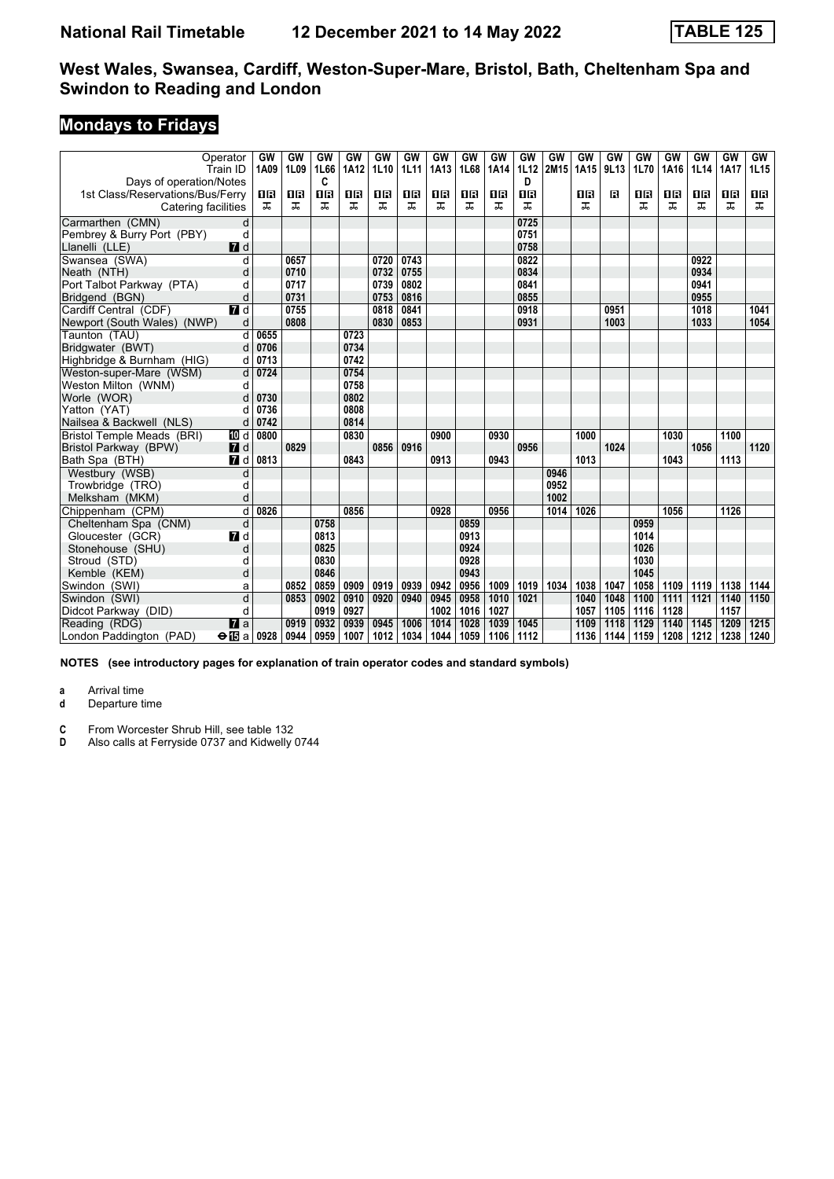# **Mondays to Fridays**

|                                  | Operator<br>Train ID | GW<br>1A09 | GW<br>1L09 | GW<br>1L66 | GW<br>1A12 | GW<br>1L10 | <b>GW</b><br>1L11 | GW<br>1A13 | GW<br>1L68 | GW<br>1A14 | GW<br>1L12 | GW<br>2M15 | GW<br>1A15 | GW<br>9L13 | GW<br>1L70 | GW<br>1A16 | GW<br>1L14 | GW<br>1A17 | GW<br>1L15 |
|----------------------------------|----------------------|------------|------------|------------|------------|------------|-------------------|------------|------------|------------|------------|------------|------------|------------|------------|------------|------------|------------|------------|
| Days of operation/Notes          |                      |            |            | C          |            |            |                   |            |            |            | D          |            |            |            |            |            |            |            |            |
| 1st Class/Reservations/Bus/Ferry |                      | 1R         | 18         | 1R         | 1R         | 0 B        | 0 B               | 0 B        | 1 R        | 16         | <b>0B</b>  |            | 0 B        | в          | 1R         | 1R         | 0 B        | 0 B        | 0 B        |
| Catering facilities              |                      | ᅚ          | ㅈ          | ᠼ          | ᠼ          | ᠼ          | ᠼ                 | ᠼ          | ᠼ          | ᠼ          | ᅚ          |            | ᅚ          |            | ᠼ          | ᅚ          | ᅚ          | ᠼ          | ᇁ          |
| Carmarthen (CMN)                 | d                    |            |            |            |            |            |                   |            |            |            | 0725       |            |            |            |            |            |            |            |            |
| Pembrey & Burry Port (PBY)       | d                    |            |            |            |            |            |                   |            |            |            | 0751       |            |            |            |            |            |            |            |            |
| Llanelli (LLE)                   | $\blacksquare$       |            |            |            |            |            |                   |            |            |            | 0758       |            |            |            |            |            |            |            |            |
| Swansea (SWA)                    | d                    |            | 0657       |            |            | 0720       | 0743              |            |            |            | 0822       |            |            |            |            |            | 0922       |            |            |
| Neath (NTH)                      | d                    |            | 0710       |            |            | 0732       | 0755              |            |            |            | 0834       |            |            |            |            |            | 0934       |            |            |
| Port Talbot Parkway (PTA)        | d                    |            | 0717       |            |            | 0739       | 0802              |            |            |            | 0841       |            |            |            |            |            | 0941       |            |            |
| Bridgend (BGN)                   | d                    |            | 0731       |            |            | 0753       | 0816              |            |            |            | 0855       |            |            |            |            |            | 0955       |            |            |
| Cardiff Central (CDF)            | $\blacksquare$       |            | 0755       |            |            | 0818       | 0841              |            |            |            | 0918       |            |            | 0951       |            |            | 1018       |            | 1041       |
| Newport (South Wales) (NWP)      | d                    |            | 0808       |            |            | 0830       | 0853              |            |            |            | 0931       |            |            | 1003       |            |            | 1033       |            | 1054       |
| Taunton (TAU)                    | d                    | 0655       |            |            | 0723       |            |                   |            |            |            |            |            |            |            |            |            |            |            |            |
| Bridgwater (BWT)                 | d                    | 0706       |            |            | 0734       |            |                   |            |            |            |            |            |            |            |            |            |            |            |            |
| Highbridge & Burnham (HIG)       | d                    | 0713       |            |            | 0742       |            |                   |            |            |            |            |            |            |            |            |            |            |            |            |
| Weston-super-Mare (WSM)          | d                    | 0724       |            |            | 0754       |            |                   |            |            |            |            |            |            |            |            |            |            |            |            |
| Weston Milton (WNM)              | d                    |            |            |            | 0758       |            |                   |            |            |            |            |            |            |            |            |            |            |            |            |
| Worle (WOR)                      | d                    | 0730       |            |            | 0802       |            |                   |            |            |            |            |            |            |            |            |            |            |            |            |
| Yatton (YAT)                     | d                    | 0736       |            |            | 0808       |            |                   |            |            |            |            |            |            |            |            |            |            |            |            |
| Nailsea & Backwell (NLS)         | d                    | 0742       |            |            | 0814       |            |                   |            |            |            |            |            |            |            |            |            |            |            |            |
| Bristol Temple Meads (BRI)       | TO d                 | 0800       |            |            | 0830       |            |                   | 0900       |            | 0930       |            |            | 1000       |            |            | 1030       |            | 1100       |            |
| Bristol Parkway (BPW)            | $I$ d                |            | 0829       |            |            | 0856       | 0916              |            |            |            | 0956       |            |            | 1024       |            |            | 1056       |            | 1120       |
| Bath Spa (BTH)                   | $\blacksquare$ d     | 0813       |            |            | 0843       |            |                   | 0913       |            | 0943       |            |            | 1013       |            |            | 1043       |            | 1113       |            |
| Westbury (WSB)                   | d                    |            |            |            |            |            |                   |            |            |            |            | 0946       |            |            |            |            |            |            |            |
| Trowbridge (TRO)                 | d                    |            |            |            |            |            |                   |            |            |            |            | 0952       |            |            |            |            |            |            |            |
| Melksham (MKM)                   | d                    |            |            |            |            |            |                   |            |            |            |            | 1002       |            |            |            |            |            |            |            |
| Chippenham (CPM)                 | d                    | 0826       |            |            | 0856       |            |                   | 0928       |            | 0956       |            | 1014       | 1026       |            |            | 1056       |            | 1126       |            |
| Cheltenham Spa (CNM)             | d                    |            |            | 0758       |            |            |                   |            | 0859       |            |            |            |            |            | 0959       |            |            |            |            |
| Gloucester (GCR)                 | 7d                   |            |            | 0813       |            |            |                   |            | 0913       |            |            |            |            |            | 1014       |            |            |            |            |
| Stonehouse (SHU)                 | d                    |            |            | 0825       |            |            |                   |            | 0924       |            |            |            |            |            | 1026       |            |            |            |            |
| Stroud (STD)                     | d                    |            |            | 0830       |            |            |                   |            | 0928       |            |            |            |            |            | 1030       |            |            |            |            |
| Kemble (KEM)                     | d                    |            |            | 0846       |            |            |                   |            | 0943       |            |            |            |            |            | 1045       |            |            |            |            |
| Swindon (SWI)                    | a                    |            | 0852       | 0859       | 0909       | 0919       | 0939              | 0942       | 0956       | 1009       | 1019       | 1034       | 1038       | 1047       | 1058       | 1109       | 1119       | 1138       | 1144       |
| Swindon (SWI)                    | d                    |            | 0853       | 0902       | 0910       | 0920       | 0940              | 0945       | 0958       | 1010       | 1021       |            | 1040       | 1048       | 1100       | 1111       | 1121       | 1140       | 1150       |
| Didcot Parkway (DID)             | d                    |            |            | 0919       | 0927       |            |                   | 1002       | 1016       | 1027       |            |            | 1057       | 1105       | 1116       | 1128       |            | 1157       |            |
| Reading (RDG)                    | $\mathbf{z}$ a       |            | 0919       | 0932       | 0939       | 0945       | 1006              | 1014       | 1028       | 1039       | 1045       |            | 1109       | 1118       | 1129       | 1140       | 1145       | 1209       | 1215       |
| London Paddington (PAD)          | $\Theta$ is a   0928 |            | 0944       | 0959       | 1007       | 1012       | 1034              | 1044       | 1059       | 1106       | 1112       |            | 1136       | 1144       | 1159       | 1208       | 1212       | 1238       | 1240       |

**NOTES (see introductory pages for explanation of train operator codes and standard symbols)**

**a** Arrival time<br>**d** Departure t **d** Departure time

**C** From Worcester Shrub Hill, see table 132<br>**D** Also calls at Ferryside 0737 and Kidwelly

Also calls at Ferryside 0737 and Kidwelly 0744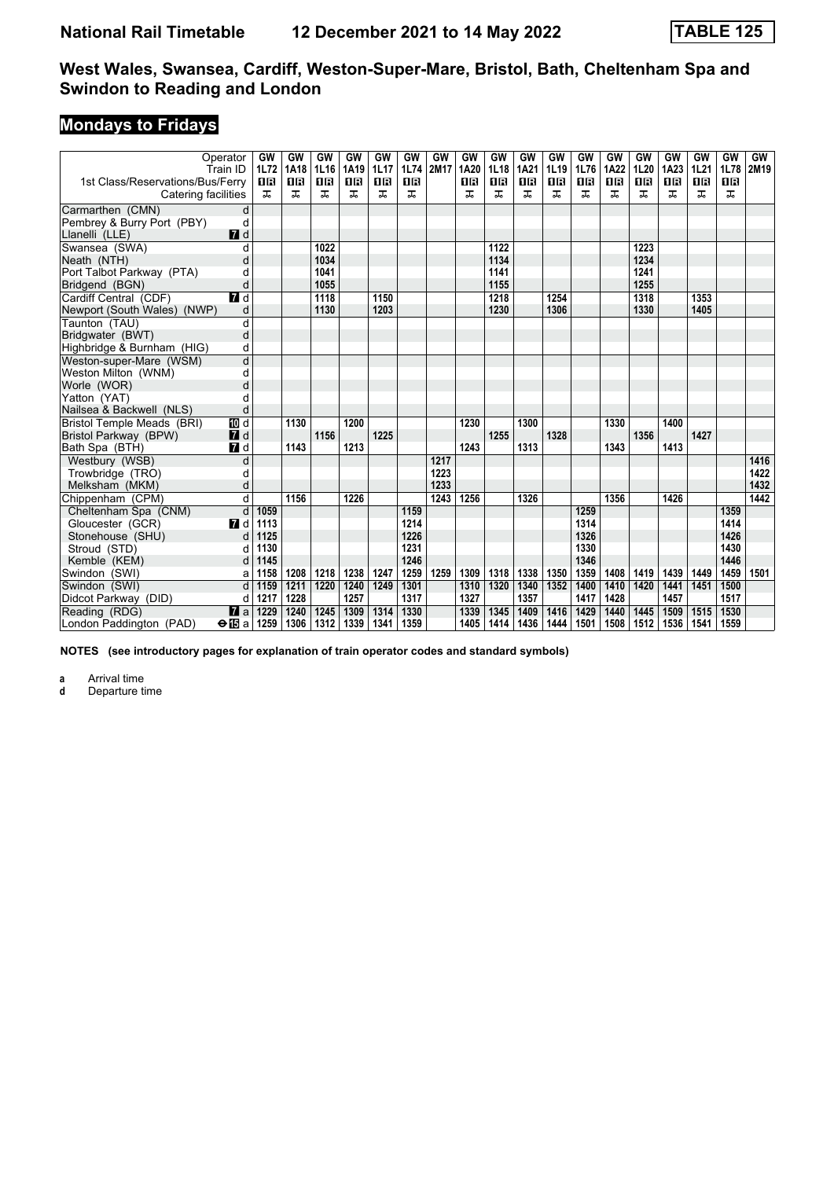# **Mondays to Fridays**

|                                                         | Operator<br>Train ID | GW<br>1L72     | GW<br>1A18     | GW<br>1L16 | GW<br>1A19     | GW<br><b>1L17</b> | GW<br>1L74     | GW<br>2M17 | <b>GW</b><br>1A20 | <b>GW</b><br>1L18 | GW<br>1A21 | GW<br>1L19 | GW<br>1L76 | GW<br>1A22     | GW<br>1L20 | GW<br>1A23     | GW<br>1L21 | <b>GW</b><br>1L78 | GW<br>2M19 |
|---------------------------------------------------------|----------------------|----------------|----------------|------------|----------------|-------------------|----------------|------------|-------------------|-------------------|------------|------------|------------|----------------|------------|----------------|------------|-------------------|------------|
| 1st Class/Reservations/Bus/Ferry<br>Catering facilities |                      | <b>08</b><br>ᅚ | <b>08</b><br>ᠼ | 08<br>ᠼ    | <b>08</b><br>ᠼ | <b>08</b><br>ᠼ    | <b>08</b><br>ᠼ |            | 0B<br>ㅈ           | <b>08</b><br>ᠼ    | 0 B<br>ᠼ   | 1 R<br>ㅈ   | 18<br>ᠼ    | <b>08</b><br>ᅚ | 16<br>ᅚ    | <b>0B</b><br>ᅚ | 0 B<br>ㅈ   | <b>08</b><br>ᅚ    |            |
| Carmarthen (CMN)                                        | d                    |                |                |            |                |                   |                |            |                   |                   |            |            |            |                |            |                |            |                   |            |
| Pembrey & Burry Port (PBY)                              | d                    |                |                |            |                |                   |                |            |                   |                   |            |            |            |                |            |                |            |                   |            |
| Llanelli (LLE)                                          | <b>7</b> d           |                |                |            |                |                   |                |            |                   |                   |            |            |            |                |            |                |            |                   |            |
| Swansea (SWA)                                           | d                    |                |                | 1022       |                |                   |                |            |                   | 1122              |            |            |            |                | 1223       |                |            |                   |            |
| Neath (NTH)                                             | d                    |                |                | 1034       |                |                   |                |            |                   | 1134              |            |            |            |                | 1234       |                |            |                   |            |
| Port Talbot Parkway (PTA)                               | d                    |                |                | 1041       |                |                   |                |            |                   | 1141              |            |            |            |                | 1241       |                |            |                   |            |
| Bridgend (BGN)                                          | d                    |                |                | 1055       |                |                   |                |            |                   | 1155              |            |            |            |                | 1255       |                |            |                   |            |
| Cardiff Central (CDF)                                   | $\blacksquare$       |                |                | 1118       |                | 1150              |                |            |                   | 1218              |            | 1254       |            |                | 1318       |                | 1353       |                   |            |
| Newport (South Wales) (NWP)                             | d                    |                |                | 1130       |                | 1203              |                |            |                   | 1230              |            | 1306       |            |                | 1330       |                | 1405       |                   |            |
| Taunton (TAU)                                           | d                    |                |                |            |                |                   |                |            |                   |                   |            |            |            |                |            |                |            |                   |            |
| Bridgwater (BWT)                                        | d                    |                |                |            |                |                   |                |            |                   |                   |            |            |            |                |            |                |            |                   |            |
| Highbridge & Burnham (HIG)                              | d                    |                |                |            |                |                   |                |            |                   |                   |            |            |            |                |            |                |            |                   |            |
| Weston-super-Mare (WSM)                                 | d                    |                |                |            |                |                   |                |            |                   |                   |            |            |            |                |            |                |            |                   |            |
| Weston Milton (WNM)                                     | d                    |                |                |            |                |                   |                |            |                   |                   |            |            |            |                |            |                |            |                   |            |
| Worle (WOR)                                             | d                    |                |                |            |                |                   |                |            |                   |                   |            |            |            |                |            |                |            |                   |            |
| Yatton (YAT)                                            | d                    |                |                |            |                |                   |                |            |                   |                   |            |            |            |                |            |                |            |                   |            |
| Nailsea & Backwell (NLS)                                | d                    |                |                |            |                |                   |                |            |                   |                   |            |            |            |                |            |                |            |                   |            |
| Bristol Temple Meads (BRI)                              | [[] d                |                | 1130           |            | 1200           |                   |                |            | 1230              |                   | 1300       |            |            | 1330           |            | 1400           |            |                   |            |
| Bristol Parkway (BPW)                                   | <b>7</b> d           |                |                | 1156       |                | 1225              |                |            |                   | 1255              |            | 1328       |            |                | 1356       |                | 1427       |                   |            |
| Bath Spa (BTH)                                          | $\blacksquare$       |                | 1143           |            | 1213           |                   |                |            | 1243              |                   | 1313       |            |            | 1343           |            | 1413           |            |                   |            |
| Westbury (WSB)                                          | d                    |                |                |            |                |                   |                | 1217       |                   |                   |            |            |            |                |            |                |            |                   | 1416       |
| Trowbridge (TRO)                                        | d                    |                |                |            |                |                   |                | 1223       |                   |                   |            |            |            |                |            |                |            |                   | 1422       |
| Melksham (MKM)                                          | d                    |                |                |            |                |                   |                | 1233       |                   |                   |            |            |            |                |            |                |            |                   | 1432       |
| Chippenham (CPM)                                        | $\overline{d}$       |                | 1156           |            | 1226           |                   |                | 1243       | 1256              |                   | 1326       |            |            | 1356           |            | 1426           |            |                   | 1442       |
| Cheltenham Spa (CNM)                                    | $\overline{d}$       | 1059           |                |            |                |                   | 1159           |            |                   |                   |            |            | 1259       |                |            |                |            | 1359              |            |
| Gloucester (GCR)                                        | 7 d                  | 1113           |                |            |                |                   | 1214           |            |                   |                   |            |            | 1314       |                |            |                |            | 1414              |            |
| Stonehouse (SHU)                                        | d                    | 1125           |                |            |                |                   | 1226           |            |                   |                   |            |            | 1326       |                |            |                |            | 1426              |            |
| Stroud (STD)                                            | d                    | 1130           |                |            |                |                   | 1231           |            |                   |                   |            |            | 1330       |                |            |                |            | 1430              |            |
| Kemble (KEM)                                            | d                    | 1145           |                |            |                |                   | 1246           |            |                   |                   |            |            | 1346       |                |            |                |            | 1446              |            |
| Swindon (SWI)                                           | a                    | 1158           | 1208           | 1218       | 1238           | 1247              | 1259           | 1259       | 1309              | 1318              | 1338       | 1350       | 1359       | 1408           | 1419       | 1439           | 1449       | 1459              | 1501       |
| Swindon (SWI)                                           | d                    | 1159           | 1211           | 1220       | 1240           | 1249              | 1301           |            | 1310              | 1320              | 1340       | 1352       | 1400       | 1410           | 1420       | 1441           | 1451       | 1500              |            |
| Didcot Parkway (DID)                                    | d                    | 1217           | 1228           |            | 1257           |                   | 1317           |            | 1327              |                   | 1357       |            | 1417       | 1428           |            | 1457           |            | 1517              |            |
| Reading (RDG)                                           | $\mathbf{z}$ a       | 1229           | 1240           | 1245       | 1309           | 1314              | 1330           |            | 1339              | 1345              | 1409       | 1416       | 1429       | 1440           | 1445       | 1509           | 1515       | 1530              |            |
| London Paddington (PAD)                                 | $\Theta$ is a 1259   |                | 1306           | 1312       | 1339           | 1341              | 1359           |            | 1405              | 1414              | 1436       | 1444       | 1501       | 1508           | 1512       | 1536           | 1541       | 1559              |            |

**NOTES (see introductory pages for explanation of train operator codes and standard symbols)**

**a** Arrival time<br>**d** Departure ti

**d** Departure time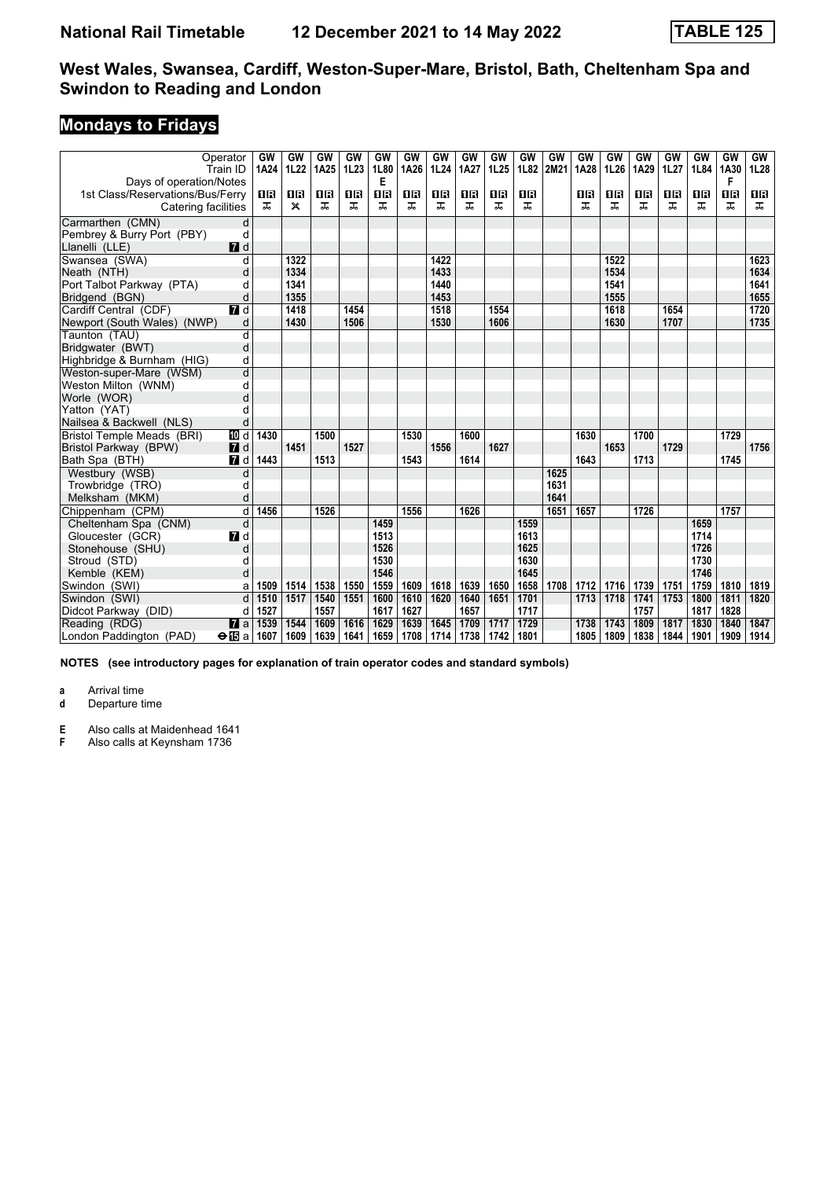# **Mondays to Fridays**

|                                  | Operator<br>Train ID | GW<br>1A24 | GW<br>1L22   | GW<br>1A25 | GW<br>1L23 | <b>GW</b><br>1L80 | <b>GW</b><br>1A26 | GW<br>1L24 | GW<br>1A27 | GW<br>1L25 | GW<br>1L82 | GW<br>2M21 | GW<br>1A28 | GW<br>1L26 | GW<br>1A29 | GW<br>1L27 | GW<br>1L84 | GW<br>1A30 | GW<br>1L28 |
|----------------------------------|----------------------|------------|--------------|------------|------------|-------------------|-------------------|------------|------------|------------|------------|------------|------------|------------|------------|------------|------------|------------|------------|
| Days of operation/Notes          |                      |            |              |            |            | Е                 |                   |            |            |            |            |            |            |            |            |            |            | F          |            |
| 1st Class/Reservations/Bus/Ferry |                      | 1 R        | 1 R          | 1 R        | 1R         | 1R                | 1R                | 0 R        | 0 B        | 16         | 0 B        |            | 0 B        | 1 R        | 1 R        | 1 R        | 0 B        | 1 <b>B</b> | 0 B        |
| Catering facilities              |                      | ㅈ          | $\mathsf{x}$ | ㅈ          | ᅚ          | ㅈ                 | ㅈ                 | ㅈ          | ㅈ          | ㅈ          | ᅚ          |            | ᅚ          | ᠼ          | ᅚ          | ᅚ          | ᅚ          | ㅈ          | ㅈ          |
| Carmarthen (CMN)                 | d                    |            |              |            |            |                   |                   |            |            |            |            |            |            |            |            |            |            |            |            |
| Pembrey & Burry Port (PBY)       | d                    |            |              |            |            |                   |                   |            |            |            |            |            |            |            |            |            |            |            |            |
| Llanelli (LLE)                   | $\blacksquare$       |            |              |            |            |                   |                   |            |            |            |            |            |            |            |            |            |            |            |            |
| Swansea (SWA)                    | d                    |            | 1322         |            |            |                   |                   | 1422       |            |            |            |            |            | 1522       |            |            |            |            | 1623       |
| Neath (NTH)                      | d                    |            | 1334         |            |            |                   |                   | 1433       |            |            |            |            |            | 1534       |            |            |            |            | 1634       |
| Port Talbot Parkway (PTA)        | d                    |            | 1341         |            |            |                   |                   | 1440       |            |            |            |            |            | 1541       |            |            |            |            | 1641       |
| Bridgend (BGN)                   | d                    |            | 1355         |            |            |                   |                   | 1453       |            |            |            |            |            | 1555       |            |            |            |            | 1655       |
| Cardiff Central (CDF)            | $\overline{d}$ d     |            | 1418         |            | 1454       |                   |                   | 1518       |            | 1554       |            |            |            | 1618       |            | 1654       |            |            | 1720       |
| Newport (South Wales) (NWP)      | d                    |            | 1430         |            | 1506       |                   |                   | 1530       |            | 1606       |            |            |            | 1630       |            | 1707       |            |            | 1735       |
| Taunton (TAU)                    | d                    |            |              |            |            |                   |                   |            |            |            |            |            |            |            |            |            |            |            |            |
| Bridgwater (BWT)                 | d                    |            |              |            |            |                   |                   |            |            |            |            |            |            |            |            |            |            |            |            |
| Highbridge & Burnham (HIG)       | d                    |            |              |            |            |                   |                   |            |            |            |            |            |            |            |            |            |            |            |            |
| Weston-super-Mare (WSM)          | d                    |            |              |            |            |                   |                   |            |            |            |            |            |            |            |            |            |            |            |            |
| Weston Milton (WNM)              | d                    |            |              |            |            |                   |                   |            |            |            |            |            |            |            |            |            |            |            |            |
| Worle (WOR)                      | d                    |            |              |            |            |                   |                   |            |            |            |            |            |            |            |            |            |            |            |            |
| Yatton (YAT)                     | d                    |            |              |            |            |                   |                   |            |            |            |            |            |            |            |            |            |            |            |            |
| Nailsea & Backwell (NLS)         | d                    |            |              |            |            |                   |                   |            |            |            |            |            |            |            |            |            |            |            |            |
| Bristol Temple Meads (BRI)       | [[] d                | 1430       |              | 1500       |            |                   | 1530              |            | 1600       |            |            |            | 1630       |            | 1700       |            |            | 1729       |            |
| Bristol Parkway (BPW)            | $\blacksquare$       |            | 1451         |            | 1527       |                   |                   | 1556       |            | 1627       |            |            |            | 1653       |            | 1729       |            |            | 1756       |
| Bath Spa (BTH)                   | 7d                   | 1443       |              | 1513       |            |                   | 1543              |            | 1614       |            |            |            | 1643       |            | 1713       |            |            | 1745       |            |
| Westbury (WSB)                   | d                    |            |              |            |            |                   |                   |            |            |            |            | 1625       |            |            |            |            |            |            |            |
| Trowbridge (TRO)                 | d                    |            |              |            |            |                   |                   |            |            |            |            | 1631       |            |            |            |            |            |            |            |
| Melksham (MKM)                   | d                    |            |              |            |            |                   |                   |            |            |            |            | 1641       |            |            |            |            |            |            |            |
| Chippenham (CPM)                 | d                    | 1456       |              | 1526       |            |                   | 1556              |            | 1626       |            |            | 1651       | 1657       |            | 1726       |            |            | 1757       |            |
| Cheltenham Spa (CNM)             | d                    |            |              |            |            | 1459              |                   |            |            |            | 1559       |            |            |            |            |            | 1659       |            |            |
| Gloucester (GCR)                 | 7d                   |            |              |            |            | 1513              |                   |            |            |            | 1613       |            |            |            |            |            | 1714       |            |            |
| Stonehouse (SHU)                 | d                    |            |              |            |            | 1526              |                   |            |            |            | 1625       |            |            |            |            |            | 1726       |            |            |
| Stroud (STD)                     | d                    |            |              |            |            | 1530              |                   |            |            |            | 1630       |            |            |            |            |            | 1730       |            |            |
| Kemble (KEM)                     | d                    |            |              |            |            | 1546              |                   |            |            |            | 1645       |            |            |            |            |            | 1746       |            |            |
| Swindon (SWI)                    | a                    | 1509       | 1514         | 1538       | 1550       | 1559              | 1609              | 1618       | 1639       | 1650       | 1658       | 1708       | 1712       | 1716       | 1739       | 1751       | 1759       | 1810       | 1819       |
| Swindon (SWI)                    | d                    | 1510       | 1517         | 1540       | 1551       | 1600              | 1610              | 1620       | 1640       | 1651       | 1701       |            | 1713       | 1718       | 1741       | 1753       | 1800       | 1811       | 1820       |
| Didcot Parkway (DID)             | d                    | 1527       |              | 1557       |            | 1617              | 1627              |            | 1657       |            | 1717       |            |            |            | 1757       |            | 1817       | 1828       |            |
| Reading (RDG)                    | $\mathbf{z}$ a       | 1539       | 1544         | 1609       | 1616       | 1629              | 1639              | 1645       | 1709       | 1717       | 1729       |            | 1738       | 1743       | 1809       | 1817       | 1830       | 1840       | 1847       |
| London Paddington (PAD)          | <b>⊖ T</b> al        | 1607       | 1609         | 1639       | 1641       | 1659              | 1708              | 1714       | 1738       | 1742       | 1801       |            | 1805       | 1809       | 1838       | 1844       | 1901       | 1909       | 1914       |

**NOTES (see introductory pages for explanation of train operator codes and standard symbols)**

**a** Arrival time<br>**d** Departure t **d** Departure time

**E** Also calls at Maidenhead 1641<br>**F** Also calls at Keynsham 1736

Also calls at Keynsham 1736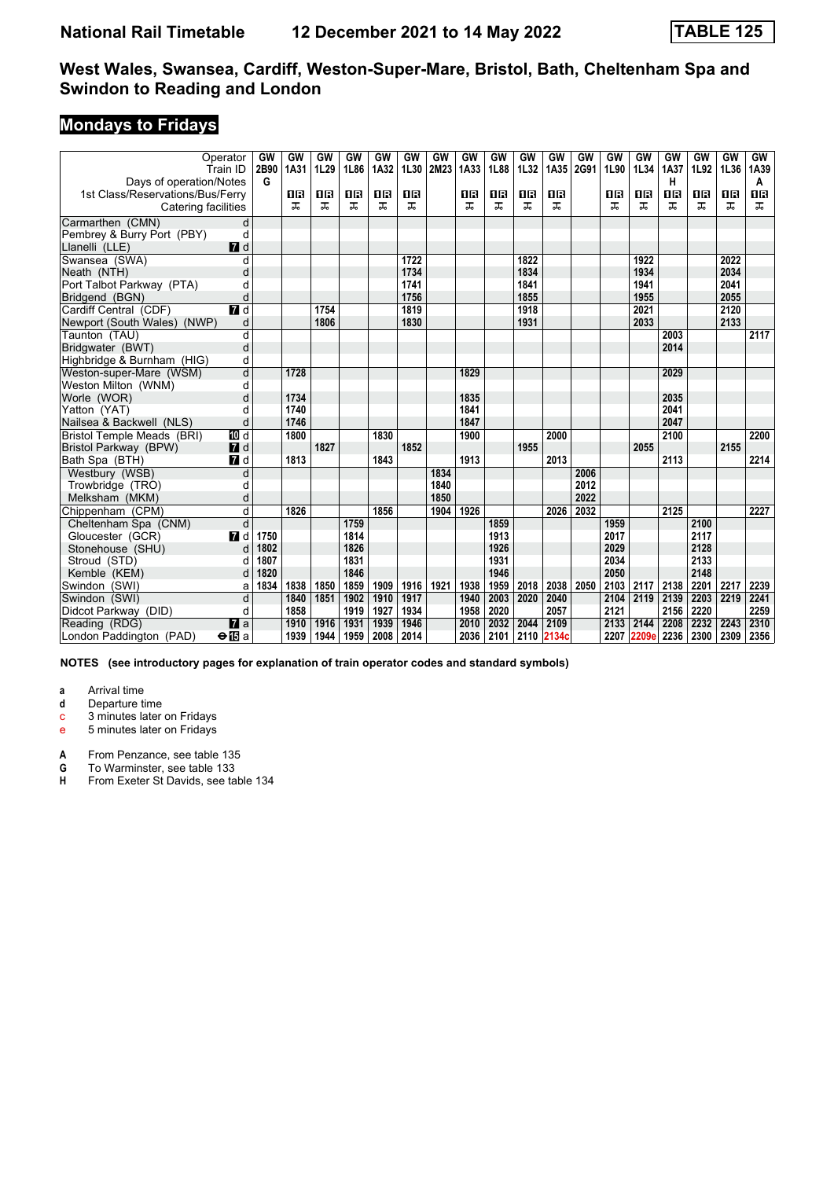# **Mondays to Fridays**

|                                  | Operator<br>Train ID    | GW<br>2B90 | GW<br>1A31 | <b>GW</b><br>1L29 | GW<br>1L86 | GW<br>1A32 | GW<br>1L30 | GW<br>2M23 | GW<br>1A33 | GW<br>1L88 | GW<br>1L32 | GW<br>1A35 | GW<br>2G91 | GW<br>1L90 | GW<br>1L34 | GW<br>1A37 | GW<br>1L92 | GW<br>1L36 | GW<br>1A39 |
|----------------------------------|-------------------------|------------|------------|-------------------|------------|------------|------------|------------|------------|------------|------------|------------|------------|------------|------------|------------|------------|------------|------------|
| Days of operation/Notes          |                         | G          |            |                   |            |            |            |            |            |            |            |            |            |            |            | н          |            |            | A          |
| 1st Class/Reservations/Bus/Ferry |                         |            | ΩB         | 1 R               | 1 R        | 16         | 0 B        |            | OR         | 16         | 0 B        | 0 B        |            | 1 R        | 16         | 16         | 0 B        | 0 B        | 0 B        |
| Catering facilities              |                         |            | ᠼ          | ᠼ                 | ᠼ          | ᠼ          | ᠼ          |            | ᅚ          | ᅚ          | ᅚ          | ᅚ          |            | ᠼ          | ᠼ          | ᅚ          | ᅚ          | ᠼ          | ᠼ          |
| Carmarthen (CMN)                 | d                       |            |            |                   |            |            |            |            |            |            |            |            |            |            |            |            |            |            |            |
| Pembrey & Burry Port (PBY)       | d                       |            |            |                   |            |            |            |            |            |            |            |            |            |            |            |            |            |            |            |
| Llanelli (LLE)                   | $\blacksquare$          |            |            |                   |            |            |            |            |            |            |            |            |            |            |            |            |            |            |            |
| Swansea (SWA)                    | d                       |            |            |                   |            |            | 1722       |            |            |            | 1822       |            |            |            | 1922       |            |            | 2022       |            |
| Neath (NTH)                      | d                       |            |            |                   |            |            | 1734       |            |            |            | 1834       |            |            |            | 1934       |            |            | 2034       |            |
| Port Talbot Parkway (PTA)        | d                       |            |            |                   |            |            | 1741       |            |            |            | 1841       |            |            |            | 1941       |            |            | 2041       |            |
| Bridgend (BGN)                   | d                       |            |            |                   |            |            | 1756       |            |            |            | 1855       |            |            |            | 1955       |            |            | 2055       |            |
| Cardiff Central (CDF)            | $\overline{r}$ d        |            |            | 1754              |            |            | 1819       |            |            |            | 1918       |            |            |            | 2021       |            |            | 2120       |            |
| Newport (South Wales) (NWP)      | d                       |            |            | 1806              |            |            | 1830       |            |            |            | 1931       |            |            |            | 2033       |            |            | 2133       |            |
| Taunton (TAU)                    | d                       |            |            |                   |            |            |            |            |            |            |            |            |            |            |            | 2003       |            |            | 2117       |
| Bridgwater (BWT)                 | d                       |            |            |                   |            |            |            |            |            |            |            |            |            |            |            | 2014       |            |            |            |
| Highbridge & Burnham (HIG)       | d                       |            |            |                   |            |            |            |            |            |            |            |            |            |            |            |            |            |            |            |
| Weston-super-Mare (WSM)          | d                       |            | 1728       |                   |            |            |            |            | 1829       |            |            |            |            |            |            | 2029       |            |            |            |
| Weston Milton (WNM)              | d                       |            |            |                   |            |            |            |            |            |            |            |            |            |            |            |            |            |            |            |
| Worle (WOR)                      | d                       |            | 1734       |                   |            |            |            |            | 1835       |            |            |            |            |            |            | 2035       |            |            |            |
| Yatton (YAT)                     | d                       |            | 1740       |                   |            |            |            |            | 1841       |            |            |            |            |            |            | 2041       |            |            |            |
| Nailsea & Backwell (NLS)         | d                       |            | 1746       |                   |            |            |            |            | 1847       |            |            |            |            |            |            | 2047       |            |            |            |
| Bristol Temple Meads (BRI)       | <b>TO</b> d             |            | 1800       |                   |            | 1830       |            |            | 1900       |            |            | 2000       |            |            |            | 2100       |            |            | 2200       |
| Bristol Parkway (BPW)            | <b>7</b> d              |            |            | 1827              |            |            | 1852       |            |            |            | 1955       |            |            |            | 2055       |            |            | 2155       |            |
| Bath Spa (BTH)                   | $\blacksquare$          |            | 1813       |                   |            | 1843       |            |            | 1913       |            |            | 2013       |            |            |            | 2113       |            |            | 2214       |
| Westbury (WSB)                   | d                       |            |            |                   |            |            |            | 1834       |            |            |            |            | 2006       |            |            |            |            |            |            |
| Trowbridge (TRO)                 | d                       |            |            |                   |            |            |            | 1840       |            |            |            |            | 2012       |            |            |            |            |            |            |
| Melksham (MKM)                   | d                       |            |            |                   |            |            |            | 1850       |            |            |            |            | 2022       |            |            |            |            |            |            |
| Chippenham (CPM)                 | d                       |            | 1826       |                   |            | 1856       |            | 1904       | 1926       |            |            | 2026       | 2032       |            |            | 2125       |            |            | 2227       |
| Cheltenham Spa (CNM)             | d                       |            |            |                   | 1759       |            |            |            |            | 1859       |            |            |            | 1959       |            |            | 2100       |            |            |
| Gloucester (GCR)                 | $\blacksquare$          | 1750       |            |                   | 1814       |            |            |            |            | 1913       |            |            |            | 2017       |            |            | 2117       |            |            |
| Stonehouse (SHU)                 | d                       | 1802       |            |                   | 1826       |            |            |            |            | 1926       |            |            |            | 2029       |            |            | 2128       |            |            |
| Stroud (STD)                     | d                       | 1807       |            |                   | 1831       |            |            |            |            | 1931       |            |            |            | 2034       |            |            | 2133       |            |            |
| Kemble (KEM)                     | d                       | 1820       |            |                   | 1846       |            |            |            |            | 1946       |            |            |            | 2050       |            |            | 2148       |            |            |
| Swindon (SWI)                    | a                       | 1834       | 1838       | 1850              | 1859       | 1909       | 1916       | 1921       | 1938       | 1959       | 2018       | 2038       | 2050       | 2103       | 2117       | 2138       | 2201       | 2217       | 2239       |
| Swindon (SWI)                    | d                       |            | 1840       | 1851              | 1902       | 1910       | 1917       |            | 1940       | 2003       | 2020       | 2040       |            | 2104       | 2119       | 2139       | 2203       | 2219       | 2241       |
| Didcot Parkway (DID)             | d                       |            | 1858       |                   | 1919       | 1927       | 1934       |            | 1958       | 2020       |            | 2057       |            | 2121       |            | 2156       | 2220       |            | 2259       |
| Reading (RDG)                    | $\overline{a}$          |            | 1910       | 1916              | 1931       | 1939       | 1946       |            | 2010       | 2032       | 2044       | 2109       |            | 2133       | 2144       | 2208       | 2232       | 2243       | 2310       |
| London Paddington (PAD)          | $\Theta$ $\mathbf{E}$ a |            | 1939       | 1944              | 1959       | 2008       | 2014       |            | 2036       | 2101       |            | 2110 2134c |            | 2207       | 2209e      | 2236       | 2300       | 2309       | 2356       |

**NOTES (see introductory pages for explanation of train operator codes and standard symbols)**

**a** Arrival time<br>**d** Departure t

**d** Departure time

c 3 minutes later on Fridays

e 5 minutes later on Fridays

**A** From Penzance, see table 135<br>**G** To Warminster, see table 133

**G** To Warminster, see table 133

**H** From Exeter St Davids, see table 134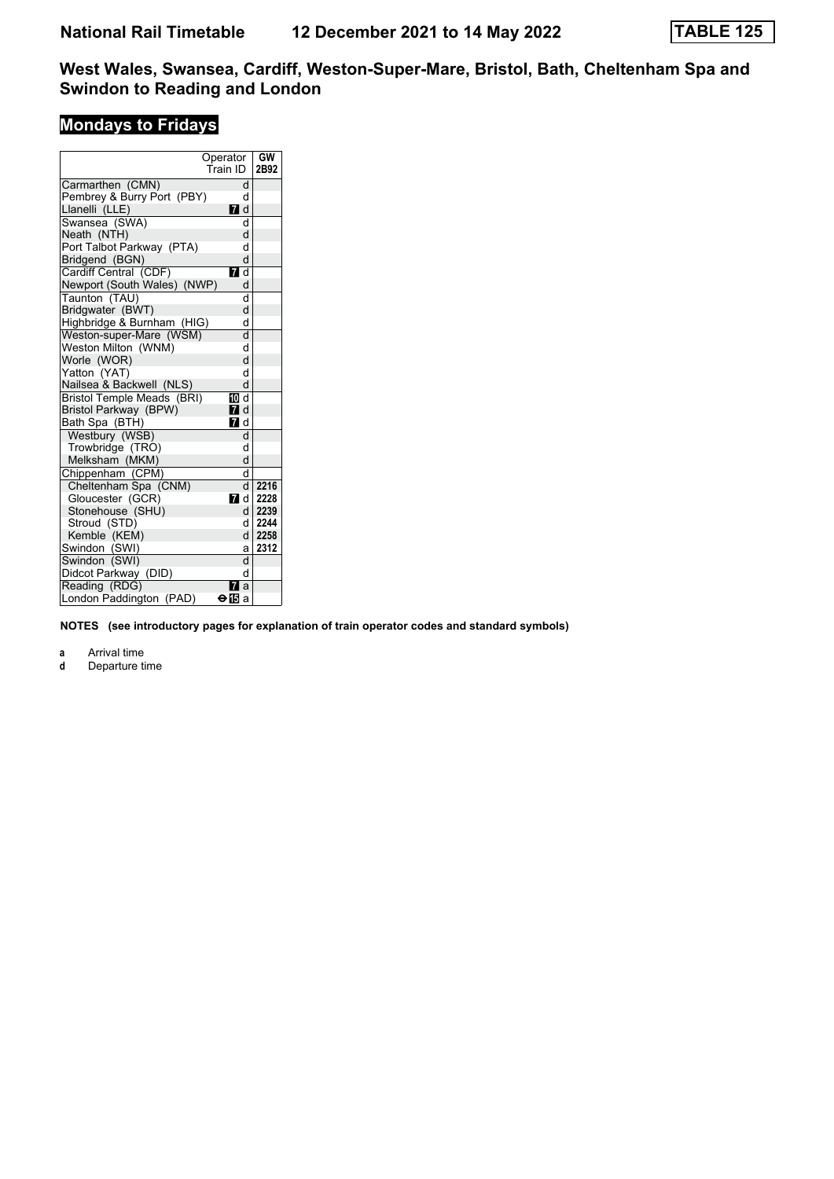# **Mondays to Fridays**

|                             | Operator<br>Train ID | <b>GW</b><br>2B92 |
|-----------------------------|----------------------|-------------------|
| Carmarthen (CMN)            | d                    |                   |
| Pembrey & Burry Port (PBY)  | d                    |                   |
| Llanelli (LLE)              | $\blacksquare$ d     |                   |
| Swansea (SWA)               | q                    |                   |
| Neath (NTH)                 | d                    |                   |
| Port Talbot Parkway (PTA)   | d                    |                   |
| Bridgend (BGN)              | d                    |                   |
| Cardiff Central (CDF)       | $\blacksquare$ d     |                   |
| Newport (South Wales) (NWP) | d                    |                   |
| Taunton (TAU)               | d                    |                   |
| Bridgwater (BWT)            | d                    |                   |
| Highbridge & Burnham (HIG)  | d                    |                   |
| Weston-super-Mare (WSM)     | d                    |                   |
| Weston Milton (WNM)         | d                    |                   |
| Worle (WOR)                 | d                    |                   |
| Yatton (YAT)                | d                    |                   |
| Nailsea & Backwell (NLS)    | d                    |                   |
| Bristol Temple Meads (BRI)  | 10 d                 |                   |
| Bristol Parkway (BPW)       | 7d                   |                   |
| Bath Spa (BTH)              | $\blacksquare$ d     |                   |
| Westbury (WSB)              | d                    |                   |
| Trowbridge (TRO)            | d                    |                   |
| Melksham (MKM)              | d                    |                   |
| Chippenham (CPM)            | d                    |                   |
| Cheltenham Spa (CNM)        | $\mathsf{d}$         | 2216              |
| Gloucester (GCR)            |                      | 77 d i 2228       |
| Stonehouse (SHU)            |                      | d   2239          |
| Stroud (STD)                |                      | d 2244            |
| Kemble (KEM)                |                      | $d$   2258        |
| Swindon (SWI)               | a۱                   | 2312              |
| Swindon (SWI)               | d                    |                   |
| Didcot Parkway (DID)        | d                    |                   |
| Reading (RDG)               | 7<br>a               |                   |
| London Paddington (PAD)     | ⊖l⊠a                 |                   |

**NOTES (see introductory pages for explanation of train operator codes and standard symbols)**

**a** Arrival time<br>**d** Departure time

**d** Departure time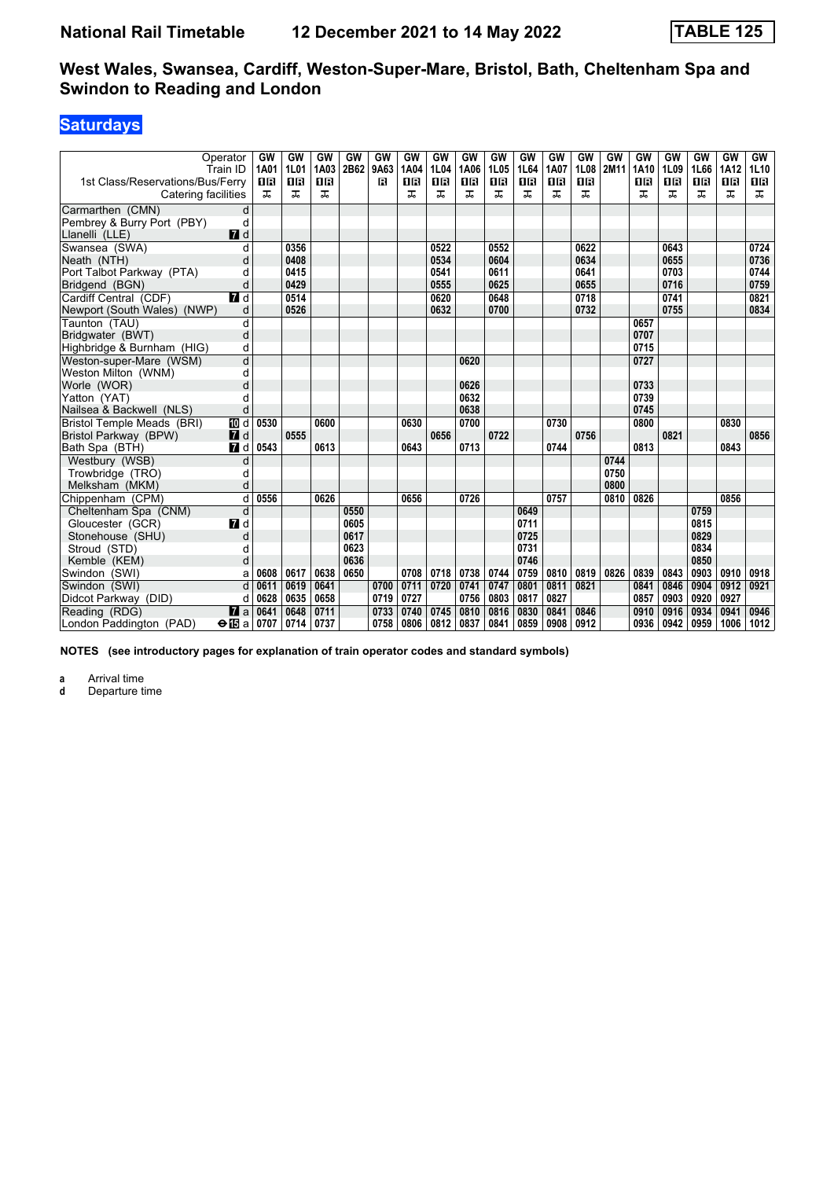## **Saturdays**

| 1st Class/Reservations/Bus/Ferry | Operator<br>Train ID    | GW<br>1A01<br><b>08</b> | GW<br>1L01<br><b>08</b> | GW<br>1A03<br><b>08</b> | GW<br>2B62 | GW<br>9A63<br>в | GW<br>1A04<br>0 B | <b>GW</b><br>1L04<br><b>08</b> | <b>GW</b><br>1A06<br>08 | GW<br>1L05<br><b>08</b> | GW<br>1L64<br>16 | GW<br>1A07<br><b>OB</b> | GW<br>1L08<br><b>0B</b> | GW<br>2M11 | GW<br>1A10<br>18 | GW<br>1L09<br>18 | GW<br>1L66<br><b>0B</b> | GW<br>1A12<br><b>08</b> | GW<br>1L10<br><b>08</b> |
|----------------------------------|-------------------------|-------------------------|-------------------------|-------------------------|------------|-----------------|-------------------|--------------------------------|-------------------------|-------------------------|------------------|-------------------------|-------------------------|------------|------------------|------------------|-------------------------|-------------------------|-------------------------|
| Catering facilities              |                         | ㅈ                       | ᠼ                       | ᠼ                       |            |                 | ᠼ                 | ᠼ                              | 굾                       | ㅈ                       | ㅈ                | ᠼ                       | ᅚ                       |            | ᅚ                | ᅚ                | ᅚ                       | ᠼ                       | ᠼ                       |
| Carmarthen (CMN)                 | d                       |                         |                         |                         |            |                 |                   |                                |                         |                         |                  |                         |                         |            |                  |                  |                         |                         |                         |
| Pembrey & Burry Port (PBY)       | d                       |                         |                         |                         |            |                 |                   |                                |                         |                         |                  |                         |                         |            |                  |                  |                         |                         |                         |
| Llanelli (LLE)                   | $\blacksquare$ d        |                         |                         |                         |            |                 |                   |                                |                         |                         |                  |                         |                         |            |                  |                  |                         |                         |                         |
| Swansea (SWA)                    | d                       |                         | 0356                    |                         |            |                 |                   | 0522                           |                         | 0552                    |                  |                         | 0622                    |            |                  | 0643             |                         |                         | 0724                    |
| Neath (NTH)                      | d                       |                         | 0408                    |                         |            |                 |                   | 0534                           |                         | 0604                    |                  |                         | 0634                    |            |                  | 0655             |                         |                         | 0736                    |
| Port Talbot Parkway (PTA)        | d                       |                         | 0415                    |                         |            |                 |                   | 0541                           |                         | 0611                    |                  |                         | 0641                    |            |                  | 0703             |                         |                         | 0744                    |
| Bridgend (BGN)                   | d                       |                         | 0429                    |                         |            |                 |                   | 0555                           |                         | 0625                    |                  |                         | 0655                    |            |                  | 0716             |                         |                         | 0759                    |
| Cardiff Central (CDF)            | $\blacksquare$ d        |                         | 0514                    |                         |            |                 |                   | 0620                           |                         | 0648                    |                  |                         | 0718                    |            |                  | 0741             |                         |                         | 0821                    |
| Newport (South Wales) (NWP)      | d                       |                         | 0526                    |                         |            |                 |                   | 0632                           |                         | 0700                    |                  |                         | 0732                    |            |                  | 0755             |                         |                         | 0834                    |
| Taunton (TAU)                    | d                       |                         |                         |                         |            |                 |                   |                                |                         |                         |                  |                         |                         |            | 0657             |                  |                         |                         |                         |
| Bridgwater (BWT)                 | d                       |                         |                         |                         |            |                 |                   |                                |                         |                         |                  |                         |                         |            | 0707             |                  |                         |                         |                         |
| Highbridge & Burnham (HIG)       | d                       |                         |                         |                         |            |                 |                   |                                |                         |                         |                  |                         |                         |            | 0715             |                  |                         |                         |                         |
| Weston-super-Mare (WSM)          | d                       |                         |                         |                         |            |                 |                   |                                | 0620                    |                         |                  |                         |                         |            | 0727             |                  |                         |                         |                         |
| Weston Milton (WNM)              | d                       |                         |                         |                         |            |                 |                   |                                |                         |                         |                  |                         |                         |            |                  |                  |                         |                         |                         |
| Worle (WOR)                      | d                       |                         |                         |                         |            |                 |                   |                                | 0626                    |                         |                  |                         |                         |            | 0733             |                  |                         |                         |                         |
| Yatton (YAT)                     | d                       |                         |                         |                         |            |                 |                   |                                | 0632                    |                         |                  |                         |                         |            | 0739             |                  |                         |                         |                         |
| Nailsea & Backwell (NLS)         | d                       |                         |                         |                         |            |                 |                   |                                | 0638                    |                         |                  |                         |                         |            | 0745             |                  |                         |                         |                         |
| Bristol Temple Meads (BRI)       | TO d                    | 0530                    |                         | 0600                    |            |                 | 0630              |                                | 0700                    |                         |                  | 0730                    |                         |            | 0800             |                  |                         | 0830                    |                         |
| Bristol Parkway (BPW)            | 7d                      |                         | 0555                    |                         |            |                 |                   | 0656                           |                         | 0722                    |                  |                         | 0756                    |            |                  | 0821             |                         |                         | 0856                    |
| Bath Spa (BTH)                   | $\blacksquare$          | 0543                    |                         | 0613                    |            |                 | 0643              |                                | 0713                    |                         |                  | 0744                    |                         |            | 0813             |                  |                         | 0843                    |                         |
| Westbury (WSB)                   | d                       |                         |                         |                         |            |                 |                   |                                |                         |                         |                  |                         |                         | 0744       |                  |                  |                         |                         |                         |
| Trowbridge (TRO)                 | d                       |                         |                         |                         |            |                 |                   |                                |                         |                         |                  |                         |                         | 0750       |                  |                  |                         |                         |                         |
| Melksham (MKM)                   | d                       |                         |                         |                         |            |                 |                   |                                |                         |                         |                  |                         |                         | 0800       |                  |                  |                         |                         |                         |
| Chippenham (CPM)                 | $\overline{\mathsf{d}}$ | 0556                    |                         | 0626                    |            |                 | 0656              |                                | 0726                    |                         |                  | 0757                    |                         | 0810       | 0826             |                  |                         | 0856                    |                         |
| Cheltenham Spa (CNM)             | d                       |                         |                         |                         | 0550       |                 |                   |                                |                         |                         | 0649             |                         |                         |            |                  |                  | 0759                    |                         |                         |
| Gloucester (GCR)                 | <b>7</b> d              |                         |                         |                         | 0605       |                 |                   |                                |                         |                         | 0711             |                         |                         |            |                  |                  | 0815                    |                         |                         |
| Stonehouse (SHU)                 | d                       |                         |                         |                         | 0617       |                 |                   |                                |                         |                         | 0725             |                         |                         |            |                  |                  | 0829                    |                         |                         |
| Stroud (STD)                     | d                       |                         |                         |                         | 0623       |                 |                   |                                |                         |                         | 0731             |                         |                         |            |                  |                  | 0834                    |                         |                         |
| Kemble (KEM)                     | d                       |                         |                         |                         | 0636       |                 |                   |                                |                         |                         | 0746             |                         |                         |            |                  |                  | 0850                    |                         |                         |
| Swindon (SWI)                    | a                       | 0608                    | 0617                    | 0638                    | 0650       |                 | 0708              | 0718                           | 0738                    | 0744                    | 0759             | 0810                    | 0819                    | 0826       | 0839             | 0843             | 0903                    | 0910                    | 0918                    |
| Swindon (SWI)                    | d                       | 0611                    | 0619                    | 0641                    |            | 0700            | 0711              | 0720                           | 0741                    | 0747                    | 0801             | 0811                    | 0821                    |            | 0841             | 0846             | 0904                    | 0912                    | 0921                    |
| Didcot Parkway (DID)             | d                       | 0628                    | 0635                    | 0658                    |            | 0719            | 0727              |                                | 0756                    | 0803                    | 0817             | 0827                    |                         |            | 0857             | 0903             | 0920                    | 0927                    |                         |
| Reading (RDG)                    | $\mathbf{z}$ a          | 0641                    | 0648                    | 0711                    |            | 0733            | 0740              | 0745                           | 0810                    | 0816                    | 0830             | 0841                    | 0846                    |            | 0910             | 0916             | 0934                    | 0941                    | 0946                    |
| London Paddington (PAD)          | $\Theta$ is a   0707    |                         | 0714                    | 0737                    |            | 0758            | 0806              | 0812                           | 0837                    | 0841                    | 0859             | 0908                    | 0912                    |            | 0936             | 0942             | 0959                    | 1006                    | 1012                    |

**NOTES (see introductory pages for explanation of train operator codes and standard symbols)**

**a** Arrival time<br>**d** Departure ti

**d** Departure time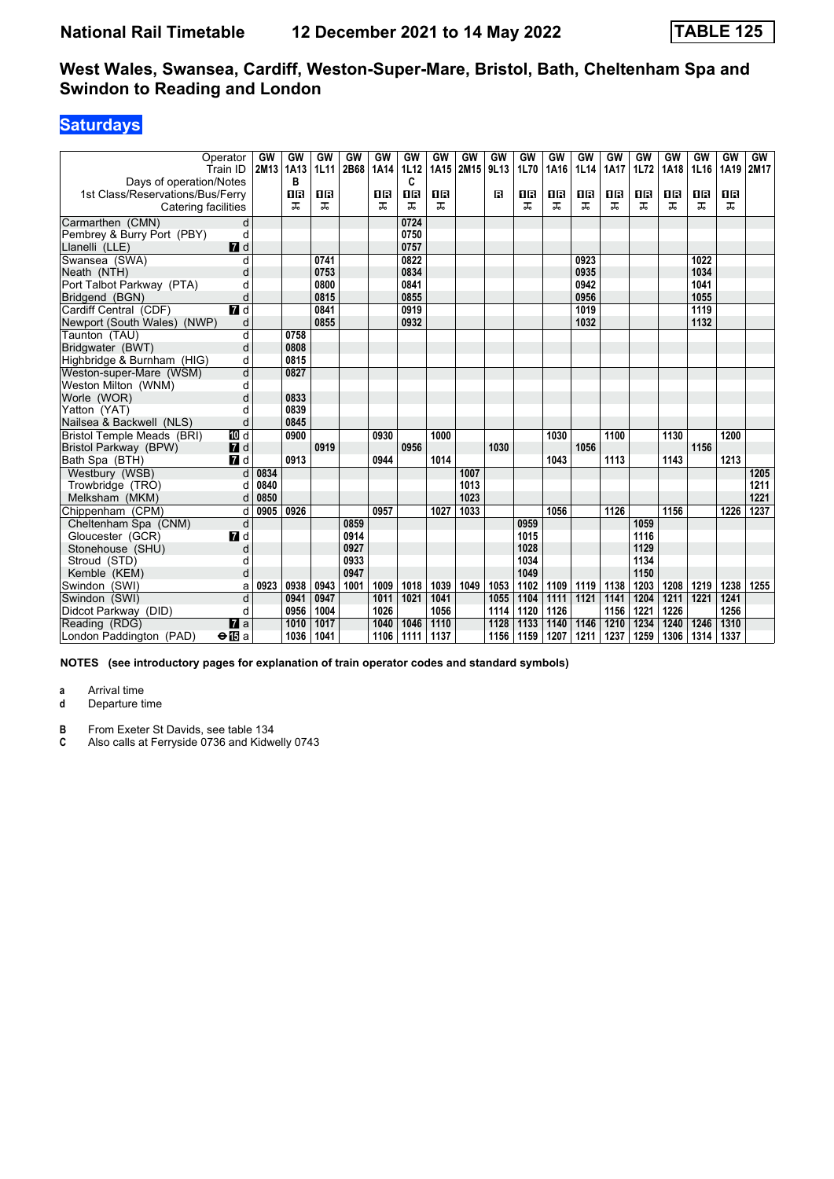# **Saturdays**

| Days of operation/Notes                                 | Operator<br>Train ID | GW<br>2M13 | GW<br>1A13<br>в | GW<br><b>1L11</b> | GW<br>2B68 | GW<br>1A14 | GW<br><b>1L12</b><br>c | GW<br>1A15 | GW<br>2M15 | GW<br>9L13 | <b>GW</b><br>1L70 | <b>GW</b><br>1A16 | GW<br><b>1L14</b> | GW<br>1A17 | GW<br>1L72 | GW<br>1A18 | GW<br>1L16 | <b>GW</b><br>1A19 | GW<br>2M17 |
|---------------------------------------------------------|----------------------|------------|-----------------|-------------------|------------|------------|------------------------|------------|------------|------------|-------------------|-------------------|-------------------|------------|------------|------------|------------|-------------------|------------|
| 1st Class/Reservations/Bus/Ferry<br>Catering facilities |                      |            | 1B<br>ᠼ         | 1R<br>ᅚ           |            | ΠR<br>ᠼ    | $\overline{1}$<br>ᠼ    | 08<br>ᅚ    |            | в          | 0 B<br>ᠼ          | 1R<br>ᠼ           | 0 B<br>ᠼ          | 1R<br>ᠼ    | 1R<br>ᠼ    | 1R<br>ᅚ    | 0 B<br>ᅚ   | 1 <b>B</b><br>ᅚ   |            |
| Carmarthen (CMN)                                        | d                    |            |                 |                   |            |            | 0724                   |            |            |            |                   |                   |                   |            |            |            |            |                   |            |
| Pembrey & Burry Port (PBY)                              | d                    |            |                 |                   |            |            | 0750                   |            |            |            |                   |                   |                   |            |            |            |            |                   |            |
| Llanelli (LLE)                                          | $I$ d                |            |                 |                   |            |            | 0757                   |            |            |            |                   |                   |                   |            |            |            |            |                   |            |
| Swansea (SWA)                                           | d                    |            |                 | 0741              |            |            | 0822                   |            |            |            |                   |                   | 0923              |            |            |            | 1022       |                   |            |
| Neath (NTH)                                             | d                    |            |                 | 0753              |            |            | 0834                   |            |            |            |                   |                   | 0935              |            |            |            | 1034       |                   |            |
| Port Talbot Parkway (PTA)                               | d                    |            |                 | 0800              |            |            | 0841                   |            |            |            |                   |                   | 0942              |            |            |            | 1041       |                   |            |
| Bridgend (BGN)                                          | d                    |            |                 | 0815              |            |            | 0855                   |            |            |            |                   |                   | 0956              |            |            |            | 1055       |                   |            |
| Cardiff Central (CDF)                                   | <b>7</b> d           |            |                 | 0841              |            |            | 0919                   |            |            |            |                   |                   | 1019              |            |            |            | 1119       |                   |            |
| Newport (South Wales) (NWP)                             | d                    |            |                 | 0855              |            |            | 0932                   |            |            |            |                   |                   | 1032              |            |            |            | 1132       |                   |            |
| Taunton (TAU)                                           | d                    |            | 0758            |                   |            |            |                        |            |            |            |                   |                   |                   |            |            |            |            |                   |            |
| Bridgwater (BWT)                                        | d                    |            | 0808            |                   |            |            |                        |            |            |            |                   |                   |                   |            |            |            |            |                   |            |
| Highbridge & Burnham (HIG)                              | d                    |            | 0815            |                   |            |            |                        |            |            |            |                   |                   |                   |            |            |            |            |                   |            |
| Weston-super-Mare (WSM)                                 | d                    |            | 0827            |                   |            |            |                        |            |            |            |                   |                   |                   |            |            |            |            |                   |            |
| Weston Milton (WNM)                                     | d                    |            |                 |                   |            |            |                        |            |            |            |                   |                   |                   |            |            |            |            |                   |            |
| Worle (WOR)                                             | d                    |            | 0833            |                   |            |            |                        |            |            |            |                   |                   |                   |            |            |            |            |                   |            |
| Yatton (YAT)                                            | d                    |            | 0839            |                   |            |            |                        |            |            |            |                   |                   |                   |            |            |            |            |                   |            |
| Nailsea & Backwell (NLS)                                | d                    |            | 0845            |                   |            |            |                        |            |            |            |                   |                   |                   |            |            |            |            |                   |            |
| <b>Bristol Temple Meads (BRI)</b>                       | TO d                 |            | 0900            |                   |            | 0930       |                        | 1000       |            |            |                   | 1030              |                   | 1100       |            | 1130       |            | 1200              |            |
| Bristol Parkway (BPW)                                   | $I$ d                |            |                 | 0919              |            |            | 0956                   |            |            | 1030       |                   |                   | 1056              |            |            |            | 1156       |                   |            |
| Bath Spa (BTH)                                          | 7 d                  |            | 0913            |                   |            | 0944       |                        | 1014       |            |            |                   | 1043              |                   | 1113       |            | 1143       |            | 1213              |            |
| Westbury (WSB)                                          | d                    | 0834       |                 |                   |            |            |                        |            | 1007       |            |                   |                   |                   |            |            |            |            |                   | 1205       |
| Trowbridge (TRO)                                        | d                    | 0840       |                 |                   |            |            |                        |            | 1013       |            |                   |                   |                   |            |            |            |            |                   | 1211       |
| Melksham (MKM)                                          | d                    | 0850       |                 |                   |            |            |                        |            | 1023       |            |                   |                   |                   |            |            |            |            |                   | 1221       |
| Chippenham (CPM)                                        | d                    | 0905       | 0926            |                   |            | 0957       |                        | 1027       | 1033       |            |                   | 1056              |                   | 1126       |            | 1156       |            | 1226              | 1237       |
| Cheltenham Spa (CNM)                                    | d                    |            |                 |                   | 0859       |            |                        |            |            |            | 0959              |                   |                   |            | 1059       |            |            |                   |            |
| Gloucester (GCR)                                        | <b>7</b> d           |            |                 |                   | 0914       |            |                        |            |            |            | 1015              |                   |                   |            | 1116       |            |            |                   |            |
| Stonehouse (SHU)                                        | d                    |            |                 |                   | 0927       |            |                        |            |            |            | 1028              |                   |                   |            | 1129       |            |            |                   |            |
| Stroud (STD)                                            | d                    |            |                 |                   | 0933       |            |                        |            |            |            | 1034              |                   |                   |            | 1134       |            |            |                   |            |
| Kemble (KEM)                                            | d                    |            |                 |                   | 0947       |            |                        |            |            |            | 1049              |                   |                   |            | 1150       |            |            |                   |            |
| Swindon (SWI)                                           | a                    | 0923       | 0938            | 0943              | 1001       | 1009       | 1018                   | 1039       | 1049       | 1053       | 1102              | 1109              | 1119              | 1138       | 1203       | 1208       | 1219       | 1238              | 1255       |
| Swindon (SWI)                                           | d                    |            | 0941            | 0947              |            | 1011       | 1021                   | 1041       |            | 1055       | 1104              | 1111              | 1121              | 1141       | 1204       | 1211       | 1221       | 1241              |            |
| Didcot Parkway (DID)                                    | d                    |            | 0956            | 1004              |            | 1026       |                        | 1056       |            | 1114       | 1120              | 1126              |                   | 1156       | 1221       | 1226       |            | 1256              |            |
| Reading (RDG)                                           | $\mathbf{z}$ a       |            | 1010            | 1017              |            | 1040       | 1046                   | 1110       |            | 1128       | 1133              | 1140              | 1146              | 1210       | 1234       | 1240       | 1246       | 1310              |            |
| London Paddington (PAD)                                 | $\bigoplus$ a        |            | 1036            | 1041              |            | 1106       | 1111                   | 1137       |            | 1156       | 1159              | 1207              | 1211              | 1237       | 1259       | 1306       | 1314       | 1337              |            |

**NOTES (see introductory pages for explanation of train operator codes and standard symbols)**

**a** Arrival time<br>**d** Departure t **d** Departure time

**B** From Exeter St Davids, see table 134<br>**C** Also calls at Ferryside 0736 and Kidw

Also calls at Ferryside 0736 and Kidwelly 0743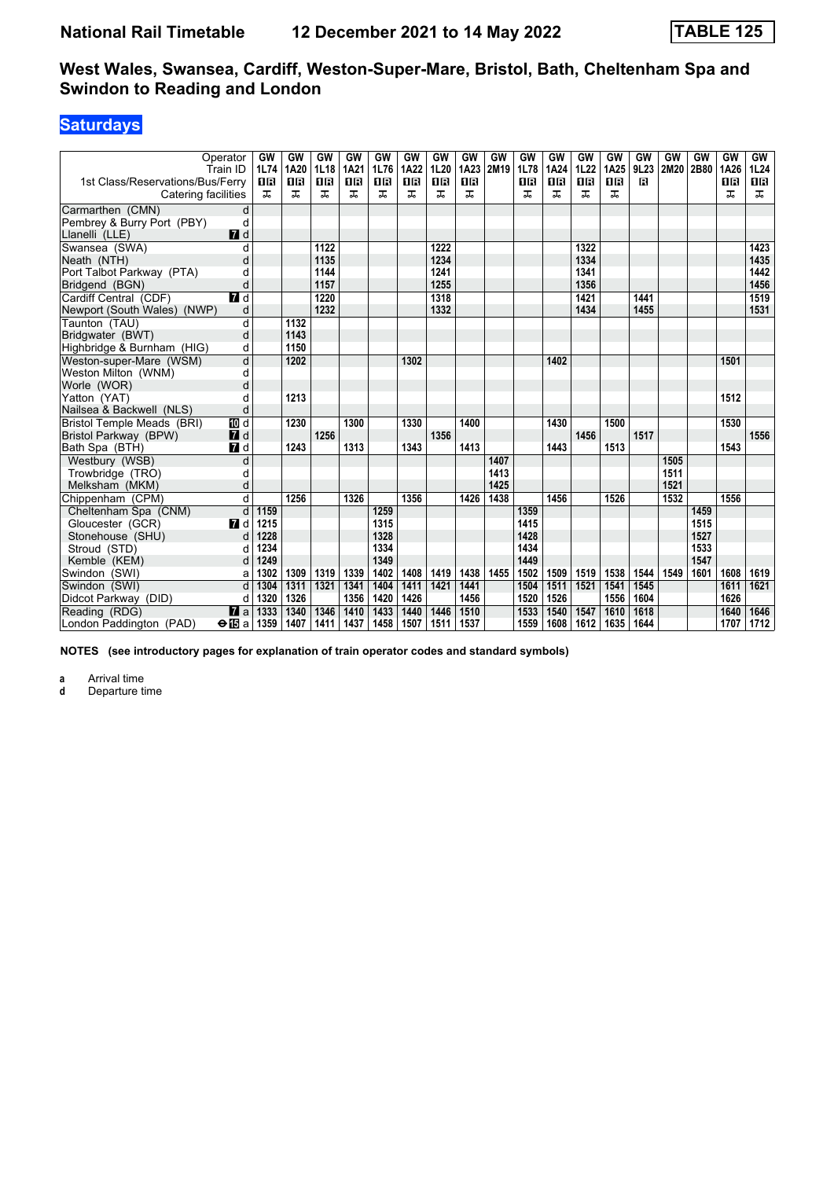# **Saturdays**

|                                                         | Operator<br>Train ID | GW<br>1L74     | GW<br>1A20     | GW<br><b>1L18</b> | GW<br>1A21     | GW<br>1L76     | GW<br>1A22     | <b>GW</b><br>1L20 | GW<br>1A23     | GW<br>2M19 | GW<br>1L78 | GW<br>1A24     | GW<br>1L22 | GW<br>1A25 | GW<br>9L23   | GW<br>2M20 | GW<br>2B80 | GW<br>1A26 | GW<br>1L24     |
|---------------------------------------------------------|----------------------|----------------|----------------|-------------------|----------------|----------------|----------------|-------------------|----------------|------------|------------|----------------|------------|------------|--------------|------------|------------|------------|----------------|
| 1st Class/Reservations/Bus/Ferry<br>Catering facilities |                      | <b>08</b><br>ㅈ | <b>08</b><br>ᅚ | <b>08</b><br>ᅚ    | <b>08</b><br>ᠼ | <b>08</b><br>ᠼ | <b>OB</b><br>ᠼ | <b>08</b><br>ᠼ    | <b>OB</b><br>굾 |            | 18<br>ㅈ    | <b>08</b><br>ᠼ | 0 B<br>ᅚ   | 08<br>ᠼ    | $\mathbf{B}$ |            |            | 0 B<br>풊   | <b>08</b><br>ᠼ |
| Carmarthen (CMN)                                        | d                    |                |                |                   |                |                |                |                   |                |            |            |                |            |            |              |            |            |            |                |
| Pembrey & Burry Port (PBY)                              | d                    |                |                |                   |                |                |                |                   |                |            |            |                |            |            |              |            |            |            |                |
| Llanelli (LLE)                                          | 7 d                  |                |                |                   |                |                |                |                   |                |            |            |                |            |            |              |            |            |            |                |
| Swansea (SWA)                                           | d                    |                |                | 1122              |                |                |                | 1222              |                |            |            |                | 1322       |            |              |            |            |            | 1423           |
| Neath (NTH)                                             | d                    |                |                | 1135              |                |                |                | 1234              |                |            |            |                | 1334       |            |              |            |            |            | 1435           |
| Port Talbot Parkway (PTA)                               | d                    |                |                | 1144              |                |                |                | 1241              |                |            |            |                | 1341       |            |              |            |            |            | 1442           |
| Bridgend (BGN)                                          | d                    |                |                | 1157              |                |                |                | 1255              |                |            |            |                | 1356       |            |              |            |            |            | 1456           |
| Cardiff Central (CDF)                                   | $\blacksquare$       |                |                | 1220              |                |                |                | 1318              |                |            |            |                | 1421       |            | 1441         |            |            |            | 1519           |
| Newport (South Wales) (NWP)                             | d                    |                |                | 1232              |                |                |                | 1332              |                |            |            |                | 1434       |            | 1455         |            |            |            | 1531           |
| Taunton (TAU)                                           | d                    |                | 1132           |                   |                |                |                |                   |                |            |            |                |            |            |              |            |            |            |                |
| Bridgwater (BWT)                                        | d                    |                | 1143           |                   |                |                |                |                   |                |            |            |                |            |            |              |            |            |            |                |
| Highbridge & Burnham (HIG)                              | d                    |                | 1150           |                   |                |                |                |                   |                |            |            |                |            |            |              |            |            |            |                |
| Weston-super-Mare (WSM)                                 | d                    |                | 1202           |                   |                |                | 1302           |                   |                |            |            | 1402           |            |            |              |            |            | 1501       |                |
| Weston Milton (WNM)                                     | d                    |                |                |                   |                |                |                |                   |                |            |            |                |            |            |              |            |            |            |                |
| Worle (WOR)                                             | d                    |                |                |                   |                |                |                |                   |                |            |            |                |            |            |              |            |            |            |                |
| Yatton (YAT)                                            | d                    |                | 1213           |                   |                |                |                |                   |                |            |            |                |            |            |              |            |            | 1512       |                |
| Nailsea & Backwell (NLS)                                | d                    |                |                |                   |                |                |                |                   |                |            |            |                |            |            |              |            |            |            |                |
| Bristol Temple Meads (BRI)                              | [[] d                |                | 1230           |                   | 1300           |                | 1330           |                   | 1400           |            |            | 1430           |            | 1500       |              |            |            | 1530       |                |
| Bristol Parkway (BPW)                                   | $\blacksquare$       |                |                | 1256              |                |                |                | 1356              |                |            |            |                | 1456       |            | 1517         |            |            |            | 1556           |
| Bath Spa (BTH)                                          | $\blacksquare$ d     |                | 1243           |                   | 1313           |                | 1343           |                   | 1413           |            |            | 1443           |            | 1513       |              |            |            | 1543       |                |
| Westbury (WSB)                                          | d                    |                |                |                   |                |                |                |                   |                | 1407       |            |                |            |            |              | 1505       |            |            |                |
| Trowbridge (TRO)                                        | d                    |                |                |                   |                |                |                |                   |                | 1413       |            |                |            |            |              | 1511       |            |            |                |
| Melksham (MKM)                                          | d                    |                |                |                   |                |                |                |                   |                | 1425       |            |                |            |            |              | 1521       |            |            |                |
| Chippenham (CPM)                                        | d                    |                | 1256           |                   | 1326           |                | 1356           |                   | 1426           | 1438       |            | 1456           |            | 1526       |              | 1532       |            | 1556       |                |
| Cheltenham Spa (CNM)                                    | d                    | 1159           |                |                   |                | 1259           |                |                   |                |            | 1359       |                |            |            |              |            | 1459       |            |                |
| Gloucester (GCR)                                        | $\blacksquare$ d     | 1215           |                |                   |                | 1315           |                |                   |                |            | 1415       |                |            |            |              |            | 1515       |            |                |
| Stonehouse (SHU)                                        | d                    | 1228           |                |                   |                | 1328           |                |                   |                |            | 1428       |                |            |            |              |            | 1527       |            |                |
| Stroud (STD)                                            | d                    | 1234           |                |                   |                | 1334           |                |                   |                |            | 1434       |                |            |            |              |            | 1533       |            |                |
| Kemble (KEM)                                            | d                    | 1249           |                |                   |                | 1349           |                |                   |                |            | 1449       |                |            |            |              |            | 1547       |            |                |
| Swindon (SWI)                                           | a                    | 1302           | 1309           | 1319              | 1339           | 1402           | 1408           | 1419              | 1438           | 1455       | 1502       | 1509           | 1519       | 1538       | 1544         | 1549       | 1601       | 1608       | 1619           |
| Swindon (SWI)                                           | d                    | 1304           | 1311           | 1321              | 1341           | 1404           | 1411           | 1421              | 1441           |            | 1504       | 1511           | 1521       | 1541       | 1545         |            |            | 1611       | 1621           |
| Didcot Parkway (DID)                                    | d                    | 1320           | 1326           |                   | 1356           | 1420           | 1426           |                   | 1456           |            | 1520       | 1526           |            | 1556       | 1604         |            |            | 1626       |                |
| Reading (RDG)                                           | $\mathbf{z}$ a       | 1333           | 1340           | 1346              | 1410           | 1433           | 1440           | 1446              | 1510           |            | 1533       | 1540           | 1547       | 1610       | 1618         |            |            | 1640       | 1646           |
| London Paddington (PAD)                                 | $\bigoplus$ a        | 1359           | 1407           | 1411              | 1437           | 1458           | 1507           | 1511              | 1537           |            | 1559       | 1608           | 1612       | 1635       | 1644         |            |            | 1707       | 1712           |

**NOTES (see introductory pages for explanation of train operator codes and standard symbols)**

**a** Arrival time<br>**d** Departure ti

**d** Departure time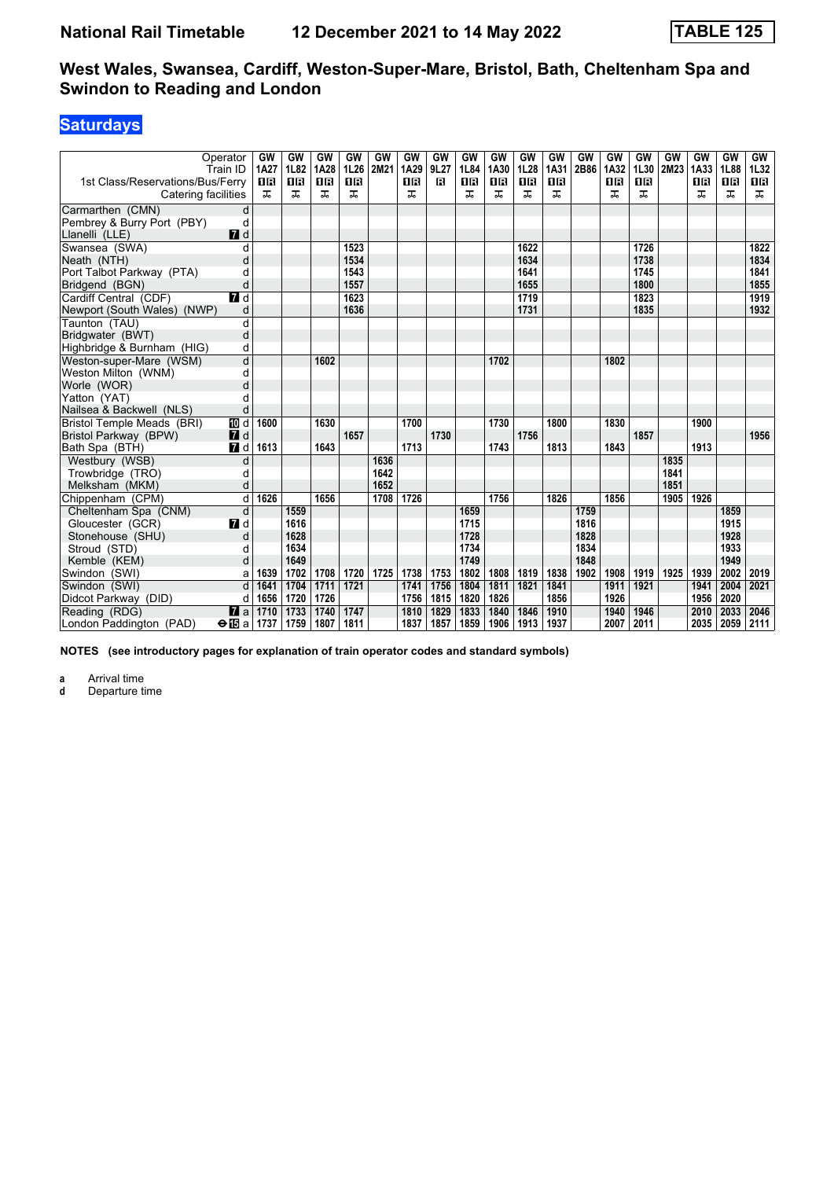## **Saturdays**

|                                   | Operator<br>Train ID | GW<br>1A27 | GW<br>1L82 | GW<br>1A28 | GW<br>1L26 | GW<br>2M21 | GW<br>1A29 | GW<br>9L27   | GW<br>1L84 | GW<br>1A30 | GW<br>1L28 | GW<br>1A31 | GW<br>2B86 | GW<br>1A32 | GW<br>1L30 | GW<br>2M23 | GW<br>1A33 | GW<br>1L88 | GW<br>1L32 |
|-----------------------------------|----------------------|------------|------------|------------|------------|------------|------------|--------------|------------|------------|------------|------------|------------|------------|------------|------------|------------|------------|------------|
| 1st Class/Reservations/Bus/Ferry  |                      | <b>08</b>  | <b>08</b>  | <b>08</b>  | 08         |            | <b>OB</b>  | $\mathbf{B}$ | <b>OB</b>  | <b>08</b>  | <b>0B</b>  | <b>OB</b>  |            | 0 B        | 16         |            | 1 R        | <b>08</b>  | <b>08</b>  |
| Catering facilities               |                      | ᠼ          | ᠼ          | ᅚ          | ᠼ          |            | ᠼ          |              | 굾          | ㅈ          | ㅈ          | ᠼ          |            | ᠼ          | ᠼ          |            | ᠼ          | ᠼ          | ᠼ          |
| Carmarthen (CMN)                  | d                    |            |            |            |            |            |            |              |            |            |            |            |            |            |            |            |            |            |            |
| Pembrey & Burry Port (PBY)        | d                    |            |            |            |            |            |            |              |            |            |            |            |            |            |            |            |            |            |            |
| Llanelli (LLE)                    | 7 d                  |            |            |            |            |            |            |              |            |            |            |            |            |            |            |            |            |            |            |
| Swansea (SWA)                     | d                    |            |            |            | 1523       |            |            |              |            |            | 1622       |            |            |            | 1726       |            |            |            | 1822       |
| Neath (NTH)                       | d                    |            |            |            | 1534       |            |            |              |            |            | 1634       |            |            |            | 1738       |            |            |            | 1834       |
| Port Talbot Parkway (PTA)         | d                    |            |            |            | 1543       |            |            |              |            |            | 1641       |            |            |            | 1745       |            |            |            | 1841       |
| Bridgend (BGN)                    | d                    |            |            |            | 1557       |            |            |              |            |            | 1655       |            |            |            | 1800       |            |            |            | 1855       |
| Cardiff Central (CDF)             | $\blacksquare$       |            |            |            | 1623       |            |            |              |            |            | 1719       |            |            |            | 1823       |            |            |            | 1919       |
| Newport (South Wales) (NWP)       | d                    |            |            |            | 1636       |            |            |              |            |            | 1731       |            |            |            | 1835       |            |            |            | 1932       |
| Taunton (TAU)                     | d                    |            |            |            |            |            |            |              |            |            |            |            |            |            |            |            |            |            |            |
| Bridgwater (BWT)                  | d                    |            |            |            |            |            |            |              |            |            |            |            |            |            |            |            |            |            |            |
| Highbridge & Burnham (HIG)        | d                    |            |            |            |            |            |            |              |            |            |            |            |            |            |            |            |            |            |            |
| Weston-super-Mare (WSM)           | d                    |            |            | 1602       |            |            |            |              |            | 1702       |            |            |            | 1802       |            |            |            |            |            |
| Weston Milton (WNM)               | d                    |            |            |            |            |            |            |              |            |            |            |            |            |            |            |            |            |            |            |
| Worle (WOR)                       | d                    |            |            |            |            |            |            |              |            |            |            |            |            |            |            |            |            |            |            |
| Yatton (YAT)                      | d                    |            |            |            |            |            |            |              |            |            |            |            |            |            |            |            |            |            |            |
| Nailsea & Backwell (NLS)          | d                    |            |            |            |            |            |            |              |            |            |            |            |            |            |            |            |            |            |            |
| <b>Bristol Temple Meads (BRI)</b> | [[] d                | 1600       |            | 1630       |            |            | 1700       |              |            | 1730       |            | 1800       |            | 1830       |            |            | 1900       |            |            |
| Bristol Parkway (BPW)             | $\blacksquare$       |            |            |            | 1657       |            |            | 1730         |            |            | 1756       |            |            |            | 1857       |            |            |            | 1956       |
| Bath Spa (BTH)                    | $\blacksquare$       | 1613       |            | 1643       |            |            | 1713       |              |            | 1743       |            | 1813       |            | 1843       |            |            | 1913       |            |            |
| Westbury (WSB)                    | d                    |            |            |            |            | 1636       |            |              |            |            |            |            |            |            |            | 1835       |            |            |            |
| Trowbridge (TRO)                  | d                    |            |            |            |            | 1642       |            |              |            |            |            |            |            |            |            | 1841       |            |            |            |
| Melksham (MKM)                    | d                    |            |            |            |            | 1652       |            |              |            |            |            |            |            |            |            | 1851       |            |            |            |
| Chippenham (CPM)                  | $\overline{d}$       | 1626       |            | 1656       |            | 1708       | 1726       |              |            | 1756       |            | 1826       |            | 1856       |            | 1905       | 1926       |            |            |
| Cheltenham Spa (CNM)              | d                    |            | 1559       |            |            |            |            |              | 1659       |            |            |            | 1759       |            |            |            |            | 1859       |            |
| Gloucester (GCR)                  | $\blacksquare$ d     |            | 1616       |            |            |            |            |              | 1715       |            |            |            | 1816       |            |            |            |            | 1915       |            |
| Stonehouse (SHU)                  | d                    |            | 1628       |            |            |            |            |              | 1728       |            |            |            | 1828       |            |            |            |            | 1928       |            |
| Stroud (STD)                      | d                    |            | 1634       |            |            |            |            |              | 1734       |            |            |            | 1834       |            |            |            |            | 1933       |            |
| Kemble (KEM)                      | d                    |            | 1649       |            |            |            |            |              | 1749       |            |            |            | 1848       |            |            |            |            | 1949       |            |
| Swindon (SWI)                     | a                    | 1639       | 1702       | 1708       | 1720       | 1725       | 1738       | 1753         | 1802       | 1808       | 1819       | 1838       | 1902       | 1908       | 1919       | 1925       | 1939       | 2002       | 2019       |
| Swindon (SWI)                     | $\overline{d}$       | 1641       | 1704       | 1711       | 1721       |            | 1741       | 1756         | 1804       | 1811       | 1821       | 1841       |            | 1911       | 1921       |            | 1941       | 2004       | 2021       |
| Didcot Parkway (DID)              | d                    | 1656       | 1720       | 1726       |            |            | 1756       | 1815         | 1820       | 1826       |            | 1856       |            | 1926       |            |            | 1956       | 2020       |            |
| Reading (RDG)                     | $\mathbf{z}$ a       | 1710       | 1733       | 1740       | 1747       |            | 1810       | 1829         | 1833       | 1840       | 1846       | 1910       |            | 1940       | 1946       |            | 2010       | 2033       | 2046       |
| London Paddington (PAD)           | $\Theta$ is a   1737 |            | 1759       | 1807       | 1811       |            | 1837       | 1857         | 1859       | 1906       | 1913       | 1937       |            | 2007       | 2011       |            | 2035       | 2059       | 2111       |

**NOTES (see introductory pages for explanation of train operator codes and standard symbols)**

**a** Arrival time<br>**d** Departure ti

**d** Departure time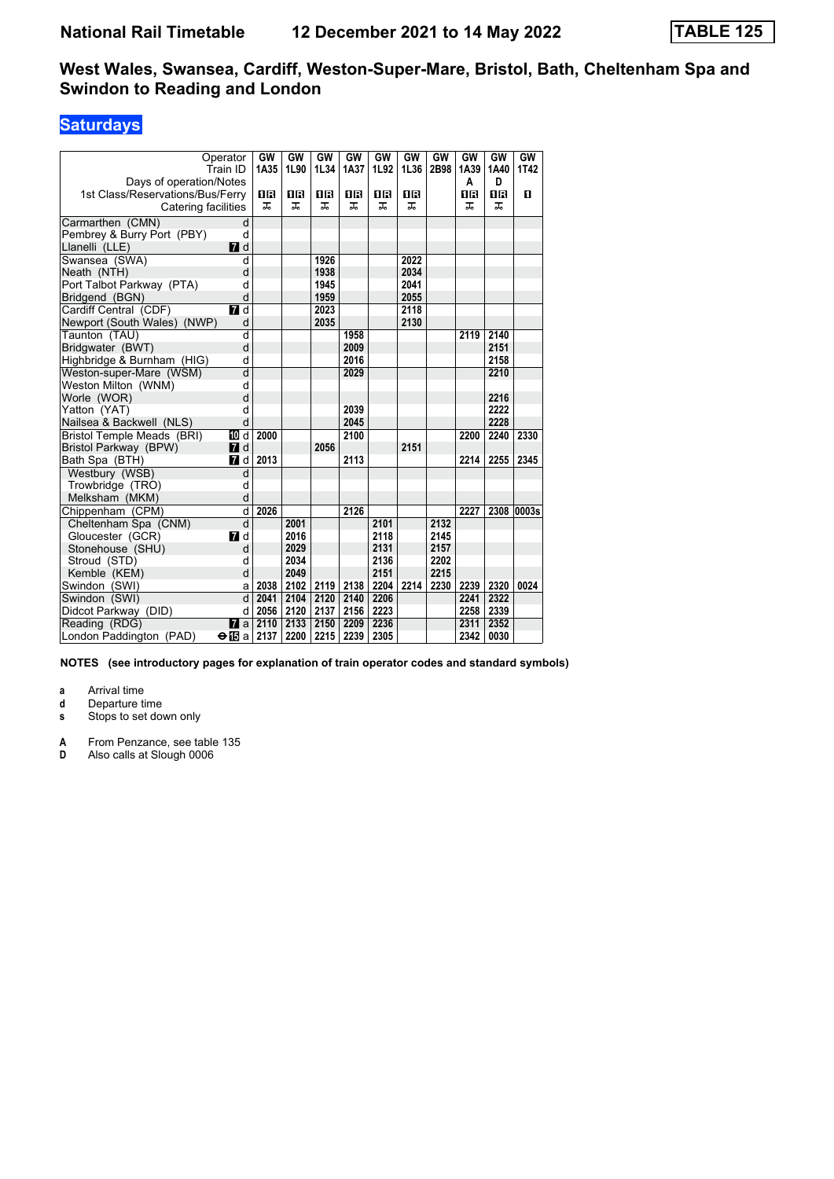# **Saturdays**

| Operator<br>Train ID<br>Days of operation/Notes<br>1st Class/Reservations/Bus/Ferry<br>Catering facilities |                | GW<br>1A35<br>18<br>ᅚ | GW<br>1L90<br>0 B<br>ᅚ | <b>GW</b><br>1L34<br>0 B<br>ᅚ | GW<br>1A37<br>0B<br>ᠼ | GW<br>1L92<br>0 B<br>ᠼ | GW<br>1L36<br>0 B<br>ᅚ | GW<br>2B98 | GW<br>1A39<br>Α<br>1R<br>ᅚ | GW<br>1A40<br>D<br>1R<br>ᠼ | GW  <br>1T42<br>п |
|------------------------------------------------------------------------------------------------------------|----------------|-----------------------|------------------------|-------------------------------|-----------------------|------------------------|------------------------|------------|----------------------------|----------------------------|-------------------|
| Carmarthen (CMN)                                                                                           | d              |                       |                        |                               |                       |                        |                        |            |                            |                            |                   |
| Pembrey & Burry Port (PBY)                                                                                 | d              |                       |                        |                               |                       |                        |                        |            |                            |                            |                   |
| Llanelli (LLE)                                                                                             | <b>7</b> d     |                       |                        |                               |                       |                        |                        |            |                            |                            |                   |
| Swansea (SWA)                                                                                              | $\overline{d}$ |                       |                        | 1926                          |                       |                        | 2022                   |            |                            |                            |                   |
| Neath (NTH)                                                                                                | d              |                       |                        | 1938                          |                       |                        | 2034                   |            |                            |                            |                   |
| Port Talbot Parkway (PTA)                                                                                  | d              |                       |                        | 1945                          |                       |                        | 2041                   |            |                            |                            |                   |
| Bridgend (BGN)                                                                                             | d              |                       |                        | 1959                          |                       |                        | 2055                   |            |                            |                            |                   |
| Cardiff Central (CDF)                                                                                      | $\blacksquare$ |                       |                        | 2023                          |                       |                        | 2118                   |            |                            |                            |                   |
| Newport (South Wales) (NWP)                                                                                | d              |                       |                        | 2035                          |                       |                        | 2130                   |            |                            |                            |                   |
| Taunton (TAU)                                                                                              | d              |                       |                        |                               | 1958                  |                        |                        |            | 2119                       | 2140                       |                   |
| Bridgwater (BWT)                                                                                           | d              |                       |                        |                               | 2009                  |                        |                        |            |                            | 2151                       |                   |
| Highbridge & Burnham (HIG)                                                                                 | d              |                       |                        |                               | 2016                  |                        |                        |            |                            | 2158                       |                   |
| Weston-super-Mare (WSM)                                                                                    | $\overline{d}$ |                       |                        |                               | 2029                  |                        |                        |            |                            | 2210                       |                   |
| Weston Milton (WNM)                                                                                        | d              |                       |                        |                               |                       |                        |                        |            |                            |                            |                   |
| Worle (WOR)                                                                                                | d              |                       |                        |                               |                       |                        |                        |            |                            | 2216                       |                   |
| Yatton (YAT)                                                                                               | d              |                       |                        |                               | 2039                  |                        |                        |            |                            | 2222                       |                   |
| Nailsea & Backwell (NLS)                                                                                   | d              |                       |                        |                               | 2045                  |                        |                        |            |                            | 2228                       |                   |
| Bristol Temple Meads (BRI)                                                                                 | 10 d           | 2000                  |                        |                               | 2100                  |                        |                        |            | 2200                       | 2240                       | 2330              |
| Bristol Parkway (BPW)                                                                                      | <b>7</b> d     |                       |                        | 2056                          |                       |                        | 2151                   |            |                            |                            |                   |
| Bath Spa (BTH)                                                                                             | 7 d            | 2013                  |                        |                               | 2113                  |                        |                        |            | 2214                       | 2255                       | 2345              |
| Westbury (WSB)                                                                                             | d              |                       |                        |                               |                       |                        |                        |            |                            |                            |                   |
| Trowbridge (TRO)                                                                                           | d              |                       |                        |                               |                       |                        |                        |            |                            |                            |                   |
| Melksham (MKM)                                                                                             | d              |                       |                        |                               |                       |                        |                        |            |                            |                            |                   |
| Chippenham (CPM)                                                                                           | $\overline{d}$ | 2026                  |                        |                               | 2126                  |                        |                        |            | 2227                       |                            | 2308 0003s        |
| Cheltenham Spa (CNM)                                                                                       | d              |                       | 2001                   |                               |                       | 2101                   |                        | 2132       |                            |                            |                   |
| Gloucester (GCR)                                                                                           | <b>7</b> d     |                       | 2016                   |                               |                       | 2118                   |                        | 2145       |                            |                            |                   |
| Stonehouse (SHU)                                                                                           | d              |                       | 2029                   |                               |                       | 2131                   |                        | 2157       |                            |                            |                   |
| Stroud (STD)                                                                                               | d              |                       | 2034                   |                               |                       | 2136                   |                        | 2202       |                            |                            |                   |
| Kemble (KEM)                                                                                               | d              |                       | 2049                   |                               |                       | 2151                   |                        | 2215       |                            |                            |                   |
| Swindon (SWI)                                                                                              | a              | 2038                  | 2102                   | 2119                          | 2138                  | 2204                   | 2214                   | 2230       | 2239                       | 2320                       | 0024              |
| Swindon (SWI)                                                                                              | d              | 2041                  | 2104                   | 2120                          | 2140                  | 2206                   |                        |            | 2241                       | 2322                       |                   |
| Didcot Parkway (DID)                                                                                       | d              | 2056                  | 2120                   | 2137                          | 2156                  | 2223                   |                        |            | 2258                       | 2339                       |                   |
| Reading (RDG)                                                                                              | $\mathbf{z}$   | 2110                  | 2133                   | 2150                          | 2209                  | 2236                   |                        |            | 2311                       | 2352                       |                   |
| London Paddington (PAD)                                                                                    | ⊖ l⊡ al        | 2137                  | 2200                   | 2215                          | 2239                  | 2305                   |                        |            | 2342                       | 0030                       |                   |

**NOTES (see introductory pages for explanation of train operator codes and standard symbols)**

**a** Arrival time<br>**d** Departure t

**d** Departure time

**s** Stops to set down only

**A** From Penzance, see table 135<br>**D** Also calls at Slough 0006

Also calls at Slough 0006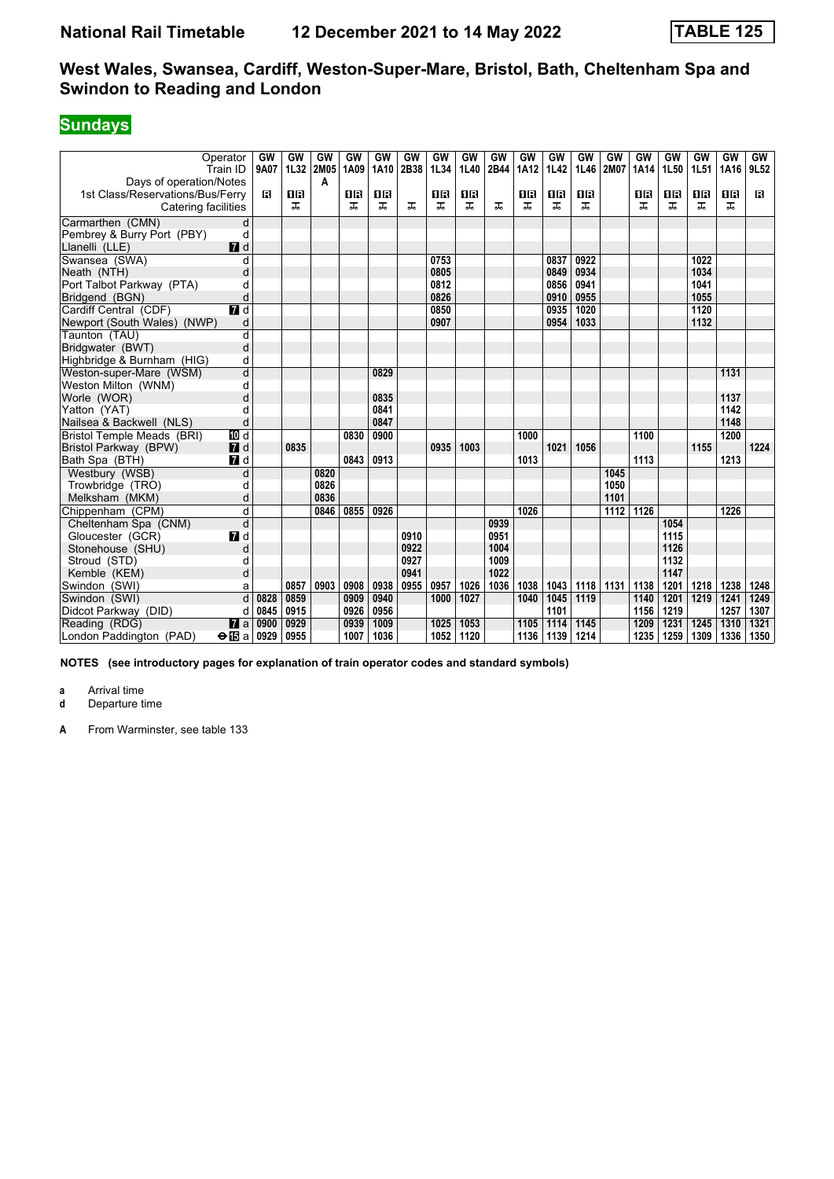# **Sundays**

| Operator<br>Train ID             |                  | GW<br>9A07           | GW<br>1L32 | GW<br>2M05 | GW<br>1A09 | GW<br>1A10 | <b>GW</b><br>2B38 | <b>GW</b><br>1L34 | GW<br>1L40 | <b>GW</b><br>2B44 | GW<br><b>1A12</b> | GW<br><b>1L42</b> | GW<br>1L46 | GW<br>2M07 | GW<br>1A14 | GW<br>1L50 | GW<br>1L51 | GW<br>1A16 | GW<br>9L52 |
|----------------------------------|------------------|----------------------|------------|------------|------------|------------|-------------------|-------------------|------------|-------------------|-------------------|-------------------|------------|------------|------------|------------|------------|------------|------------|
| Days of operation/Notes          |                  |                      |            | A          |            |            |                   |                   |            |                   |                   |                   |            |            |            |            |            |            |            |
| 1st Class/Reservations/Bus/Ferry |                  | B                    | 1R         |            | 0B         | ΠR         |                   | 1 R               | 1R         |                   | 0 B               | 1R                | <b>0B</b>  |            | 18         | 1R         | 1R         | 1R         | в          |
| Catering facilities              |                  |                      | ᠼ          |            | ᠼ          | ᠼ          | ᠼ                 | ᠼ                 | ᅚ          | ᠼ                 | ᠼ                 | ᠼ                 | ᅚ          |            | ᠼ          | ᅚ          | ᠼ          | ᠼ          |            |
| Carmarthen (CMN)                 | d                |                      |            |            |            |            |                   |                   |            |                   |                   |                   |            |            |            |            |            |            |            |
| Pembrey & Burry Port (PBY)       | d                |                      |            |            |            |            |                   |                   |            |                   |                   |                   |            |            |            |            |            |            |            |
| Llanelli (LLE)                   | $\blacksquare$ d |                      |            |            |            |            |                   |                   |            |                   |                   |                   |            |            |            |            |            |            |            |
| Swansea (SWA)                    | d                |                      |            |            |            |            |                   | 0753              |            |                   |                   | 0837              | 0922       |            |            |            | 1022       |            |            |
| Neath (NTH)                      | d                |                      |            |            |            |            |                   | 0805              |            |                   |                   | 0849              | 0934       |            |            |            | 1034       |            |            |
| Port Talbot Parkway (PTA)        | d                |                      |            |            |            |            |                   | 0812              |            |                   |                   | 0856              | 0941       |            |            |            | 1041       |            |            |
| Bridgend (BGN)                   | d                |                      |            |            |            |            |                   | 0826              |            |                   |                   | 0910              | 0955       |            |            |            | 1055       |            |            |
| Cardiff Central (CDF)            | $\overline{a}$ d |                      |            |            |            |            |                   | 0850              |            |                   |                   | 0935              | 1020       |            |            |            | 1120       |            |            |
| Newport (South Wales) (NWP)      | d                |                      |            |            |            |            |                   | 0907              |            |                   |                   | 0954              | 1033       |            |            |            | 1132       |            |            |
| Taunton (TAU)                    | d                |                      |            |            |            |            |                   |                   |            |                   |                   |                   |            |            |            |            |            |            |            |
| Bridgwater (BWT)                 | d                |                      |            |            |            |            |                   |                   |            |                   |                   |                   |            |            |            |            |            |            |            |
| Highbridge & Burnham (HIG)       | d                |                      |            |            |            |            |                   |                   |            |                   |                   |                   |            |            |            |            |            |            |            |
| Weston-super-Mare (WSM)          | d                |                      |            |            |            | 0829       |                   |                   |            |                   |                   |                   |            |            |            |            |            | 1131       |            |
| Weston Milton (WNM)              | d                |                      |            |            |            |            |                   |                   |            |                   |                   |                   |            |            |            |            |            |            |            |
| Worle (WOR)                      | d                |                      |            |            |            | 0835       |                   |                   |            |                   |                   |                   |            |            |            |            |            | 1137       |            |
| Yatton (YAT)                     | d                |                      |            |            |            | 0841       |                   |                   |            |                   |                   |                   |            |            |            |            |            | 1142       |            |
| Nailsea & Backwell (NLS)         | d                |                      |            |            |            | 0847       |                   |                   |            |                   |                   |                   |            |            |            |            |            | 1148       |            |
| Bristol Temple Meads (BRI)       | <b>TD</b> d      |                      |            |            | 0830       | 0900       |                   |                   |            |                   | 1000              |                   |            |            | 1100       |            |            | 1200       |            |
| Bristol Parkway (BPW)            | $\blacksquare$   |                      | 0835       |            |            |            |                   | 0935              | 1003       |                   |                   | 1021              | 1056       |            |            |            | 1155       |            | 1224       |
| Bath Spa (BTH)                   | $\blacksquare$ d |                      |            |            | 0843       | 0913       |                   |                   |            |                   | 1013              |                   |            |            | 1113       |            |            | 1213       |            |
| Westbury (WSB)                   | d                |                      |            | 0820       |            |            |                   |                   |            |                   |                   |                   |            | 1045       |            |            |            |            |            |
| Trowbridge (TRO)                 | d                |                      |            | 0826       |            |            |                   |                   |            |                   |                   |                   |            | 1050       |            |            |            |            |            |
| Melksham (MKM)                   | d                |                      |            | 0836       |            |            |                   |                   |            |                   |                   |                   |            | 1101       |            |            |            |            |            |
| Chippenham (CPM)                 | d                |                      |            | 0846       | 0855       | 0926       |                   |                   |            |                   | 1026              |                   |            | 1112       | 1126       |            |            | 1226       |            |
| Cheltenham Spa (CNM)             | d                |                      |            |            |            |            |                   |                   |            | 0939              |                   |                   |            |            |            | 1054       |            |            |            |
| Gloucester (GCR)                 | 7 d              |                      |            |            |            |            | 0910              |                   |            | 0951              |                   |                   |            |            |            | 1115       |            |            |            |
| Stonehouse (SHU)                 | d                |                      |            |            |            |            | 0922              |                   |            | 1004              |                   |                   |            |            |            | 1126       |            |            |            |
| Stroud (STD)                     | d                |                      |            |            |            |            | 0927              |                   |            | 1009              |                   |                   |            |            |            | 1132       |            |            |            |
| Kemble (KEM)                     | d                |                      |            |            |            |            | 0941              |                   |            | 1022              |                   |                   |            |            |            | 1147       |            |            |            |
| Swindon (SWI)                    | a                |                      | 0857       | 0903       | 0908       | 0938       | 0955              | 0957              | 1026       | 1036              | 1038              | 1043              | 1118       | 1131       | 1138       | 1201       | 1218       | 1238       | 1248       |
| Swindon (SWI)                    | d                | 0828                 | 0859       |            | 0909       | 0940       |                   | 1000              | 1027       |                   | 1040              | 1045              | 1119       |            | 1140       | 1201       | 1219       | 1241       | 1249       |
| Didcot Parkway (DID)             | d                | 0845                 | 0915       |            | 0926       | 0956       |                   |                   |            |                   |                   | 1101              |            |            | 1156       | 1219       |            | 1257       | 1307       |
| Reading (RDG)                    | $\mathbf{z}$ a   | 0900                 | 0929       |            | 0939       | 1009       |                   | 1025              | 1053       |                   | 1105              | 1114              | 1145       |            | 1209       | 1231       | 1245       | 1310       | 1321       |
| London Paddington (PAD)          |                  | $\Theta$ is a   0929 | 0955       |            | 1007       | 1036       |                   | 1052              | 1120       |                   | 1136              | 1139              | 1214       |            | 1235       | 1259       | 1309       | 1336       | 1350       |

**NOTES (see introductory pages for explanation of train operator codes and standard symbols)**

**a** Arrival time<br>**d** Departure t **d** Departure time

**A** From Warminster, see table 133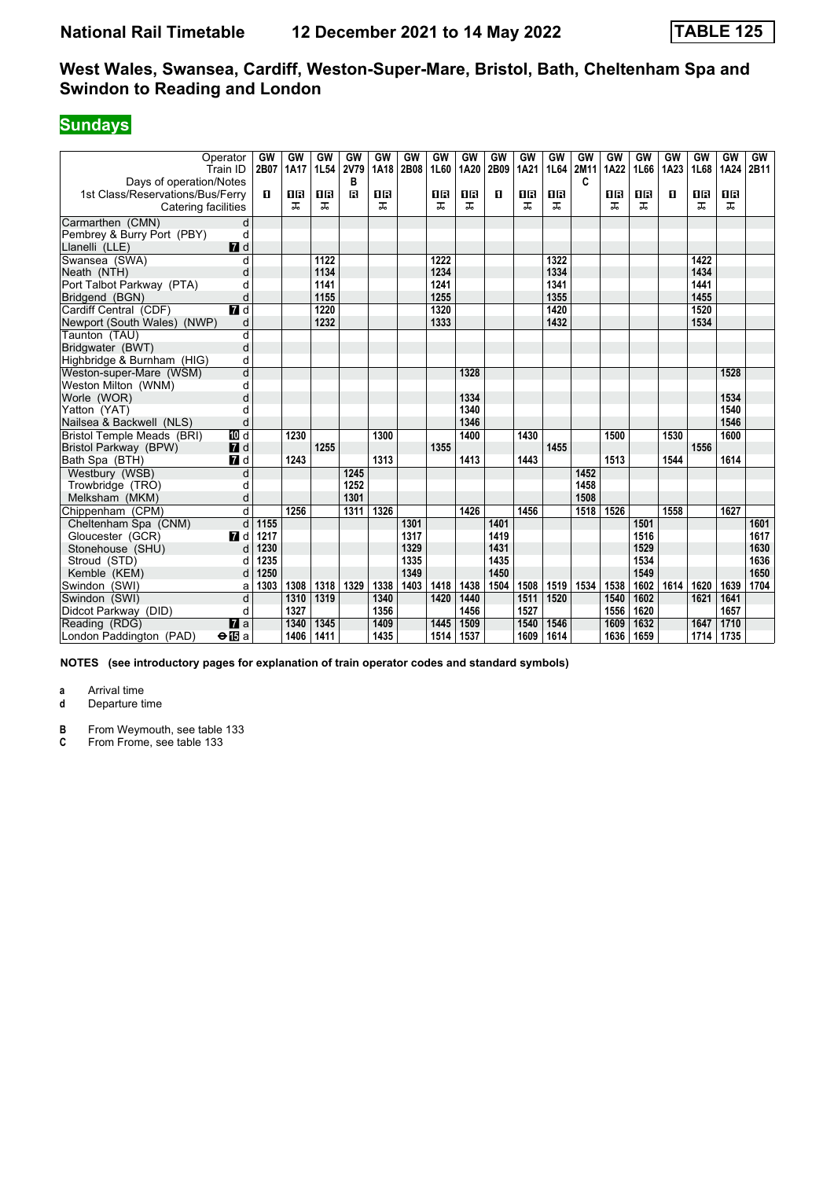# **Sundays**

| Operator<br>Train ID                     |                | GW<br>2B07 | GW<br><b>1A17</b> | GW<br>1L54 | GW<br>2V79   | <b>GW</b><br>1A18 | <b>GW</b><br>2B08 | <b>GW</b><br>1L60 | GW<br>1A20 | GW<br>2B09 | GW<br>1A21 | GW<br>1L64 | GW<br>2M11 | GW<br>1A22 | GW<br>1L66 | GW<br>1A23 | GW<br>1L68 | GW<br>1A24 | GW<br>2B11 |
|------------------------------------------|----------------|------------|-------------------|------------|--------------|-------------------|-------------------|-------------------|------------|------------|------------|------------|------------|------------|------------|------------|------------|------------|------------|
| Days of operation/Notes                  |                |            |                   |            | в            |                   |                   |                   |            |            |            |            | C          |            |            |            |            |            |            |
| 1st Class/Reservations/Bus/Ferry         |                | п          | 0B                | 08         | $\mathbf{B}$ | 0 B               |                   | 0 B               | <b>OB</b>  | п          | 0 B        | <b>08</b>  |            | 1R         | 16         | п          | 1 R        | 0 B        |            |
| Catering facilities                      |                |            | ㅈ                 | ᅚ          |              | ᠼ                 |                   | ᠼ                 | ᅚ          |            | ᅚ          | ᅚ          |            | ᠼ          | ᅚ          |            | ᠼ          | ᅚ          |            |
| Carmarthen (CMN)                         | d              |            |                   |            |              |                   |                   |                   |            |            |            |            |            |            |            |            |            |            |            |
| Pembrey & Burry Port (PBY)               | d              |            |                   |            |              |                   |                   |                   |            |            |            |            |            |            |            |            |            |            |            |
| Llanelli (LLE)                           | $\blacksquare$ |            |                   |            |              |                   |                   |                   |            |            |            |            |            |            |            |            |            |            |            |
| Swansea (SWA)                            | d              |            |                   | 1122       |              |                   |                   | 1222              |            |            |            | 1322       |            |            |            |            | 1422       |            |            |
| Neath (NTH)                              | d              |            |                   | 1134       |              |                   |                   | 1234              |            |            |            | 1334       |            |            |            |            | 1434       |            |            |
| Port Talbot Parkway (PTA)                | d              |            |                   | 1141       |              |                   |                   | 1241              |            |            |            | 1341       |            |            |            |            | 1441       |            |            |
| Bridgend (BGN)                           | d              |            |                   | 1155       |              |                   |                   | 1255              |            |            |            | 1355       |            |            |            |            | 1455       |            |            |
| Cardiff Central (CDF)                    | $\blacksquare$ |            |                   | 1220       |              |                   |                   | 1320              |            |            |            | 1420       |            |            |            |            | 1520       |            |            |
| Newport (South Wales) (NWP)              | d              |            |                   | 1232       |              |                   |                   | 1333              |            |            |            | 1432       |            |            |            |            | 1534       |            |            |
| Taunton (TAU)                            | d              |            |                   |            |              |                   |                   |                   |            |            |            |            |            |            |            |            |            |            |            |
| Bridgwater (BWT)                         | d              |            |                   |            |              |                   |                   |                   |            |            |            |            |            |            |            |            |            |            |            |
| Highbridge & Burnham (HIG)               | d              |            |                   |            |              |                   |                   |                   |            |            |            |            |            |            |            |            |            |            |            |
| Weston-super-Mare (WSM)                  | d              |            |                   |            |              |                   |                   |                   | 1328       |            |            |            |            |            |            |            |            | 1528       |            |
| Weston Milton (WNM)                      | d              |            |                   |            |              |                   |                   |                   |            |            |            |            |            |            |            |            |            |            |            |
| Worle (WOR)                              | d              |            |                   |            |              |                   |                   |                   | 1334       |            |            |            |            |            |            |            |            | 1534       |            |
| Yatton (YAT)                             | d              |            |                   |            |              |                   |                   |                   | 1340       |            |            |            |            |            |            |            |            | 1540       |            |
| Nailsea & Backwell (NLS)                 | d              |            |                   |            |              |                   |                   |                   | 1346       |            |            |            |            |            |            |            |            | 1546       |            |
| Bristol Temple Meads (BRI)               | TD d           |            | 1230              |            |              | 1300              |                   |                   | 1400       |            | 1430       |            |            | 1500       |            | 1530       |            | 1600       |            |
| Bristol Parkway (BPW)                    | $I$ d          |            |                   | 1255       |              |                   |                   | 1355              |            |            |            | 1455       |            |            |            |            | 1556       |            |            |
| Bath Spa (BTH)                           | 7d             |            | 1243              |            |              | 1313              |                   |                   | 1413       |            | 1443       |            |            | 1513       |            | 1544       |            | 1614       |            |
| Westbury (WSB)                           | d              |            |                   |            | 1245         |                   |                   |                   |            |            |            |            | 1452       |            |            |            |            |            |            |
| Trowbridge (TRO)                         | d              |            |                   |            | 1252         |                   |                   |                   |            |            |            |            | 1458       |            |            |            |            |            |            |
| Melksham (MKM)                           | d              |            |                   |            | 1301         |                   |                   |                   |            |            |            |            | 1508       |            |            |            |            |            |            |
| Chippenham (CPM)                         | d              |            | 1256              |            | 1311         | 1326              |                   |                   | 1426       |            | 1456       |            | 1518       | 1526       |            | 1558       |            | 1627       |            |
| Cheltenham Spa (CNM)                     | d              | 1155       |                   |            |              |                   | 1301              |                   |            | 1401       |            |            |            |            | 1501       |            |            |            | 1601       |
| Gloucester (GCR)                         | <b>7</b> d     | 1217       |                   |            |              |                   | 1317              |                   |            | 1419       |            |            |            |            | 1516       |            |            |            | 1617       |
| Stonehouse (SHU)                         | d              | 1230       |                   |            |              |                   | 1329              |                   |            | 1431       |            |            |            |            | 1529       |            |            |            | 1630       |
| Stroud (STD)                             | d              | 1235       |                   |            |              |                   | 1335              |                   |            | 1435       |            |            |            |            | 1534       |            |            |            | 1636       |
| Kemble (KEM)                             | d              | 1250       |                   |            |              |                   | 1349              |                   |            | 1450       |            |            |            |            | 1549       |            |            |            | 1650       |
| Swindon (SWI)                            | a              | 1303       | 1308              | 1318       | 1329         | 1338              | 1403              | 1418              | 1438       | 1504       | 1508       | 1519       | 1534       | 1538       | 1602       | 1614       | 1620       | 1639       | 1704       |
| Swindon (SWI)                            | d              |            | 1310              | 1319       |              | 1340              |                   | 1420              | 1440       |            | 1511       | 1520       |            | 1540       | 1602       |            | 1621       | 1641       |            |
| Didcot Parkway (DID)                     | d              |            | 1327              |            |              | 1356              |                   |                   | 1456       |            | 1527       |            |            | 1556       | 1620       |            |            | 1657       |            |
| Reading (RDG)                            | $\overline{a}$ |            | 1340              | 1345       |              | 1409              |                   | 1445              | 1509       |            | 1540       | 1546       |            | 1609       | 1632       |            | 1647       | 1710       |            |
| London Paddington (PAD)<br>$\bigoplus$ a |                |            | 1406              | 1411       |              | 1435              |                   | 1514              | 1537       |            | 1609       | 1614       |            | 1636       | 1659       |            | 1714       | 1735       |            |

**NOTES (see introductory pages for explanation of train operator codes and standard symbols)**

**a** Arrival time<br>**d** Departure t **d** Departure time

**B** From Weymouth, see table 133<br>**C** From Frome, see table 133

From Frome, see table 133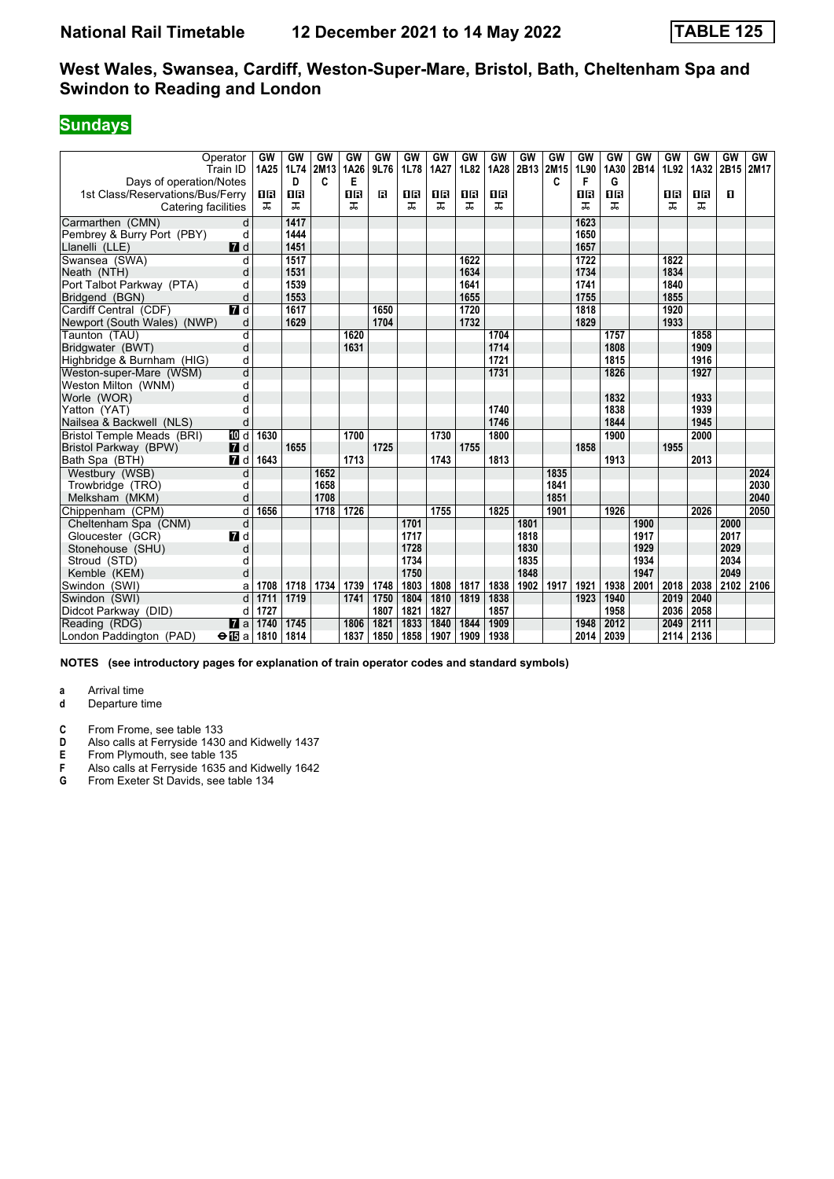# **Sundays**

| Operator<br>Train ID             |                  | GW<br>1A25          | GW<br>1L74 | GW<br>2M13 | GW<br>1A26 | GW<br>9L76 | <b>GW</b><br>1L78 | <b>GW</b><br>1A27 | GW<br>1L82 | GW<br>1A28 | GW<br>2B13 | GW<br>2M15 | GW<br>1L90 | GW<br>1A30 | GW<br>2B14 | GW<br>1L92 | GW<br>1A32 | GW<br>2B15 | GW<br>2M17 |
|----------------------------------|------------------|---------------------|------------|------------|------------|------------|-------------------|-------------------|------------|------------|------------|------------|------------|------------|------------|------------|------------|------------|------------|
| Days of operation/Notes          |                  |                     | D          | C          | Е          |            |                   |                   |            |            |            | C          | F          | G          |            |            |            |            |            |
| 1st Class/Reservations/Bus/Ferry |                  | 18                  | <b>08</b>  |            | 08         | в          | 0 B               | 1 R               | 08         | <b>08</b>  |            |            | 16         | <b>08</b>  |            | 1R         | 1 R        | п          |            |
| Catering facilities              |                  | ᠼ                   | ᠼ          |            | ᠼ          |            | ᠼ                 | ᠼ                 | ᠼ          | ᠼ          |            |            | ᠼ          | ᠼ          |            | ᠼ          | ᠼ          |            |            |
| Carmarthen (CMN)                 | d                |                     | 1417       |            |            |            |                   |                   |            |            |            |            | 1623       |            |            |            |            |            |            |
| Pembrey & Burry Port (PBY)       | d                |                     | 1444       |            |            |            |                   |                   |            |            |            |            | 1650       |            |            |            |            |            |            |
| Llanelli (LLE)                   | $\blacksquare$   |                     | 1451       |            |            |            |                   |                   |            |            |            |            | 1657       |            |            |            |            |            |            |
| Swansea (SWA)                    | d                |                     | 1517       |            |            |            |                   |                   | 1622       |            |            |            | 1722       |            |            | 1822       |            |            |            |
| Neath (NTH)                      | d                |                     | 1531       |            |            |            |                   |                   | 1634       |            |            |            | 1734       |            |            | 1834       |            |            |            |
| Port Talbot Parkway (PTA)        | d                |                     | 1539       |            |            |            |                   |                   | 1641       |            |            |            | 1741       |            |            | 1840       |            |            |            |
| Bridgend (BGN)                   | d                |                     | 1553       |            |            |            |                   |                   | 1655       |            |            |            | 1755       |            |            | 1855       |            |            |            |
| Cardiff Central (CDF)            | $\overline{a}$ d |                     | 1617       |            |            | 1650       |                   |                   | 1720       |            |            |            | 1818       |            |            | 1920       |            |            |            |
| Newport (South Wales) (NWP)      | d                |                     | 1629       |            |            | 1704       |                   |                   | 1732       |            |            |            | 1829       |            |            | 1933       |            |            |            |
| Taunton (TAU)                    | d                |                     |            |            | 1620       |            |                   |                   |            | 1704       |            |            |            | 1757       |            |            | 1858       |            |            |
| Bridgwater (BWT)                 | d                |                     |            |            | 1631       |            |                   |                   |            | 1714       |            |            |            | 1808       |            |            | 1909       |            |            |
| Highbridge & Burnham (HIG)       | d                |                     |            |            |            |            |                   |                   |            | 1721       |            |            |            | 1815       |            |            | 1916       |            |            |
| Weston-super-Mare (WSM)          | d                |                     |            |            |            |            |                   |                   |            | 1731       |            |            |            | 1826       |            |            | 1927       |            |            |
| Weston Milton (WNM)              | d                |                     |            |            |            |            |                   |                   |            |            |            |            |            |            |            |            |            |            |            |
| Worle (WOR)                      | d                |                     |            |            |            |            |                   |                   |            |            |            |            |            | 1832       |            |            | 1933       |            |            |
| Yatton (YAT)                     | d                |                     |            |            |            |            |                   |                   |            | 1740       |            |            |            | 1838       |            |            | 1939       |            |            |
| Nailsea & Backwell (NLS)         | d                |                     |            |            |            |            |                   |                   |            | 1746       |            |            |            | 1844       |            |            | 1945       |            |            |
| Bristol Temple Meads (BRI)       | [[] d            | 1630                |            |            | 1700       |            |                   | 1730              |            | 1800       |            |            |            | 1900       |            |            | 2000       |            |            |
| Bristol Parkway (BPW)            | $\blacksquare$   |                     | 1655       |            |            | 1725       |                   |                   | 1755       |            |            |            | 1858       |            |            | 1955       |            |            |            |
| Bath Spa (BTH)                   | 7d               | 1643                |            |            | 1713       |            |                   | 1743              |            | 1813       |            |            |            | 1913       |            |            | 2013       |            |            |
| Westbury (WSB)                   | d                |                     |            | 1652       |            |            |                   |                   |            |            |            | 1835       |            |            |            |            |            |            | 2024       |
| Trowbridge (TRO)                 | d                |                     |            | 1658       |            |            |                   |                   |            |            |            | 1841       |            |            |            |            |            |            | 2030       |
| Melksham (MKM)                   | d                |                     |            | 1708       |            |            |                   |                   |            |            |            | 1851       |            |            |            |            |            |            | 2040       |
| Chippenham (CPM)                 | d                | 1656                |            | 1718       | 1726       |            |                   | 1755              |            | 1825       |            | 1901       |            | 1926       |            |            | 2026       |            | 2050       |
| Cheltenham Spa (CNM)             | d                |                     |            |            |            |            | 1701              |                   |            |            | 1801       |            |            |            | 1900       |            |            | 2000       |            |
| Gloucester (GCR)                 | 7d               |                     |            |            |            |            | 1717              |                   |            |            | 1818       |            |            |            | 1917       |            |            | 2017       |            |
| Stonehouse (SHU)                 | d                |                     |            |            |            |            | 1728              |                   |            |            | 1830       |            |            |            | 1929       |            |            | 2029       |            |
| Stroud (STD)                     | d                |                     |            |            |            |            | 1734              |                   |            |            | 1835       |            |            |            | 1934       |            |            | 2034       |            |
| Kemble (KEM)                     | d                |                     |            |            |            |            | 1750              |                   |            |            | 1848       |            |            |            | 1947       |            |            | 2049       |            |
| Swindon (SWI)                    | a                | 1708                | 1718       | 1734       | 1739       | 1748       | 1803              | 1808              | 1817       | 1838       | 1902       | 1917       | 1921       | 1938       | 2001       | 2018       | 2038       | 2102       | 2106       |
| Swindon (SWI)                    | d                | 1711                | 1719       |            | 1741       | 1750       | 1804              | 1810              | 1819       | 1838       |            |            | 1923       | 1940       |            | 2019       | 2040       |            |            |
| Didcot Parkway (DID)             | d                | 1727                |            |            |            | 1807       | 1821              | 1827              |            | 1857       |            |            |            | 1958       |            | 2036       | 2058       |            |            |
| Reading (RDG)                    | $\mathbf{z}$ a   | 1740                | 1745       |            | 1806       | 1821       | 1833              | 1840              | 1844       | 1909       |            |            | 1948       | 2012       |            | 2049       | 2111       |            |            |
| London Paddington (PAD)          |                  | $\Theta$ iba   1810 | 1814       |            | 1837       | 1850       | 1858              | 1907              | 1909       | 1938       |            |            | 2014       | 2039       |            | 2114       | 2136       |            |            |

**NOTES (see introductory pages for explanation of train operator codes and standard symbols)**

**a** Arrival time<br>**d** Departure t **d** Departure time

- 
- **C** From Frome, see table 133<br>**D** Also calls at Ferryside 1430 **D** Also calls at Ferryside 1430 and Kidwelly 1437<br>**E** From Plymouth, see table 135
- **E** From Plymouth, see table 135<br>**F** Also calls at Ferryside 1635 are
- **F** Also calls at Ferryside 1635 and Kidwelly 1642<br>**G** From Exeter St Davids, see table 134
- **G** From Exeter St Davids, see table 134